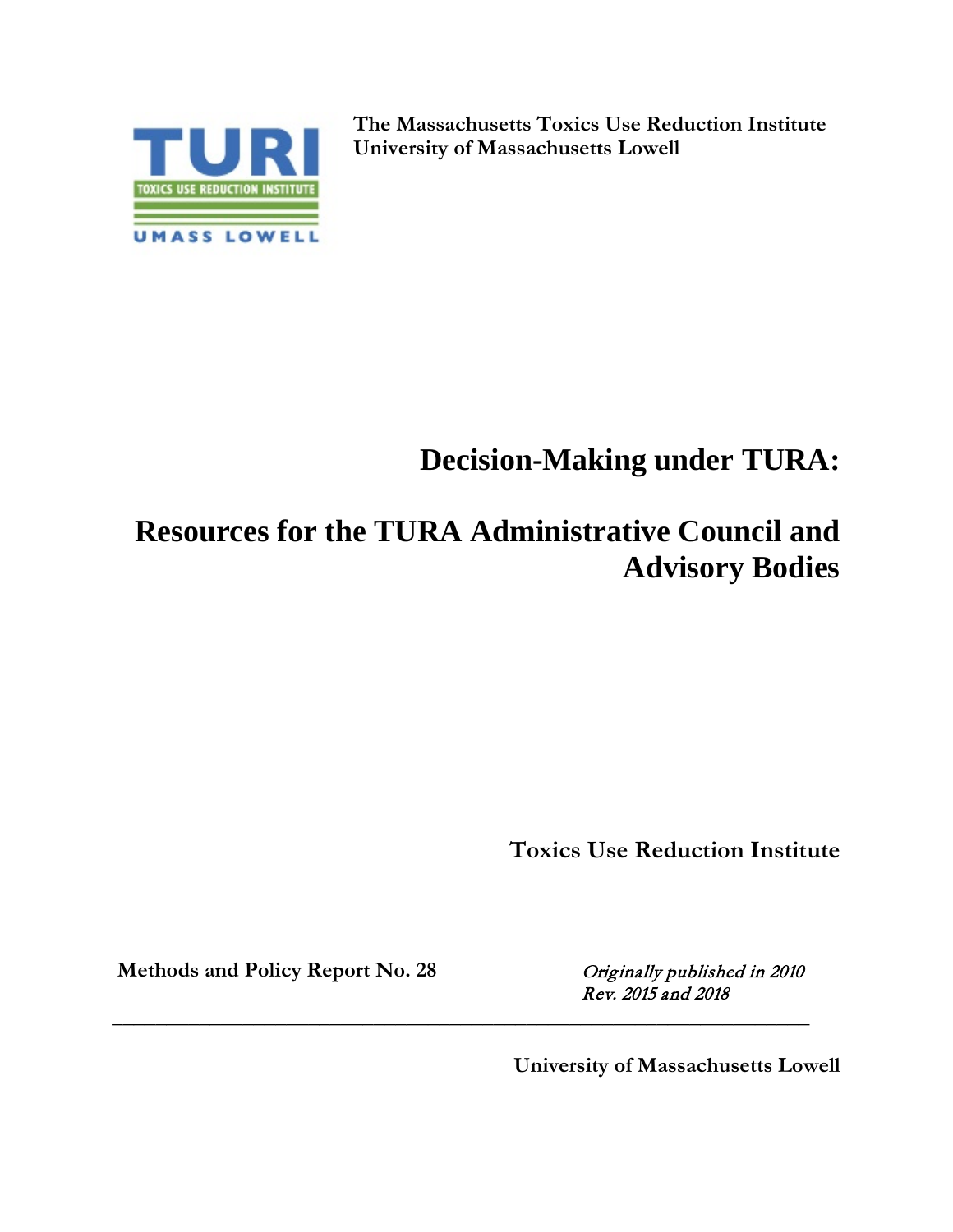

**The Massachusetts Toxics Use Reduction Institute University of Massachusetts Lowell**

# **Decision-Making under TURA:**

# **Resources for the TURA Administrative Council and Advisory Bodies**

**\_\_\_\_\_\_\_\_\_\_\_\_\_\_\_\_\_\_\_\_\_\_\_\_\_\_\_\_\_\_\_\_\_\_\_\_\_\_\_\_\_\_\_\_\_\_\_\_\_\_\_\_\_\_\_\_\_\_\_\_\_\_\_\_**

**Toxics Use Reduction Institute**

Methods and Policy Report No. 28 Originally published in 2010

Rev. 2015 and 2018

 **University of Massachusetts Lowell**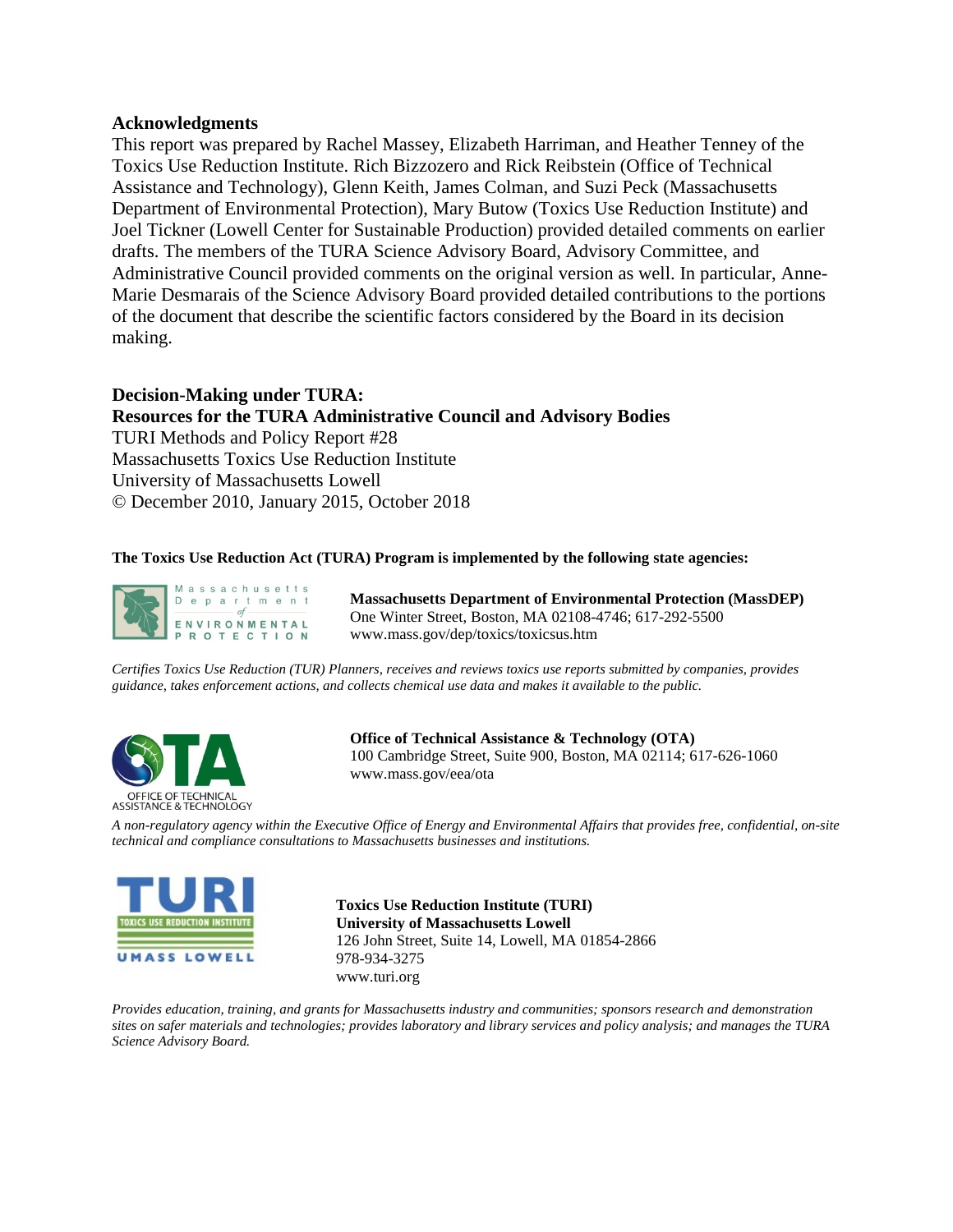#### **Acknowledgments**

This report was prepared by Rachel Massey, Elizabeth Harriman, and Heather Tenney of the Toxics Use Reduction Institute. Rich Bizzozero and Rick Reibstein (Office of Technical Assistance and Technology), Glenn Keith, James Colman, and Suzi Peck (Massachusetts Department of Environmental Protection), Mary Butow (Toxics Use Reduction Institute) and Joel Tickner (Lowell Center for Sustainable Production) provided detailed comments on earlier drafts. The members of the TURA Science Advisory Board, Advisory Committee, and Administrative Council provided comments on the original version as well. In particular, Anne-Marie Desmarais of the Science Advisory Board provided detailed contributions to the portions of the document that describe the scientific factors considered by the Board in its decision making.

#### **Decision-Making under TURA: Resources for the TURA Administrative Council and Advisory Bodies**  TURI Methods and Policy Report #28 Massachusetts Toxics Use Reduction Institute

University of Massachusetts Lowell © December 2010, January 2015, October 2018

#### **The Toxics Use Reduction Act (TURA) Program is implemented by the following state agencies:**



**Massachusetts Department of Environmental Protection (MassDEP)** One Winter Street, Boston, MA 02108-4746; 617-292-5500 www.mass.gov/dep/toxics/toxicsus.htm

*Certifies Toxics Use Reduction (TUR) Planners, receives and reviews toxics use reports submitted by companies, provides guidance, takes enforcement actions, and collects chemical use data and makes it available to the public.*



**Office of Technical Assistance & Technology (OTA)** 100 Cambridge Street, Suite 900, Boston, MA 02114; 617-626-1060 www.mass.gov/eea/ota

*A non-regulatory agency within the Executive Office of Energy and Environmental Affairs that provides free, confidential, on-site technical and compliance consultations to Massachusetts businesses and institutions.*



**Toxics Use Reduction Institute (TURI) University of Massachusetts Lowell** 126 John Street, Suite 14, Lowell, MA 01854-2866 978-934-3275 www.turi.org

*Provides education, training, and grants for Massachusetts industry and communities; sponsors research and demonstration sites on safer materials and technologies; provides laboratory and library services and policy analysis; and manages the TURA Science Advisory Board.*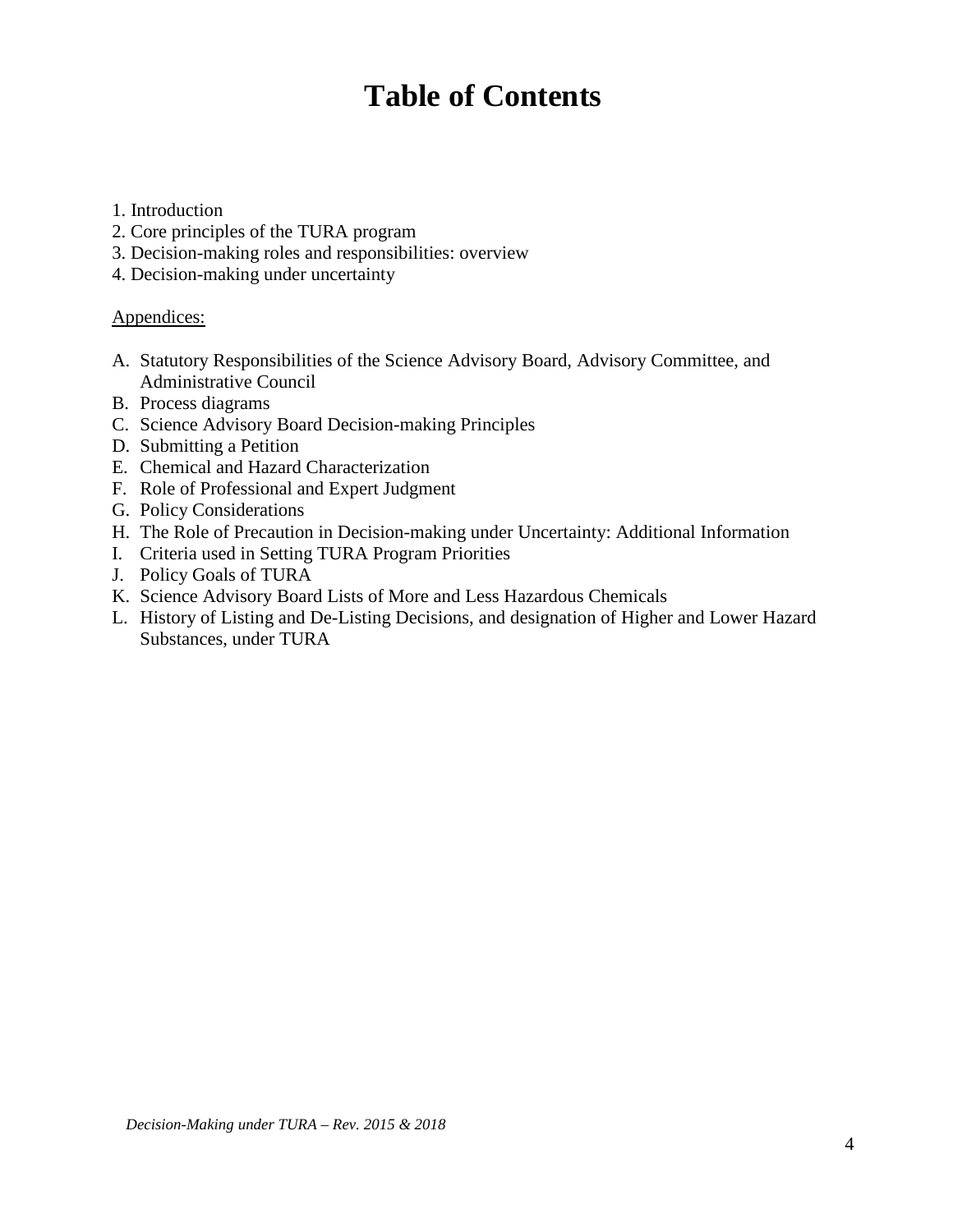## **Table of Contents**

- 1. Introduction
- 2. Core principles of the TURA program
- 3. Decision-making roles and responsibilities: overview
- 4. Decision-making under uncertainty

#### Appendices:

- A. Statutory Responsibilities of the Science Advisory Board, Advisory Committee, and Administrative Council
- B. Process diagrams
- C. Science Advisory Board Decision-making Principles
- D. Submitting a Petition
- E. Chemical and Hazard Characterization
- F. Role of Professional and Expert Judgment
- G. Policy Considerations
- H. The Role of Precaution in Decision-making under Uncertainty: Additional Information
- I. Criteria used in Setting TURA Program Priorities
- J. Policy Goals of TURA
- K. Science Advisory Board Lists of More and Less Hazardous Chemicals
- L. History of Listing and De-Listing Decisions, and designation of Higher and Lower Hazard Substances, under TURA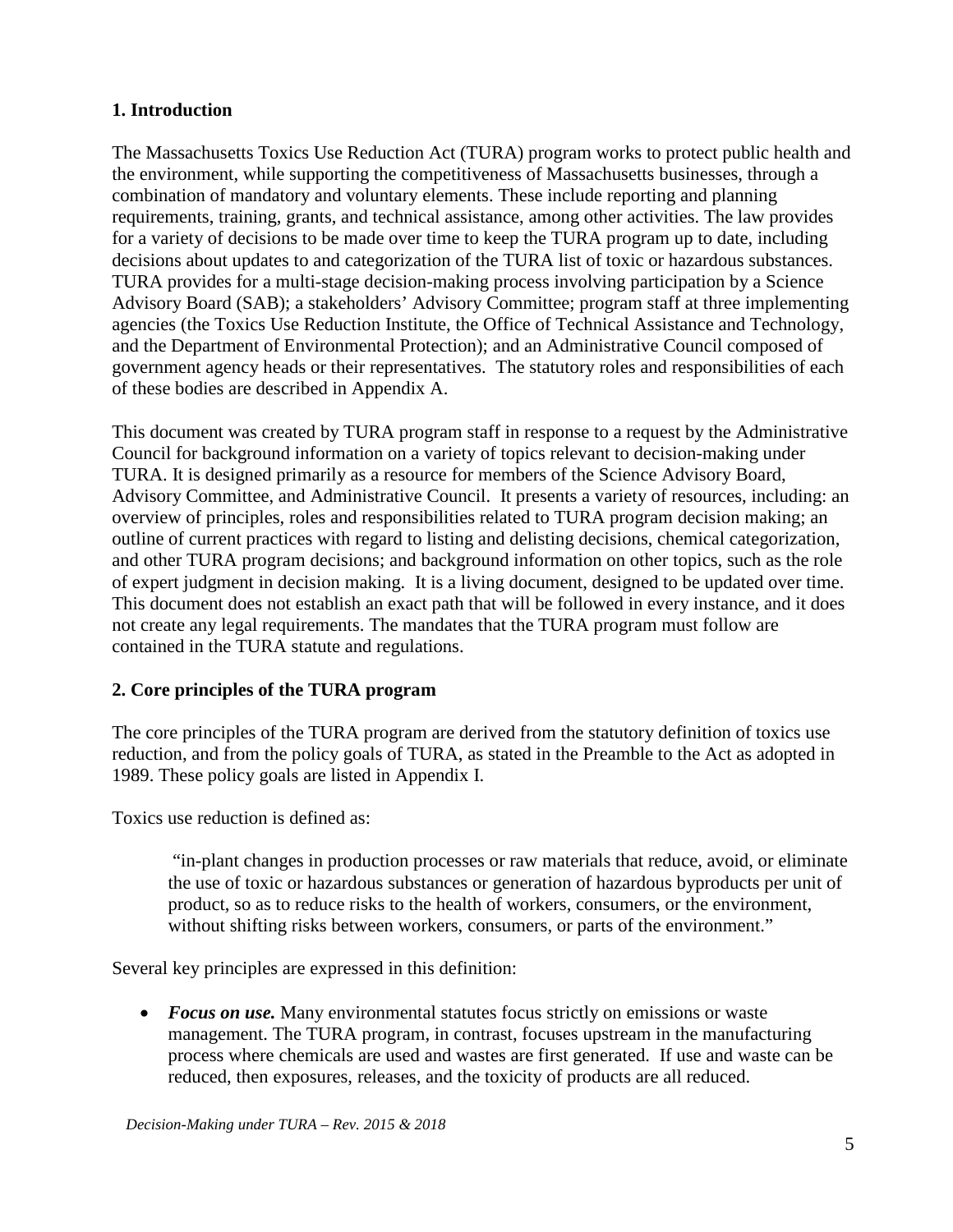## **1. Introduction**

The Massachusetts Toxics Use Reduction Act (TURA) program works to protect public health and the environment, while supporting the competitiveness of Massachusetts businesses, through a combination of mandatory and voluntary elements. These include reporting and planning requirements, training, grants, and technical assistance, among other activities. The law provides for a variety of decisions to be made over time to keep the TURA program up to date, including decisions about updates to and categorization of the TURA list of toxic or hazardous substances. TURA provides for a multi-stage decision-making process involving participation by a Science Advisory Board (SAB); a stakeholders' Advisory Committee; program staff at three implementing agencies (the Toxics Use Reduction Institute, the Office of Technical Assistance and Technology, and the Department of Environmental Protection); and an Administrative Council composed of government agency heads or their representatives. The statutory roles and responsibilities of each of these bodies are described in Appendix A.

This document was created by TURA program staff in response to a request by the Administrative Council for background information on a variety of topics relevant to decision-making under TURA. It is designed primarily as a resource for members of the Science Advisory Board, Advisory Committee, and Administrative Council. It presents a variety of resources, including: an overview of principles, roles and responsibilities related to TURA program decision making; an outline of current practices with regard to listing and delisting decisions, chemical categorization, and other TURA program decisions; and background information on other topics, such as the role of expert judgment in decision making. It is a living document, designed to be updated over time. This document does not establish an exact path that will be followed in every instance, and it does not create any legal requirements. The mandates that the TURA program must follow are contained in the TURA statute and regulations.

## **2. Core principles of the TURA program**

The core principles of the TURA program are derived from the statutory definition of toxics use reduction, and from the policy goals of TURA, as stated in the Preamble to the Act as adopted in 1989. These policy goals are listed in Appendix I.

Toxics use reduction is defined as:

"in-plant changes in production processes or raw materials that reduce, avoid, or eliminate the use of toxic or hazardous substances or generation of hazardous byproducts per unit of product, so as to reduce risks to the health of workers, consumers, or the environment, without shifting risks between workers, consumers, or parts of the environment."

Several key principles are expressed in this definition:

• *Focus on use*. Many environmental statutes focus strictly on emissions or waste management. The TURA program, in contrast, focuses upstream in the manufacturing process where chemicals are used and wastes are first generated. If use and waste can be reduced, then exposures, releases, and the toxicity of products are all reduced.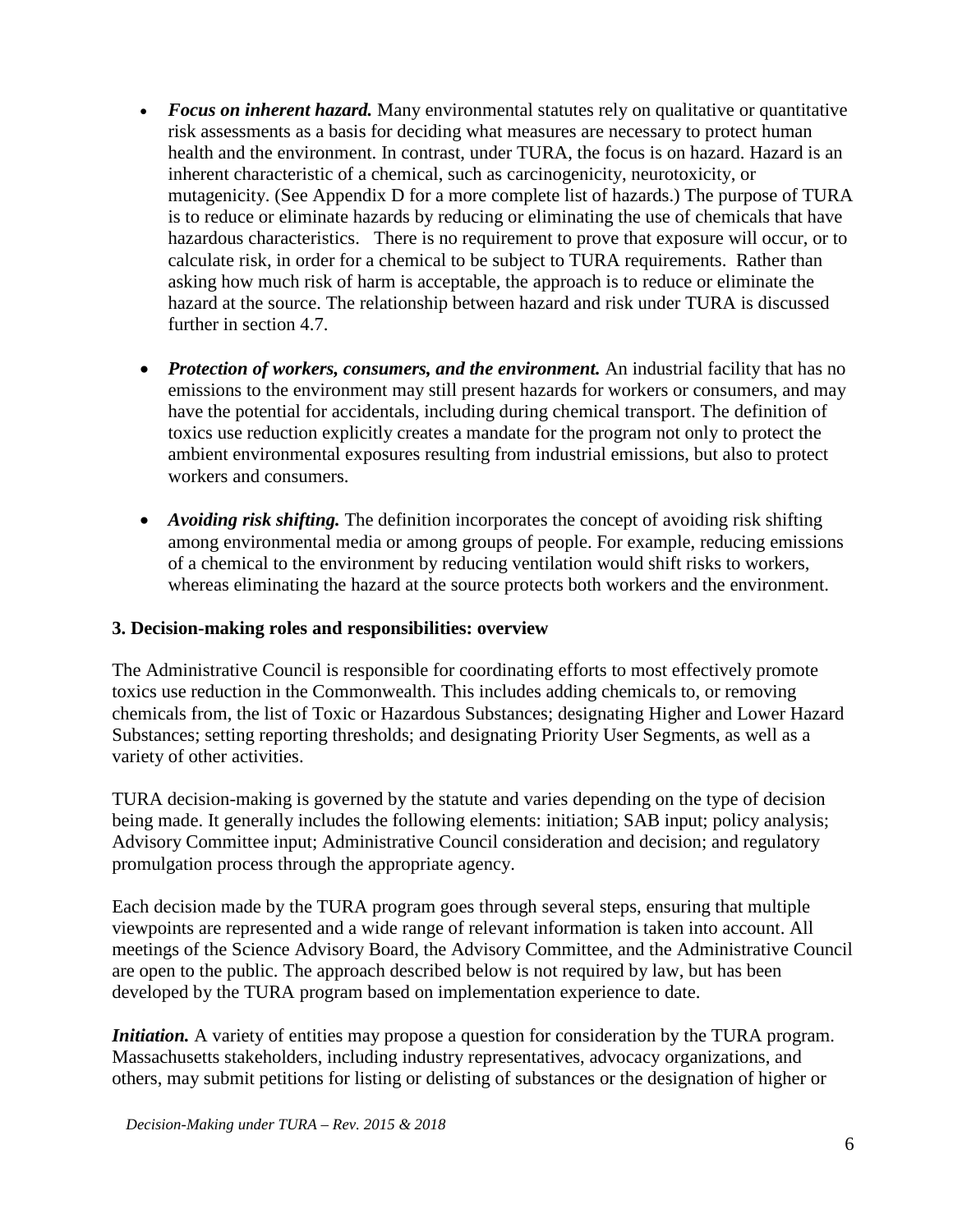- *Focus on inherent hazard*. Many environmental statutes rely on qualitative or quantitative risk assessments as a basis for deciding what measures are necessary to protect human health and the environment. In contrast, under TURA, the focus is on hazard. Hazard is an inherent characteristic of a chemical, such as carcinogenicity, neurotoxicity, or mutagenicity. (See Appendix D for a more complete list of hazards.) The purpose of TURA is to reduce or eliminate hazards by reducing or eliminating the use of chemicals that have hazardous characteristics. There is no requirement to prove that exposure will occur, or to calculate risk, in order for a chemical to be subject to TURA requirements. Rather than asking how much risk of harm is acceptable, the approach is to reduce or eliminate the hazard at the source. The relationship between hazard and risk under TURA is discussed further in section 4.7.
- *Protection of workers, consumers, and the environment.* An industrial facility that has no emissions to the environment may still present hazards for workers or consumers, and may have the potential for accidentals, including during chemical transport. The definition of toxics use reduction explicitly creates a mandate for the program not only to protect the ambient environmental exposures resulting from industrial emissions, but also to protect workers and consumers.
- *Avoiding risk shifting*. The definition incorporates the concept of avoiding risk shifting among environmental media or among groups of people. For example, reducing emissions of a chemical to the environment by reducing ventilation would shift risks to workers, whereas eliminating the hazard at the source protects both workers and the environment.

## **3. Decision-making roles and responsibilities: overview**

The Administrative Council is responsible for coordinating efforts to most effectively promote toxics use reduction in the Commonwealth. This includes adding chemicals to, or removing chemicals from, the list of Toxic or Hazardous Substances; designating Higher and Lower Hazard Substances; setting reporting thresholds; and designating Priority User Segments, as well as a variety of other activities.

TURA decision-making is governed by the statute and varies depending on the type of decision being made. It generally includes the following elements: initiation; SAB input; policy analysis; Advisory Committee input; Administrative Council consideration and decision; and regulatory promulgation process through the appropriate agency.

Each decision made by the TURA program goes through several steps, ensuring that multiple viewpoints are represented and a wide range of relevant information is taken into account. All meetings of the Science Advisory Board, the Advisory Committee, and the Administrative Council are open to the public. The approach described below is not required by law, but has been developed by the TURA program based on implementation experience to date.

*Initiation.* A variety of entities may propose a question for consideration by the TURA program. Massachusetts stakeholders, including industry representatives, advocacy organizations, and others, may submit petitions for listing or delisting of substances or the designation of higher or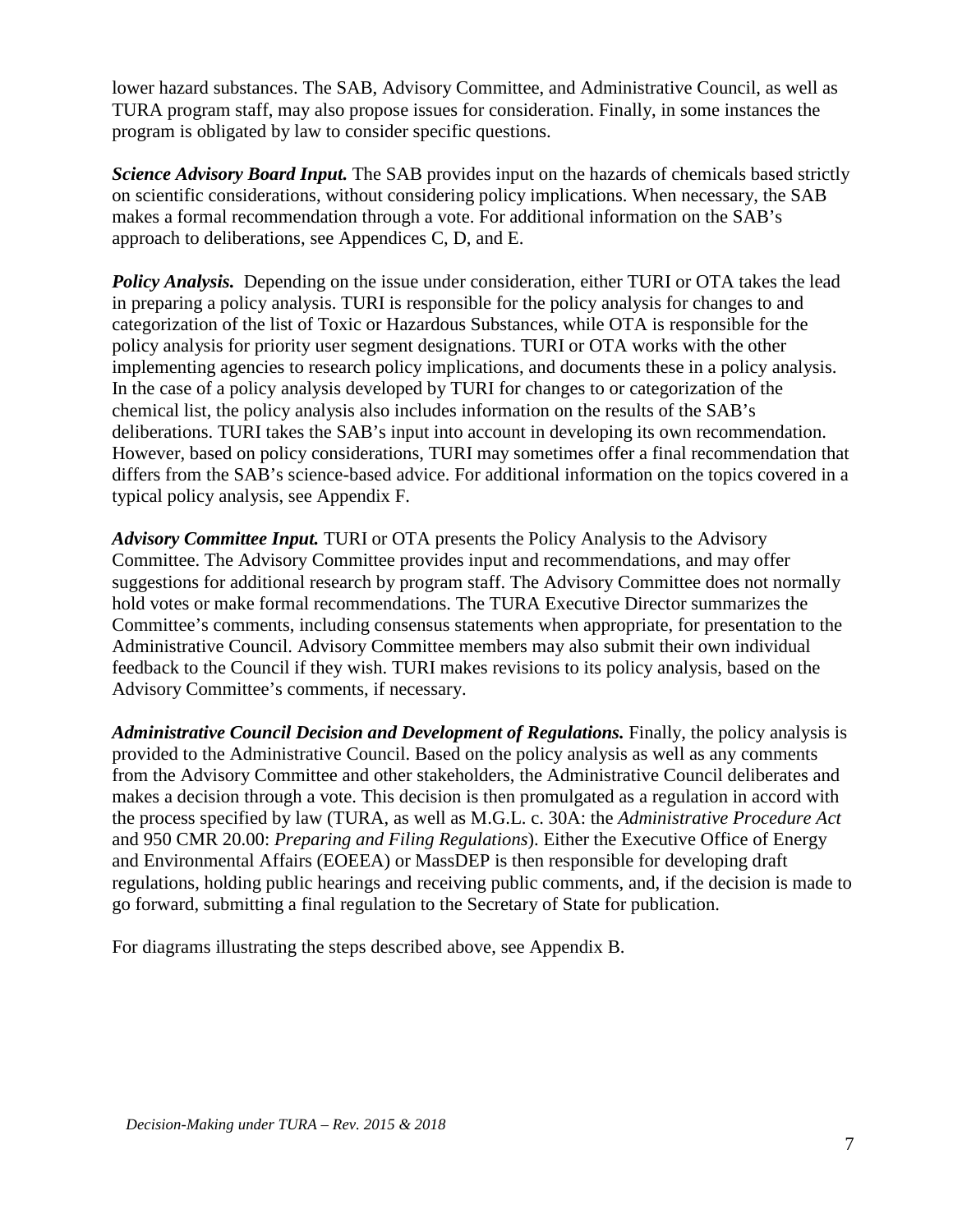lower hazard substances. The SAB, Advisory Committee, and Administrative Council, as well as TURA program staff, may also propose issues for consideration. Finally, in some instances the program is obligated by law to consider specific questions.

*Science Advisory Board Input.* The SAB provides input on the hazards of chemicals based strictly on scientific considerations, without considering policy implications. When necessary, the SAB makes a formal recommendation through a vote. For additional information on the SAB's approach to deliberations, see Appendices C, D, and E.

*Policy Analysis.* Depending on the issue under consideration, either TURI or OTA takes the lead in preparing a policy analysis. TURI is responsible for the policy analysis for changes to and categorization of the list of Toxic or Hazardous Substances, while OTA is responsible for the policy analysis for priority user segment designations. TURI or OTA works with the other implementing agencies to research policy implications, and documents these in a policy analysis. In the case of a policy analysis developed by TURI for changes to or categorization of the chemical list, the policy analysis also includes information on the results of the SAB's deliberations. TURI takes the SAB's input into account in developing its own recommendation. However, based on policy considerations, TURI may sometimes offer a final recommendation that differs from the SAB's science-based advice. For additional information on the topics covered in a typical policy analysis, see Appendix F.

*Advisory Committee Input.* TURI or OTA presents the Policy Analysis to the Advisory Committee. The Advisory Committee provides input and recommendations, and may offer suggestions for additional research by program staff. The Advisory Committee does not normally hold votes or make formal recommendations. The TURA Executive Director summarizes the Committee's comments, including consensus statements when appropriate, for presentation to the Administrative Council. Advisory Committee members may also submit their own individual feedback to the Council if they wish. TURI makes revisions to its policy analysis, based on the Advisory Committee's comments, if necessary.

*Administrative Council Decision and Development of Regulations.* Finally, the policy analysis is provided to the Administrative Council. Based on the policy analysis as well as any comments from the Advisory Committee and other stakeholders, the Administrative Council deliberates and makes a decision through a vote. This decision is then promulgated as a regulation in accord with the process specified by law (TURA, as well as M.G.L. c. 30A: the *Administrative Procedure Act* and 950 CMR 20.00: *Preparing and Filing Regulations*). Either the Executive Office of Energy and Environmental Affairs (EOEEA) or MassDEP is then responsible for developing draft regulations, holding public hearings and receiving public comments, and, if the decision is made to go forward, submitting a final regulation to the Secretary of State for publication.

For diagrams illustrating the steps described above, see Appendix B.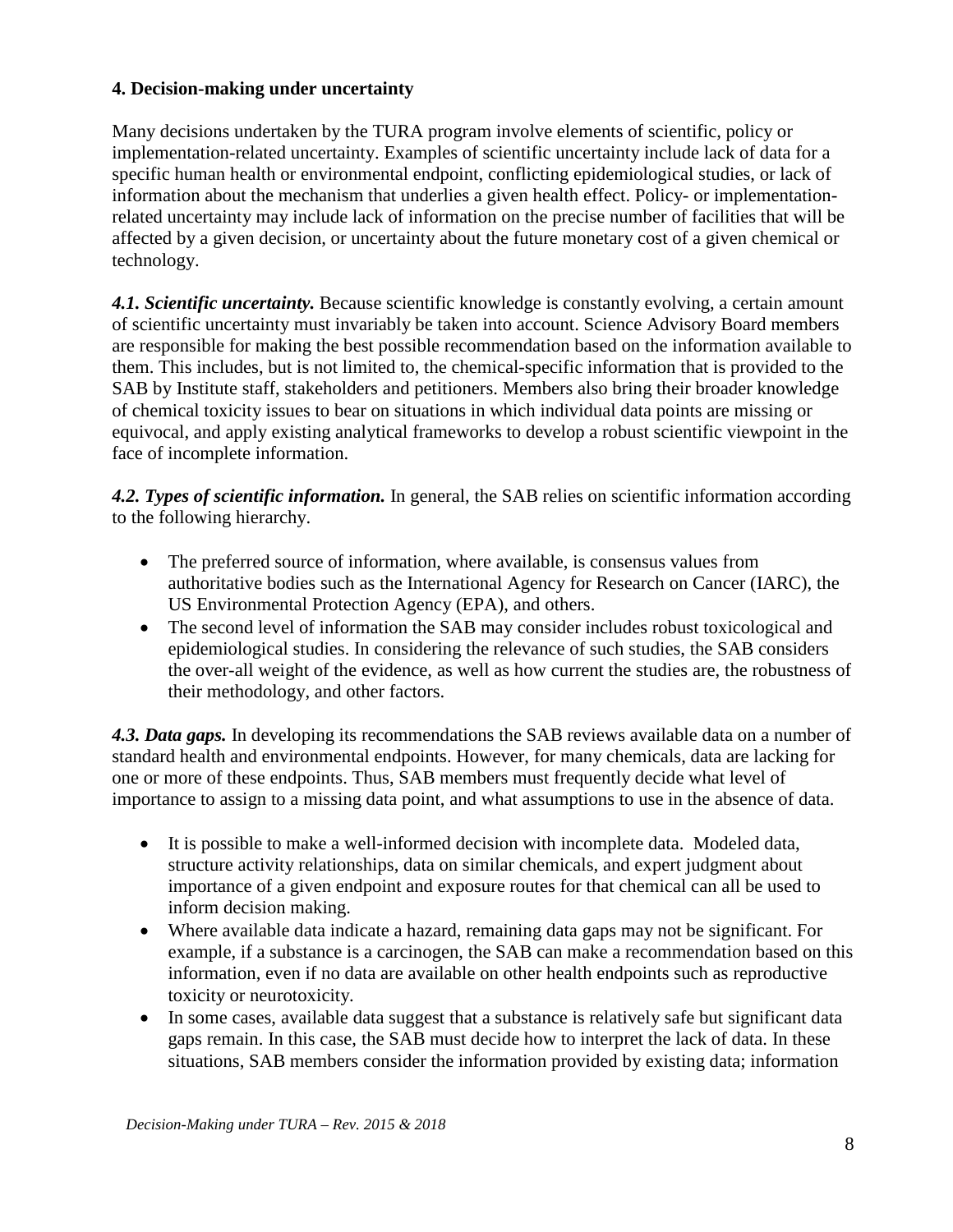## **4. Decision-making under uncertainty**

Many decisions undertaken by the TURA program involve elements of scientific, policy or implementation-related uncertainty. Examples of scientific uncertainty include lack of data for a specific human health or environmental endpoint, conflicting epidemiological studies, or lack of information about the mechanism that underlies a given health effect. Policy- or implementationrelated uncertainty may include lack of information on the precise number of facilities that will be affected by a given decision, or uncertainty about the future monetary cost of a given chemical or technology.

*4.1. Scientific uncertainty.* Because scientific knowledge is constantly evolving, a certain amount of scientific uncertainty must invariably be taken into account. Science Advisory Board members are responsible for making the best possible recommendation based on the information available to them. This includes, but is not limited to, the chemical-specific information that is provided to the SAB by Institute staff, stakeholders and petitioners. Members also bring their broader knowledge of chemical toxicity issues to bear on situations in which individual data points are missing or equivocal, and apply existing analytical frameworks to develop a robust scientific viewpoint in the face of incomplete information.

*4.2. Types of scientific information.* In general, the SAB relies on scientific information according to the following hierarchy.

- The preferred source of information, where available, is consensus values from authoritative bodies such as the International Agency for Research on Cancer (IARC), the US Environmental Protection Agency (EPA), and others.
- The second level of information the SAB may consider includes robust toxicological and epidemiological studies. In considering the relevance of such studies, the SAB considers the over-all weight of the evidence, as well as how current the studies are, the robustness of their methodology, and other factors.

*4.3. Data gaps.* In developing its recommendations the SAB reviews available data on a number of standard health and environmental endpoints. However, for many chemicals, data are lacking for one or more of these endpoints. Thus, SAB members must frequently decide what level of importance to assign to a missing data point, and what assumptions to use in the absence of data.

- It is possible to make a well-informed decision with incomplete data. Modeled data, structure activity relationships, data on similar chemicals, and expert judgment about importance of a given endpoint and exposure routes for that chemical can all be used to inform decision making.
- Where available data indicate a hazard, remaining data gaps may not be significant. For example, if a substance is a carcinogen, the SAB can make a recommendation based on this information, even if no data are available on other health endpoints such as reproductive toxicity or neurotoxicity.
- In some cases, available data suggest that a substance is relatively safe but significant data gaps remain. In this case, the SAB must decide how to interpret the lack of data. In these situations, SAB members consider the information provided by existing data; information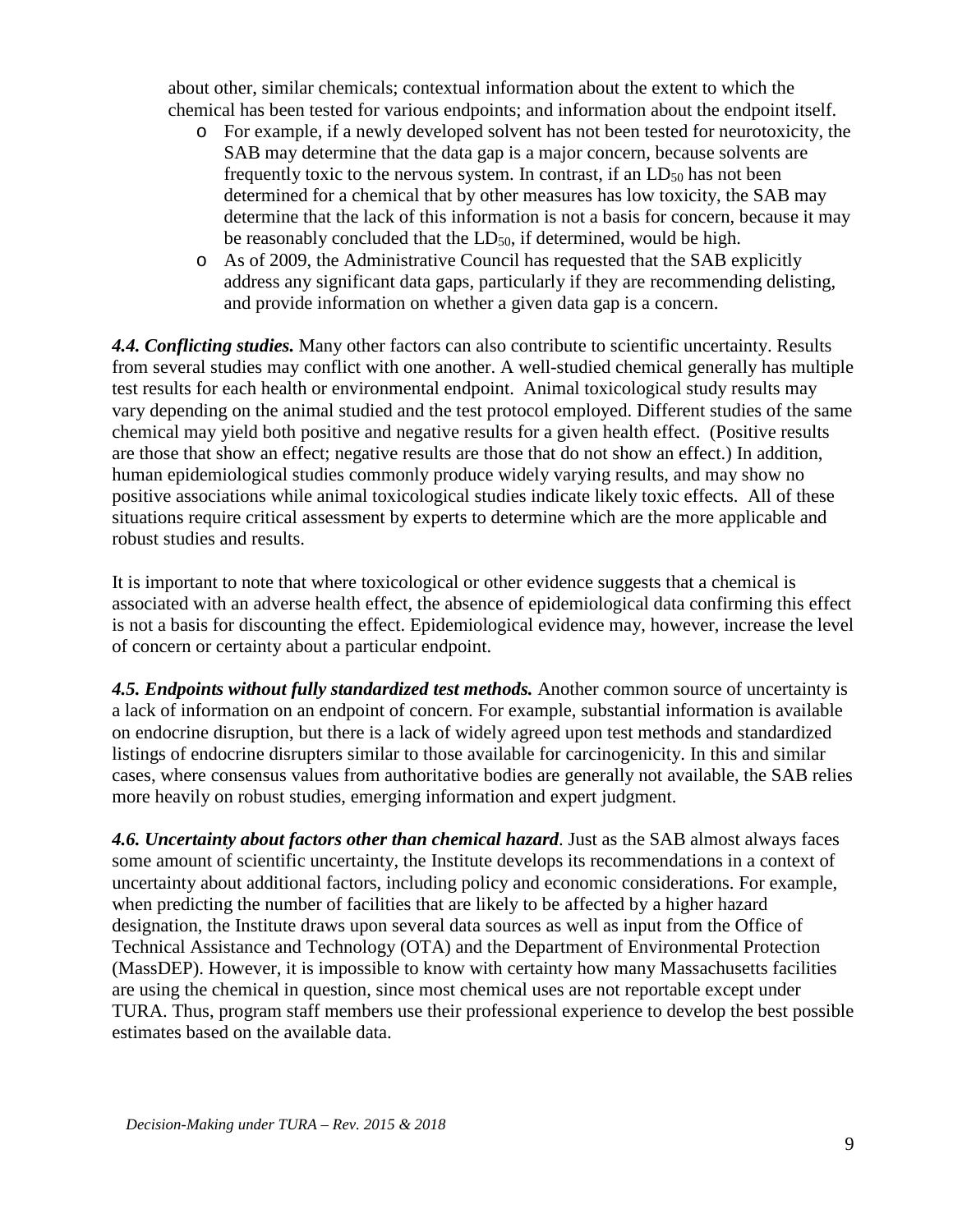about other, similar chemicals; contextual information about the extent to which the chemical has been tested for various endpoints; and information about the endpoint itself.

- o For example, if a newly developed solvent has not been tested for neurotoxicity, the SAB may determine that the data gap is a major concern, because solvents are frequently toxic to the nervous system. In contrast, if an  $LD_{50}$  has not been determined for a chemical that by other measures has low toxicity, the SAB may determine that the lack of this information is not a basis for concern, because it may be reasonably concluded that the LD<sub>50</sub>, if determined, would be high.
- o As of 2009, the Administrative Council has requested that the SAB explicitly address any significant data gaps, particularly if they are recommending delisting, and provide information on whether a given data gap is a concern.

*4.4. Conflicting studies.* Many other factors can also contribute to scientific uncertainty. Results from several studies may conflict with one another. A well-studied chemical generally has multiple test results for each health or environmental endpoint. Animal toxicological study results may vary depending on the animal studied and the test protocol employed. Different studies of the same chemical may yield both positive and negative results for a given health effect. (Positive results are those that show an effect; negative results are those that do not show an effect.) In addition, human epidemiological studies commonly produce widely varying results, and may show no positive associations while animal toxicological studies indicate likely toxic effects. All of these situations require critical assessment by experts to determine which are the more applicable and robust studies and results.

It is important to note that where toxicological or other evidence suggests that a chemical is associated with an adverse health effect, the absence of epidemiological data confirming this effect is not a basis for discounting the effect. Epidemiological evidence may, however, increase the level of concern or certainty about a particular endpoint.

*4.5. Endpoints without fully standardized test methods.* Another common source of uncertainty is a lack of information on an endpoint of concern. For example, substantial information is available on endocrine disruption, but there is a lack of widely agreed upon test methods and standardized listings of endocrine disrupters similar to those available for carcinogenicity. In this and similar cases, where consensus values from authoritative bodies are generally not available, the SAB relies more heavily on robust studies, emerging information and expert judgment.

*4.6. Uncertainty about factors other than chemical hazard*. Just as the SAB almost always faces some amount of scientific uncertainty, the Institute develops its recommendations in a context of uncertainty about additional factors, including policy and economic considerations. For example, when predicting the number of facilities that are likely to be affected by a higher hazard designation, the Institute draws upon several data sources as well as input from the Office of Technical Assistance and Technology (OTA) and the Department of Environmental Protection (MassDEP). However, it is impossible to know with certainty how many Massachusetts facilities are using the chemical in question, since most chemical uses are not reportable except under TURA. Thus, program staff members use their professional experience to develop the best possible estimates based on the available data.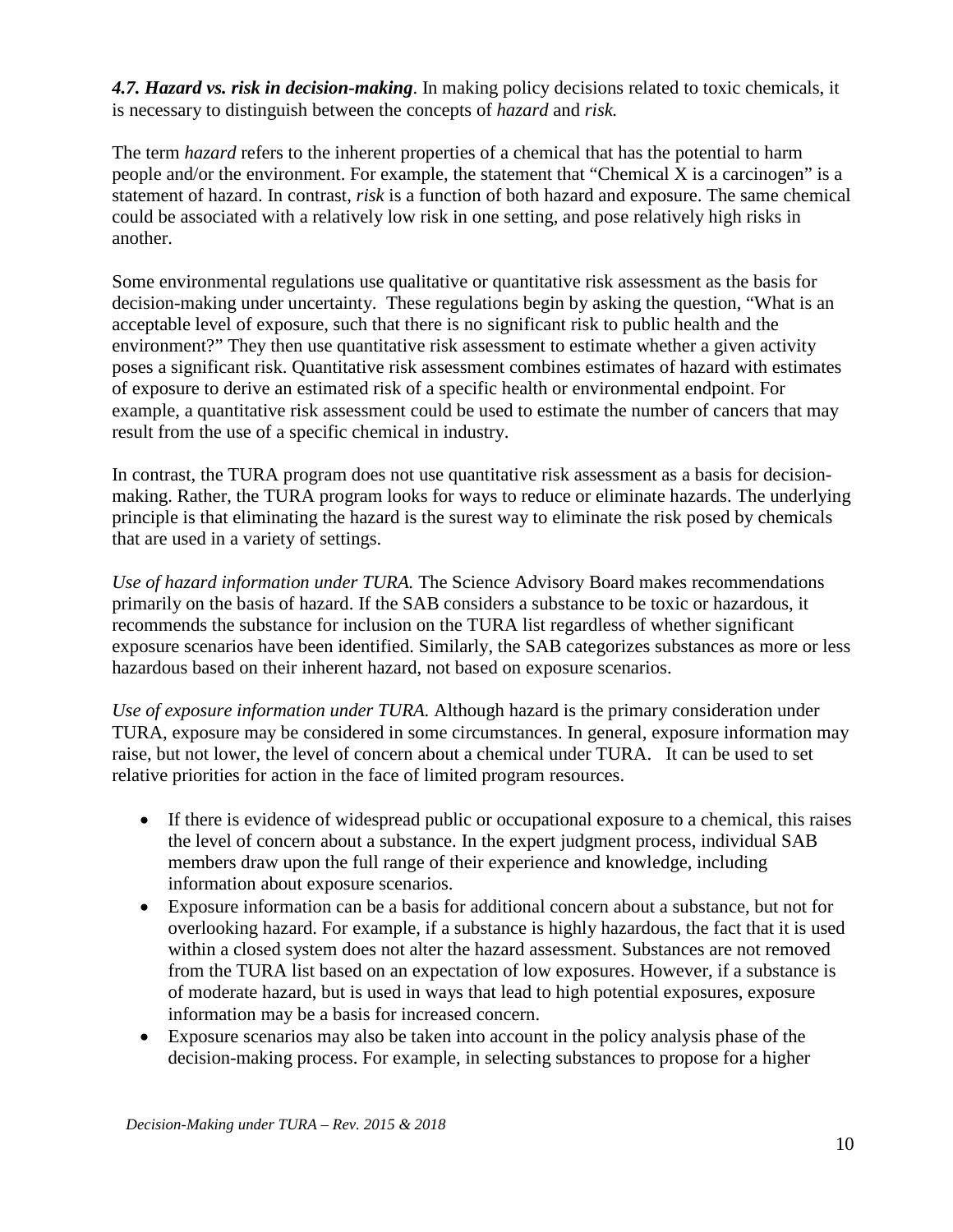*4.7. Hazard vs. risk in decision-making*. In making policy decisions related to toxic chemicals, it is necessary to distinguish between the concepts of *hazard* and *risk.* 

The term *hazard* refers to the inherent properties of a chemical that has the potential to harm people and/or the environment. For example, the statement that "Chemical X is a carcinogen" is a statement of hazard. In contrast, *risk* is a function of both hazard and exposure. The same chemical could be associated with a relatively low risk in one setting, and pose relatively high risks in another.

Some environmental regulations use qualitative or quantitative risk assessment as the basis for decision-making under uncertainty. These regulations begin by asking the question, "What is an acceptable level of exposure, such that there is no significant risk to public health and the environment?" They then use quantitative risk assessment to estimate whether a given activity poses a significant risk. Quantitative risk assessment combines estimates of hazard with estimates of exposure to derive an estimated risk of a specific health or environmental endpoint. For example, a quantitative risk assessment could be used to estimate the number of cancers that may result from the use of a specific chemical in industry.

In contrast, the TURA program does not use quantitative risk assessment as a basis for decisionmaking. Rather, the TURA program looks for ways to reduce or eliminate hazards. The underlying principle is that eliminating the hazard is the surest way to eliminate the risk posed by chemicals that are used in a variety of settings.

*Use of hazard information under TURA.* The Science Advisory Board makes recommendations primarily on the basis of hazard. If the SAB considers a substance to be toxic or hazardous, it recommends the substance for inclusion on the TURA list regardless of whether significant exposure scenarios have been identified. Similarly, the SAB categorizes substances as more or less hazardous based on their inherent hazard, not based on exposure scenarios.

*Use of exposure information under TURA.* Although hazard is the primary consideration under TURA, exposure may be considered in some circumstances. In general, exposure information may raise, but not lower, the level of concern about a chemical under TURA. It can be used to set relative priorities for action in the face of limited program resources.

- If there is evidence of widespread public or occupational exposure to a chemical, this raises the level of concern about a substance. In the expert judgment process, individual SAB members draw upon the full range of their experience and knowledge, including information about exposure scenarios.
- Exposure information can be a basis for additional concern about a substance, but not for overlooking hazard. For example, if a substance is highly hazardous, the fact that it is used within a closed system does not alter the hazard assessment. Substances are not removed from the TURA list based on an expectation of low exposures. However, if a substance is of moderate hazard, but is used in ways that lead to high potential exposures, exposure information may be a basis for increased concern.
- Exposure scenarios may also be taken into account in the policy analysis phase of the decision-making process. For example, in selecting substances to propose for a higher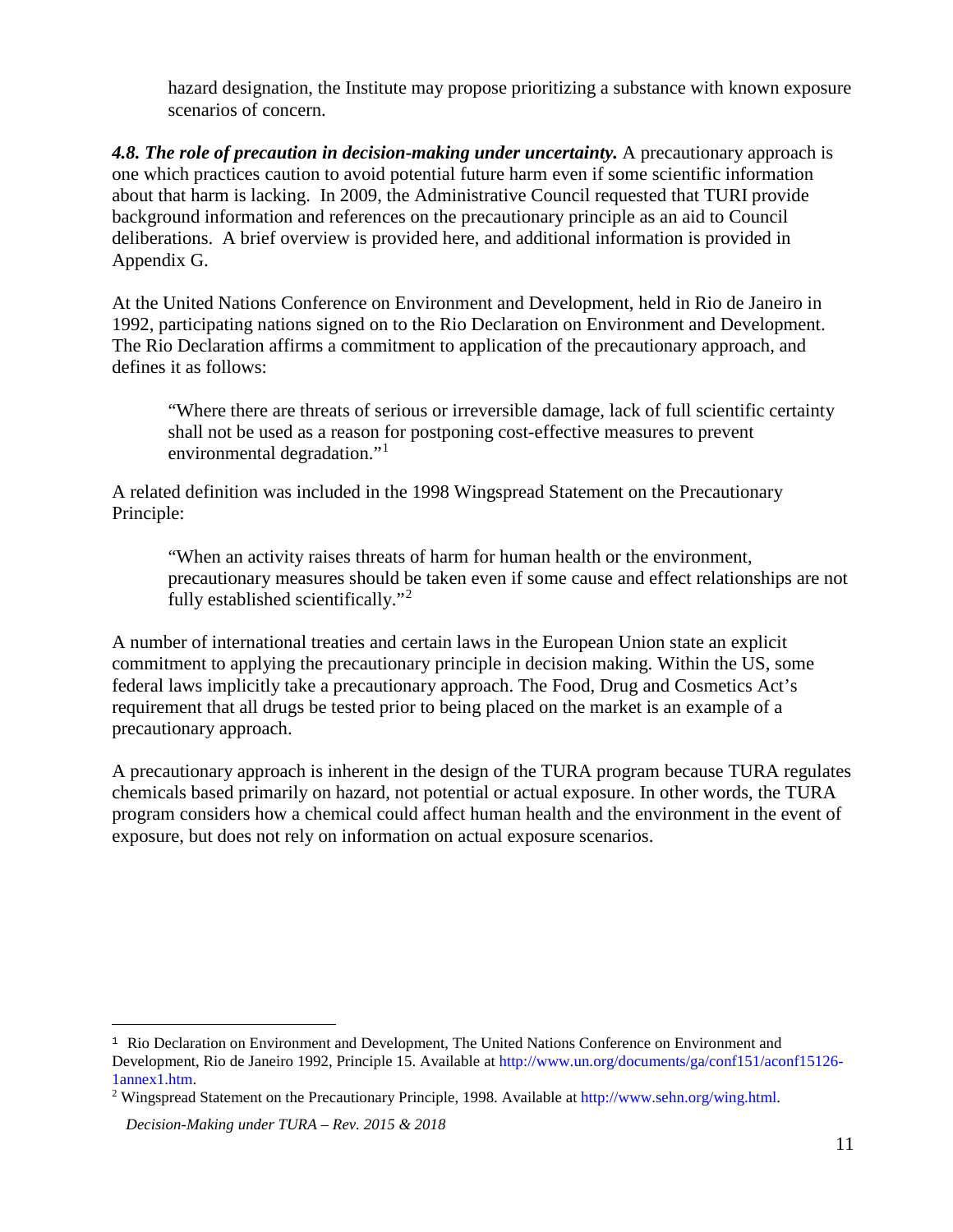hazard designation, the Institute may propose prioritizing a substance with known exposure scenarios of concern.

*4.8. The role of precaution in decision-making under uncertainty.* A precautionary approach is one which practices caution to avoid potential future harm even if some scientific information about that harm is lacking. In 2009, the Administrative Council requested that TURI provide background information and references on the precautionary principle as an aid to Council deliberations. A brief overview is provided here, and additional information is provided in Appendix G.

At the United Nations Conference on Environment and Development, held in Rio de Janeiro in 1992, participating nations signed on to the Rio Declaration on Environment and Development. The Rio Declaration affirms a commitment to application of the precautionary approach, and defines it as follows:

"Where there are threats of serious or irreversible damage, lack of full scientific certainty shall not be used as a reason for postponing cost-effective measures to prevent environmental degradation."<sup>[1](#page-10-0)</sup>

A related definition was included in the 1998 Wingspread Statement on the Precautionary Principle:

"When an activity raises threats of harm for human health or the environment, precautionary measures should be taken even if some cause and effect relationships are not fully established scientifically."[2](#page-10-1)

A number of international treaties and certain laws in the European Union state an explicit commitment to applying the precautionary principle in decision making. Within the US, some federal laws implicitly take a precautionary approach. The Food, Drug and Cosmetics Act's requirement that all drugs be tested prior to being placed on the market is an example of a precautionary approach.

A precautionary approach is inherent in the design of the TURA program because TURA regulates chemicals based primarily on hazard, not potential or actual exposure. In other words, the TURA program considers how a chemical could affect human health and the environment in the event of exposure, but does not rely on information on actual exposure scenarios.

 $\overline{a}$ 

<span id="page-10-0"></span><sup>&</sup>lt;sup>1</sup> Rio Declaration on Environment and Development, The United Nations Conference on Environment and Development, Rio de Janeiro 1992, Principle 15. Available at [http://www.un.org/documents/ga/conf151/aconf15126-](http://www.un.org/documents/ga/conf151/aconf15126-1annex1.htm) [1annex1.htm.](http://www.un.org/documents/ga/conf151/aconf15126-1annex1.htm) 2 Wingspread Statement on the Precautionary Principle, 1998. Available at [http://www.sehn.org/wing.html.](http://www.sehn.org/wing.html) 

<span id="page-10-1"></span>

*Decision-Making under TURA – Rev. 2015 & 2018*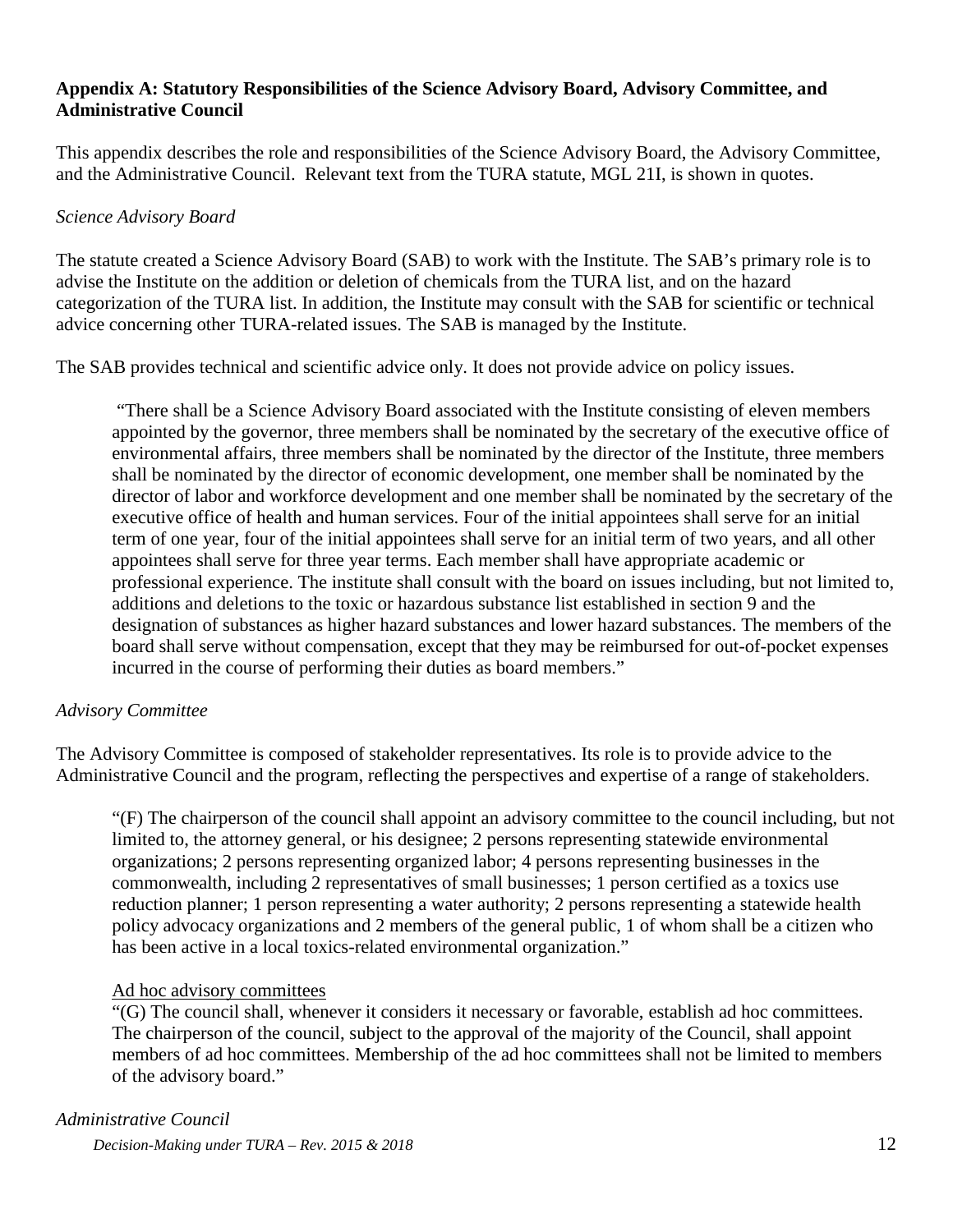## **Appendix A: Statutory Responsibilities of the Science Advisory Board, Advisory Committee, and Administrative Council**

This appendix describes the role and responsibilities of the Science Advisory Board, the Advisory Committee, and the Administrative Council. Relevant text from the TURA statute, MGL 21I, is shown in quotes.

## *Science Advisory Board*

The statute created a Science Advisory Board (SAB) to work with the Institute. The SAB's primary role is to advise the Institute on the addition or deletion of chemicals from the TURA list, and on the hazard categorization of the TURA list. In addition, the Institute may consult with the SAB for scientific or technical advice concerning other TURA-related issues. The SAB is managed by the Institute.

The SAB provides technical and scientific advice only. It does not provide advice on policy issues.

"There shall be a Science Advisory Board associated with the Institute consisting of eleven members appointed by the governor, three members shall be nominated by the secretary of the executive office of environmental affairs, three members shall be nominated by the director of the Institute, three members shall be nominated by the director of economic development, one member shall be nominated by the director of labor and workforce development and one member shall be nominated by the secretary of the executive office of health and human services. Four of the initial appointees shall serve for an initial term of one year, four of the initial appointees shall serve for an initial term of two years, and all other appointees shall serve for three year terms. Each member shall have appropriate academic or professional experience. The institute shall consult with the board on issues including, but not limited to, additions and deletions to the toxic or hazardous substance list established in section 9 and the designation of substances as higher hazard substances and lower hazard substances. The members of the board shall serve without compensation, except that they may be reimbursed for out-of-pocket expenses incurred in the course of performing their duties as board members."

## *Advisory Committee*

The Advisory Committee is composed of stakeholder representatives. Its role is to provide advice to the Administrative Council and the program, reflecting the perspectives and expertise of a range of stakeholders.

"(F) The chairperson of the council shall appoint an advisory committee to the council including, but not limited to, the attorney general, or his designee; 2 persons representing statewide environmental organizations; 2 persons representing organized labor; 4 persons representing businesses in the commonwealth, including 2 representatives of small businesses; 1 person certified as a toxics use reduction planner; 1 person representing a water authority; 2 persons representing a statewide health policy advocacy organizations and 2 members of the general public, 1 of whom shall be a citizen who has been active in a local toxics-related environmental organization."

#### Ad hoc advisory committees

"(G) The council shall, whenever it considers it necessary or favorable, establish ad hoc committees. The chairperson of the council, subject to the approval of the majority of the Council, shall appoint members of ad hoc committees. Membership of the ad hoc committees shall not be limited to members of the advisory board."

## *Administrative Council*

*Decision-Making under TURA – Rev. 2015 & 2018* 12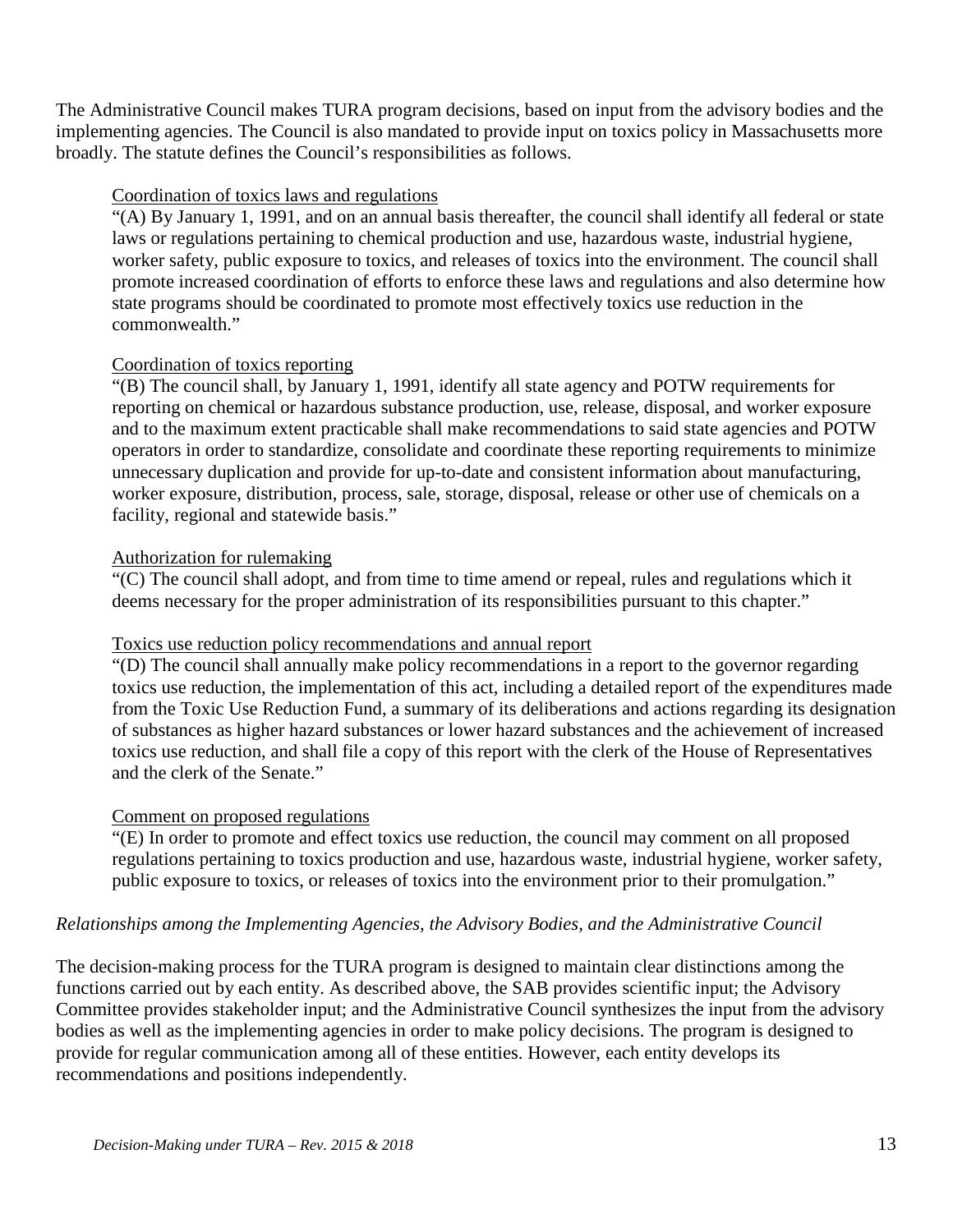The Administrative Council makes TURA program decisions, based on input from the advisory bodies and the implementing agencies. The Council is also mandated to provide input on toxics policy in Massachusetts more broadly. The statute defines the Council's responsibilities as follows.

## Coordination of toxics laws and regulations

"(A) By January 1, 1991, and on an annual basis thereafter, the council shall identify all federal or state laws or regulations pertaining to chemical production and use, hazardous waste, industrial hygiene, worker safety, public exposure to toxics, and releases of toxics into the environment. The council shall promote increased coordination of efforts to enforce these laws and regulations and also determine how state programs should be coordinated to promote most effectively toxics use reduction in the commonwealth."

#### Coordination of toxics reporting

"(B) The council shall, by January 1, 1991, identify all state agency and POTW requirements for reporting on chemical or hazardous substance production, use, release, disposal, and worker exposure and to the maximum extent practicable shall make recommendations to said state agencies and POTW operators in order to standardize, consolidate and coordinate these reporting requirements to minimize unnecessary duplication and provide for up-to-date and consistent information about manufacturing, worker exposure, distribution, process, sale, storage, disposal, release or other use of chemicals on a facility, regional and statewide basis."

#### Authorization for rulemaking

"(C) The council shall adopt, and from time to time amend or repeal, rules and regulations which it deems necessary for the proper administration of its responsibilities pursuant to this chapter."

#### Toxics use reduction policy recommendations and annual report

"(D) The council shall annually make policy recommendations in a report to the governor regarding toxics use reduction, the implementation of this act, including a detailed report of the expenditures made from the Toxic Use Reduction Fund, a summary of its deliberations and actions regarding its designation of substances as higher hazard substances or lower hazard substances and the achievement of increased toxics use reduction, and shall file a copy of this report with the clerk of the House of Representatives and the clerk of the Senate."

#### Comment on proposed regulations

"(E) In order to promote and effect toxics use reduction, the council may comment on all proposed regulations pertaining to toxics production and use, hazardous waste, industrial hygiene, worker safety, public exposure to toxics, or releases of toxics into the environment prior to their promulgation."

#### *Relationships among the Implementing Agencies, the Advisory Bodies, and the Administrative Council*

The decision-making process for the TURA program is designed to maintain clear distinctions among the functions carried out by each entity. As described above, the SAB provides scientific input; the Advisory Committee provides stakeholder input; and the Administrative Council synthesizes the input from the advisory bodies as well as the implementing agencies in order to make policy decisions. The program is designed to provide for regular communication among all of these entities. However, each entity develops its recommendations and positions independently.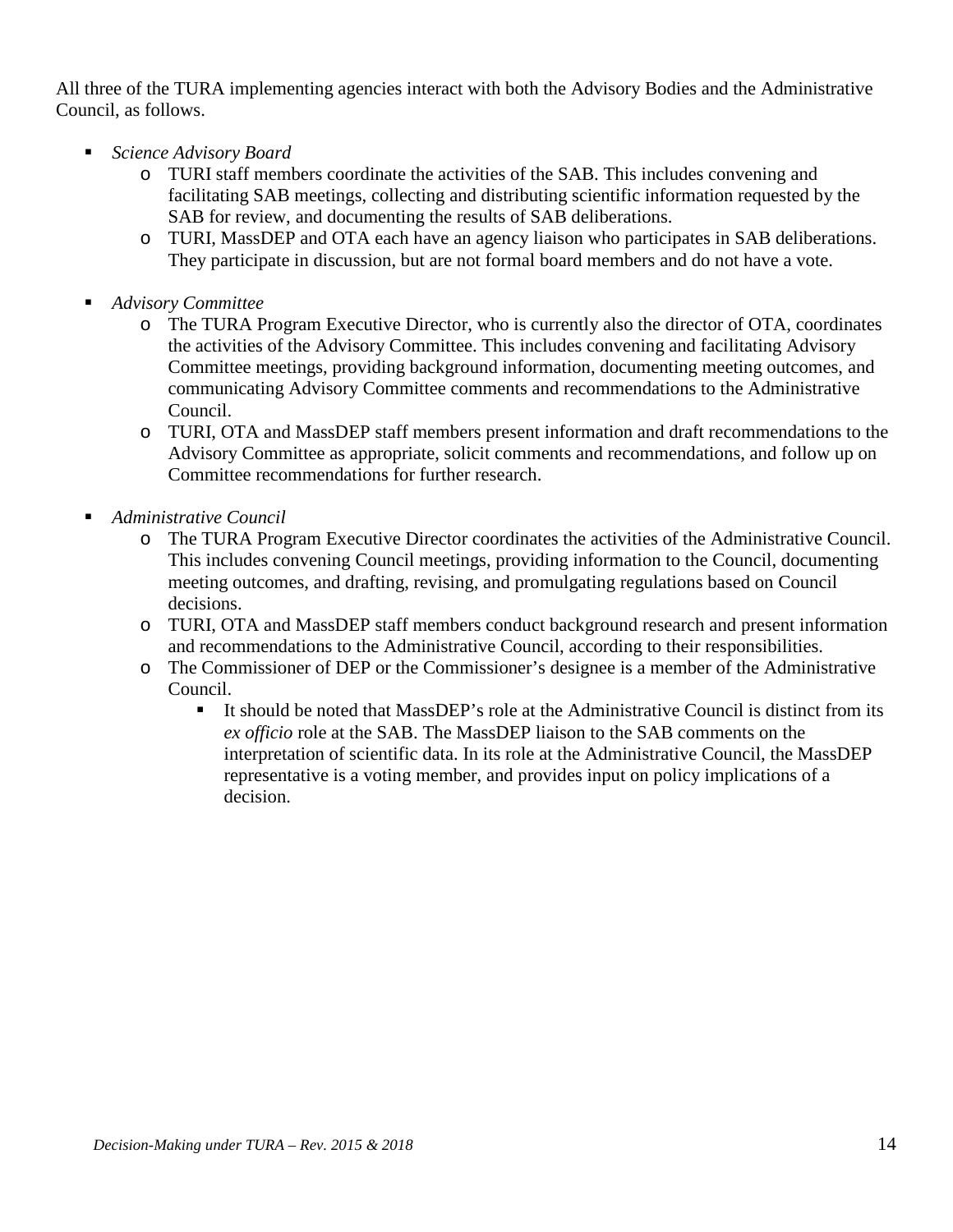All three of the TURA implementing agencies interact with both the Advisory Bodies and the Administrative Council, as follows.

- *Science Advisory Board*
	- o TURI staff members coordinate the activities of the SAB. This includes convening and facilitating SAB meetings, collecting and distributing scientific information requested by the SAB for review, and documenting the results of SAB deliberations.
	- o TURI, MassDEP and OTA each have an agency liaison who participates in SAB deliberations. They participate in discussion, but are not formal board members and do not have a vote.
- *Advisory Committee*
	- o The TURA Program Executive Director, who is currently also the director of OTA, coordinates the activities of the Advisory Committee. This includes convening and facilitating Advisory Committee meetings, providing background information, documenting meeting outcomes, and communicating Advisory Committee comments and recommendations to the Administrative Council.
	- o TURI, OTA and MassDEP staff members present information and draft recommendations to the Advisory Committee as appropriate, solicit comments and recommendations, and follow up on Committee recommendations for further research.
- *Administrative Council*
	- o The TURA Program Executive Director coordinates the activities of the Administrative Council. This includes convening Council meetings, providing information to the Council, documenting meeting outcomes, and drafting, revising, and promulgating regulations based on Council decisions.
	- o TURI, OTA and MassDEP staff members conduct background research and present information and recommendations to the Administrative Council, according to their responsibilities.
	- o The Commissioner of DEP or the Commissioner's designee is a member of the Administrative Council.
		- It should be noted that MassDEP's role at the Administrative Council is distinct from its *ex officio* role at the SAB. The MassDEP liaison to the SAB comments on the interpretation of scientific data. In its role at the Administrative Council, the MassDEP representative is a voting member, and provides input on policy implications of a decision.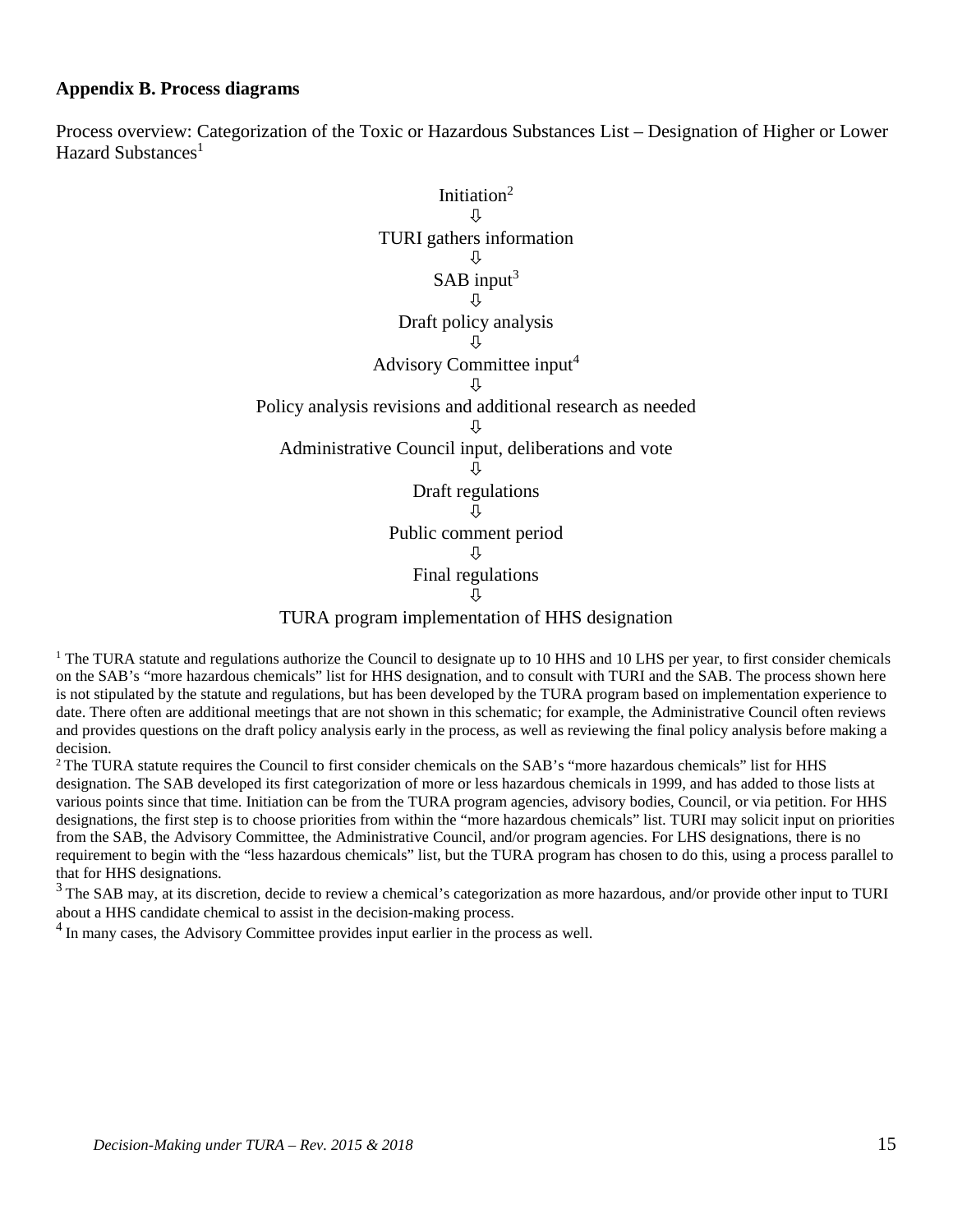#### **Appendix B. Process diagrams**

Process overview: Categorization of the Toxic or Hazardous Substances List – Designation of Higher or Lower Hazard Substances<sup>1</sup>



<sup>1</sup> The TURA statute and regulations authorize the Council to designate up to 10 HHS and 10 LHS per year, to first consider chemicals on the SAB's "more hazardous chemicals" list for HHS designation, and to consult with TURI and the SAB. The process shown here is not stipulated by the statute and regulations, but has been developed by the TURA program based on implementation experience to date. There often are additional meetings that are not shown in this schematic; for example, the Administrative Council often reviews and provides questions on the draft policy analysis early in the process, as well as reviewing the final policy analysis before making a decision.

<sup>2</sup> The TURA statute requires the Council to first consider chemicals on the SAB's "more hazardous chemicals" list for HHS designation. The SAB developed its first categorization of more or less hazardous chemicals in 1999, and has added to those lists at various points since that time. Initiation can be from the TURA program agencies, advisory bodies, Council, or via petition. For HHS designations, the first step is to choose priorities from within the "more hazardous chemicals" list. TURI may solicit input on priorities from the SAB, the Advisory Committee, the Administrative Council, and/or program agencies. For LHS designations, there is no requirement to begin with the "less hazardous chemicals" list, but the TURA program has chosen to do this, using a process parallel to that for HHS designations.

<sup>3</sup> The SAB may, at its discretion, decide to review a chemical's categorization as more hazardous, and/or provide other input to TURI about a HHS candidate chemical to assist in the decision-making process.

<sup>4</sup> In many cases, the Advisory Committee provides input earlier in the process as well.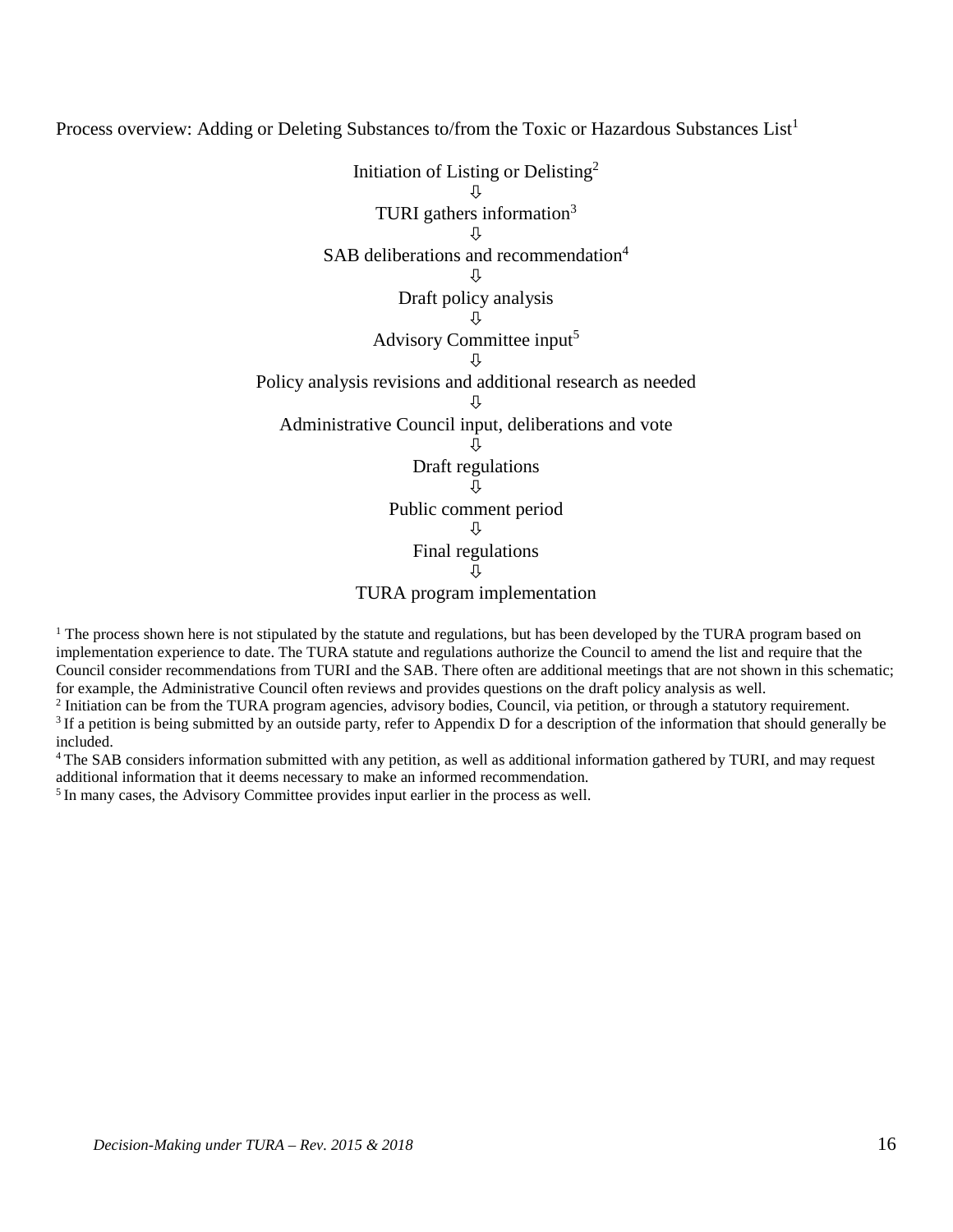Process overview: Adding or Deleting Substances to/from the Toxic or Hazardous Substances List<sup>1</sup>



<sup>1</sup> The process shown here is not stipulated by the statute and regulations, but has been developed by the TURA program based on implementation experience to date. The TURA statute and regulations authorize the Council to amend the list and require that the Council consider recommendations from TURI and the SAB. There often are additional meetings that are not shown in this schematic; for example, the Administrative Council often reviews and provides questions on the draft policy analysis as well.

<sup>2</sup> Initiation can be from the TURA program agencies, advisory bodies, Council, via petition, or through a statutory requirement. <sup>3</sup> If a petition is being submitted by an outside party, refer to Appendix D for a description of the information that should generally be included. 4 The SAB considers information submitted with any petition, as well as additional information gathered by TURI, and may request

additional information that it deems necessary to make an informed recommendation. 5 In many cases, the Advisory Committee provides input earlier in the process as well.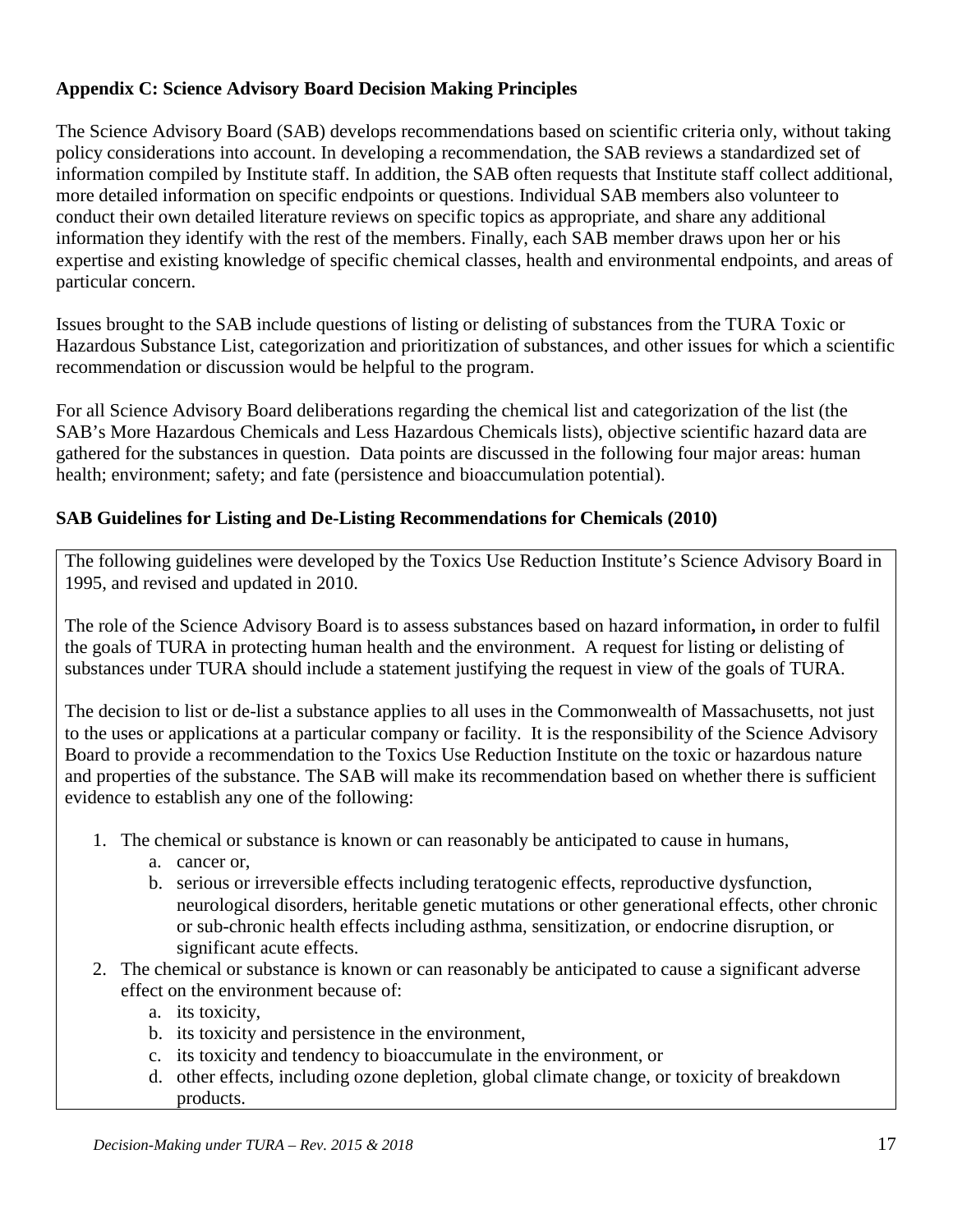## **Appendix C: Science Advisory Board Decision Making Principles**

The Science Advisory Board (SAB) develops recommendations based on scientific criteria only, without taking policy considerations into account. In developing a recommendation, the SAB reviews a standardized set of information compiled by Institute staff. In addition, the SAB often requests that Institute staff collect additional, more detailed information on specific endpoints or questions. Individual SAB members also volunteer to conduct their own detailed literature reviews on specific topics as appropriate, and share any additional information they identify with the rest of the members. Finally, each SAB member draws upon her or his expertise and existing knowledge of specific chemical classes, health and environmental endpoints, and areas of particular concern.

Issues brought to the SAB include questions of listing or delisting of substances from the TURA Toxic or Hazardous Substance List, categorization and prioritization of substances, and other issues for which a scientific recommendation or discussion would be helpful to the program.

For all Science Advisory Board deliberations regarding the chemical list and categorization of the list (the SAB's More Hazardous Chemicals and Less Hazardous Chemicals lists), objective scientific hazard data are gathered for the substances in question. Data points are discussed in the following four major areas: human health; environment; safety; and fate (persistence and bioaccumulation potential).

## **SAB Guidelines for Listing and De-Listing Recommendations for Chemicals (2010)**

The following guidelines were developed by the Toxics Use Reduction Institute's Science Advisory Board in 1995, and revised and updated in 2010.

The role of the Science Advisory Board is to assess substances based on hazard information**,** in order to fulfil the goals of TURA in protecting human health and the environment. A request for listing or delisting of substances under TURA should include a statement justifying the request in view of the goals of TURA.

The decision to list or de-list a substance applies to all uses in the Commonwealth of Massachusetts, not just to the uses or applications at a particular company or facility. It is the responsibility of the Science Advisory Board to provide a recommendation to the Toxics Use Reduction Institute on the toxic or hazardous nature and properties of the substance. The SAB will make its recommendation based on whether there is sufficient evidence to establish any one of the following:

- 1. The chemical or substance is known or can reasonably be anticipated to cause in humans,
	- a. cancer or,
	- b. serious or irreversible effects including teratogenic effects, reproductive dysfunction, neurological disorders, heritable genetic mutations or other generational effects, other chronic or sub-chronic health effects including asthma, sensitization, or endocrine disruption, or significant acute effects.
- 2. The chemical or substance is known or can reasonably be anticipated to cause a significant adverse effect on the environment because of:
	- a. its toxicity,
	- b. its toxicity and persistence in the environment,
	- c. its toxicity and tendency to bioaccumulate in the environment, or
	- d. other effects, including ozone depletion, global climate change, or toxicity of breakdown products.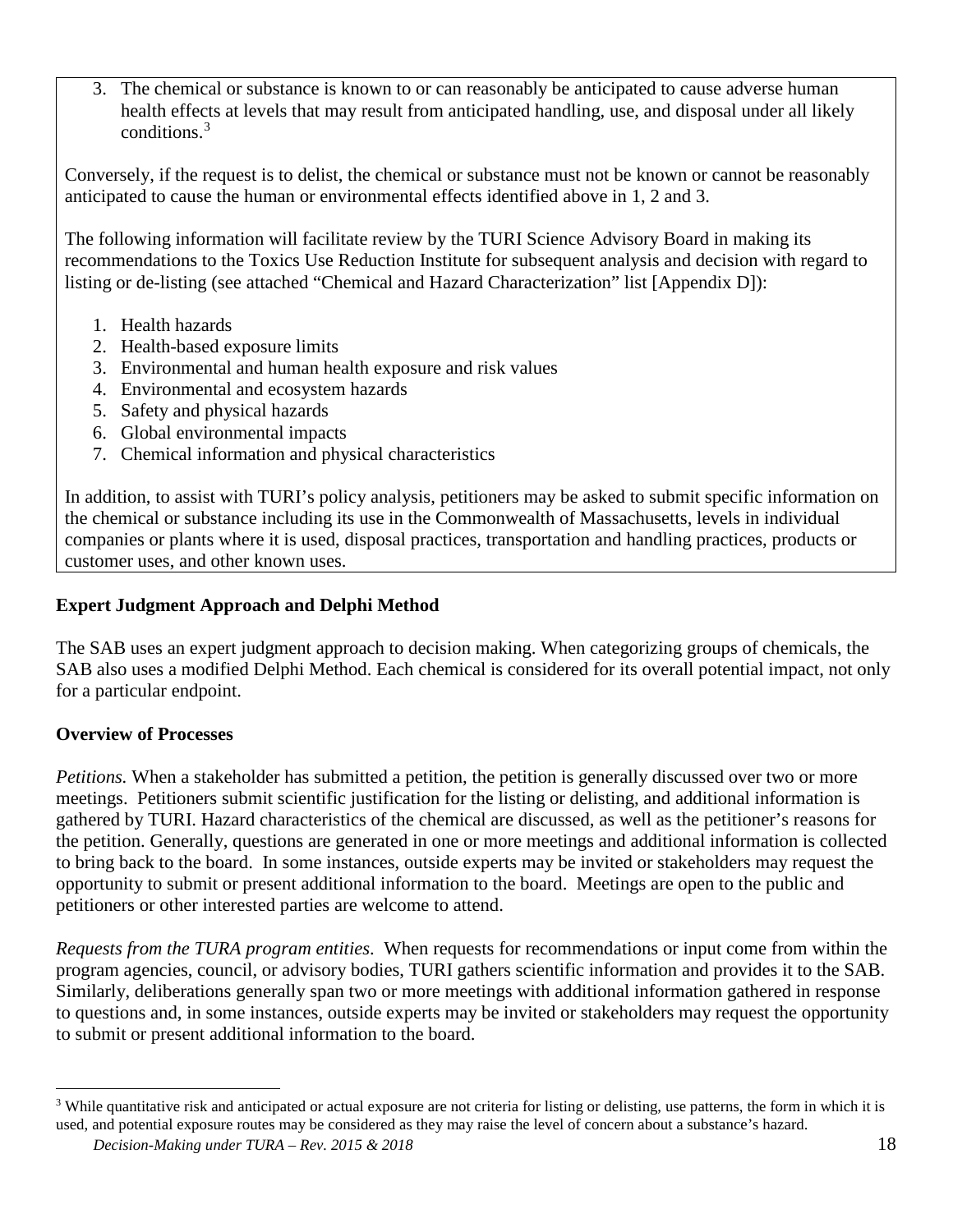3. The chemical or substance is known to or can reasonably be anticipated to cause adverse human health effects at levels that may result from anticipated handling, use, and disposal under all likely conditions.[3](#page-17-0)

Conversely, if the request is to delist, the chemical or substance must not be known or cannot be reasonably anticipated to cause the human or environmental effects identified above in 1, 2 and 3.

The following information will facilitate review by the TURI Science Advisory Board in making its recommendations to the Toxics Use Reduction Institute for subsequent analysis and decision with regard to listing or de-listing (see attached "Chemical and Hazard Characterization" list [Appendix D]):

- 1. Health hazards
- 2. Health-based exposure limits
- 3. Environmental and human health exposure and risk values
- 4. Environmental and ecosystem hazards
- 5. Safety and physical hazards
- 6. Global environmental impacts
- 7. Chemical information and physical characteristics

In addition, to assist with TURI's policy analysis, petitioners may be asked to submit specific information on the chemical or substance including its use in the Commonwealth of Massachusetts, levels in individual companies or plants where it is used, disposal practices, transportation and handling practices, products or customer uses, and other known uses.

## **Expert Judgment Approach and Delphi Method**

The SAB uses an expert judgment approach to decision making. When categorizing groups of chemicals, the SAB also uses a modified Delphi Method. Each chemical is considered for its overall potential impact, not only for a particular endpoint.

## **Overview of Processes**

*Petitions.* When a stakeholder has submitted a petition, the petition is generally discussed over two or more meetings. Petitioners submit scientific justification for the listing or delisting, and additional information is gathered by TURI. Hazard characteristics of the chemical are discussed, as well as the petitioner's reasons for the petition. Generally, questions are generated in one or more meetings and additional information is collected to bring back to the board. In some instances, outside experts may be invited or stakeholders may request the opportunity to submit or present additional information to the board. Meetings are open to the public and petitioners or other interested parties are welcome to attend.

*Requests from the TURA program entities*. When requests for recommendations or input come from within the program agencies, council, or advisory bodies, TURI gathers scientific information and provides it to the SAB. Similarly, deliberations generally span two or more meetings with additional information gathered in response to questions and, in some instances, outside experts may be invited or stakeholders may request the opportunity to submit or present additional information to the board.

<span id="page-17-0"></span><sup>&</sup>lt;sup>3</sup> While quantitative risk and anticipated or actual exposure are not criteria for listing or delisting, use patterns, the form in which it is used, and potential exposure routes may be considered as they may raise the level of concern about a substance's hazard.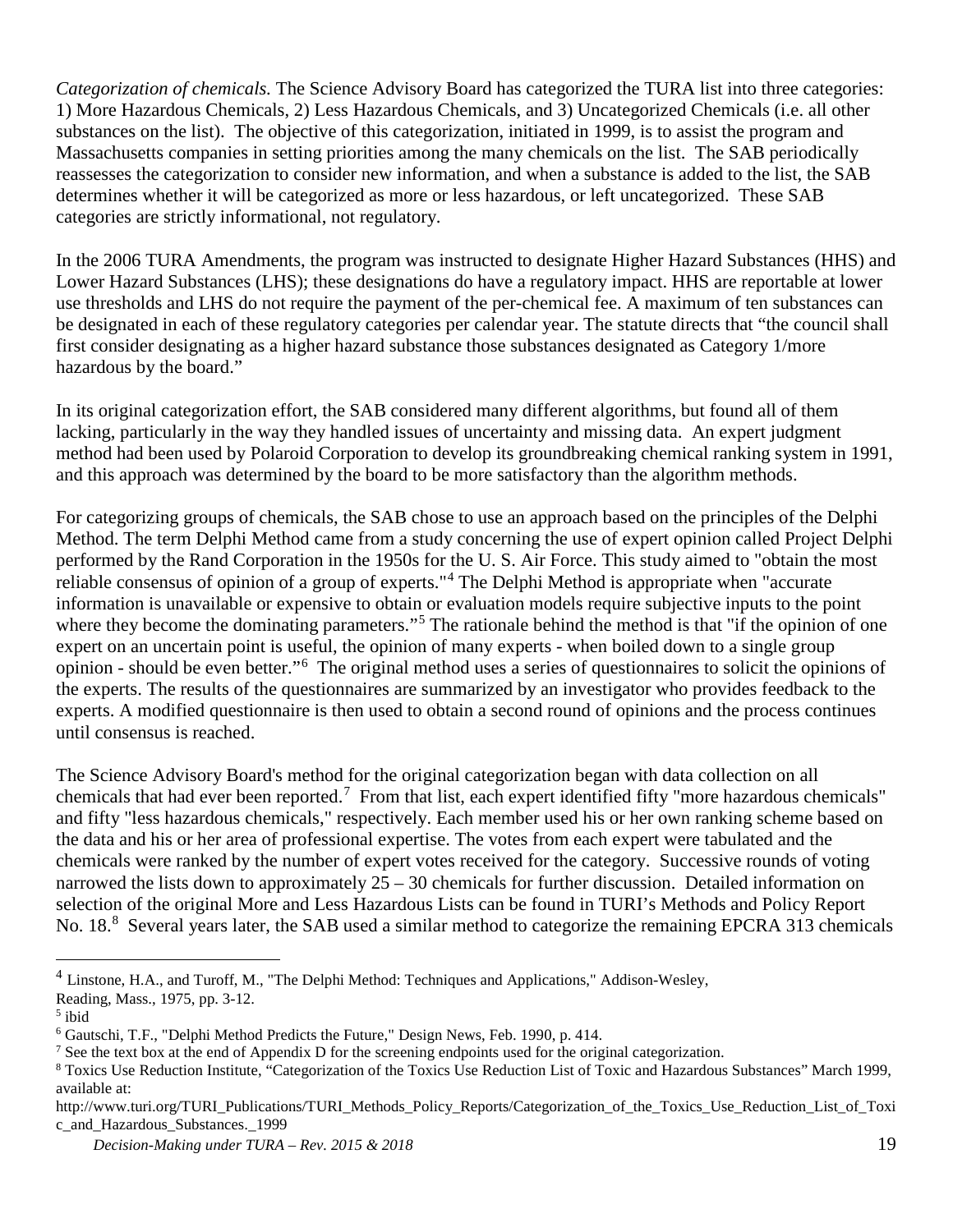*Categorization of chemicals.* The Science Advisory Board has categorized the TURA list into three categories: 1) More Hazardous Chemicals, 2) Less Hazardous Chemicals, and 3) Uncategorized Chemicals (i.e. all other substances on the list). The objective of this categorization, initiated in 1999, is to assist the program and Massachusetts companies in setting priorities among the many chemicals on the list. The SAB periodically reassesses the categorization to consider new information, and when a substance is added to the list, the SAB determines whether it will be categorized as more or less hazardous, or left uncategorized. These SAB categories are strictly informational, not regulatory.

In the 2006 TURA Amendments, the program was instructed to designate Higher Hazard Substances (HHS) and Lower Hazard Substances (LHS); these designations do have a regulatory impact. HHS are reportable at lower use thresholds and LHS do not require the payment of the per-chemical fee. A maximum of ten substances can be designated in each of these regulatory categories per calendar year. The statute directs that "the council shall first consider designating as a higher hazard substance those substances designated as Category 1/more hazardous by the board."

In its original categorization effort, the SAB considered many different algorithms, but found all of them lacking, particularly in the way they handled issues of uncertainty and missing data. An expert judgment method had been used by Polaroid Corporation to develop its groundbreaking chemical ranking system in 1991, and this approach was determined by the board to be more satisfactory than the algorithm methods.

For categorizing groups of chemicals, the SAB chose to use an approach based on the principles of the Delphi Method. The term Delphi Method came from a study concerning the use of expert opinion called Project Delphi performed by the Rand Corporation in the 1950s for the U. S. Air Force. This study aimed to "obtain the most reliable consensus of opinion of a group of experts."[4](#page-18-0) The Delphi Method is appropriate when "accurate information is unavailable or expensive to obtain or evaluation models require subjective inputs to the point where they become the dominating parameters."<sup>[5](#page-18-1)</sup> The rationale behind the method is that "if the opinion of one expert on an uncertain point is useful, the opinion of many experts - when boiled down to a single group opinion - should be even better."[6](#page-18-2) The original method uses a series of questionnaires to solicit the opinions of the experts. The results of the questionnaires are summarized by an investigator who provides feedback to the experts. A modified questionnaire is then used to obtain a second round of opinions and the process continues until consensus is reached.

The Science Advisory Board's method for the original categorization began with data collection on all chemicals that had ever been reported.<sup>[7](#page-18-3)</sup> From that list, each expert identified fifty "more hazardous chemicals" and fifty "less hazardous chemicals," respectively. Each member used his or her own ranking scheme based on the data and his or her area of professional expertise. The votes from each expert were tabulated and the chemicals were ranked by the number of expert votes received for the category. Successive rounds of voting narrowed the lists down to approximately 25 – 30 chemicals for further discussion. Detailed information on selection of the original More and Less Hazardous Lists can be found in TURI's Methods and Policy Report No. 1[8](#page-18-4).<sup>8</sup> Several years later, the SAB used a similar method to categorize the remaining EPCRA 313 chemicals

<span id="page-18-0"></span><sup>&</sup>lt;sup>4</sup> Linstone, H.A., and Turoff, M., "The Delphi Method: Techniques and Applications," Addison-Wesley,

Reading, Mass., 1975, pp. 3-12.

<span id="page-18-1"></span><sup>5</sup> ibid

<span id="page-18-2"></span><sup>6</sup> Gautschi, T.F., "Delphi Method Predicts the Future," Design News, Feb. 1990, p. 414.

<span id="page-18-3"></span><sup>7</sup> See the text box at the end of Appendix D for the screening endpoints used for the original categorization.

<span id="page-18-4"></span><sup>8</sup> Toxics Use Reduction Institute, "Categorization of the Toxics Use Reduction List of Toxic and Hazardous Substances" March 1999, available at:

http://www.turi.org/TURI\_Publications/TURI\_Methods\_Policy\_Reports/Categorization\_of\_the\_Toxics\_Use\_Reduction\_List\_of\_Toxi c\_and\_Hazardous\_Substances.\_1999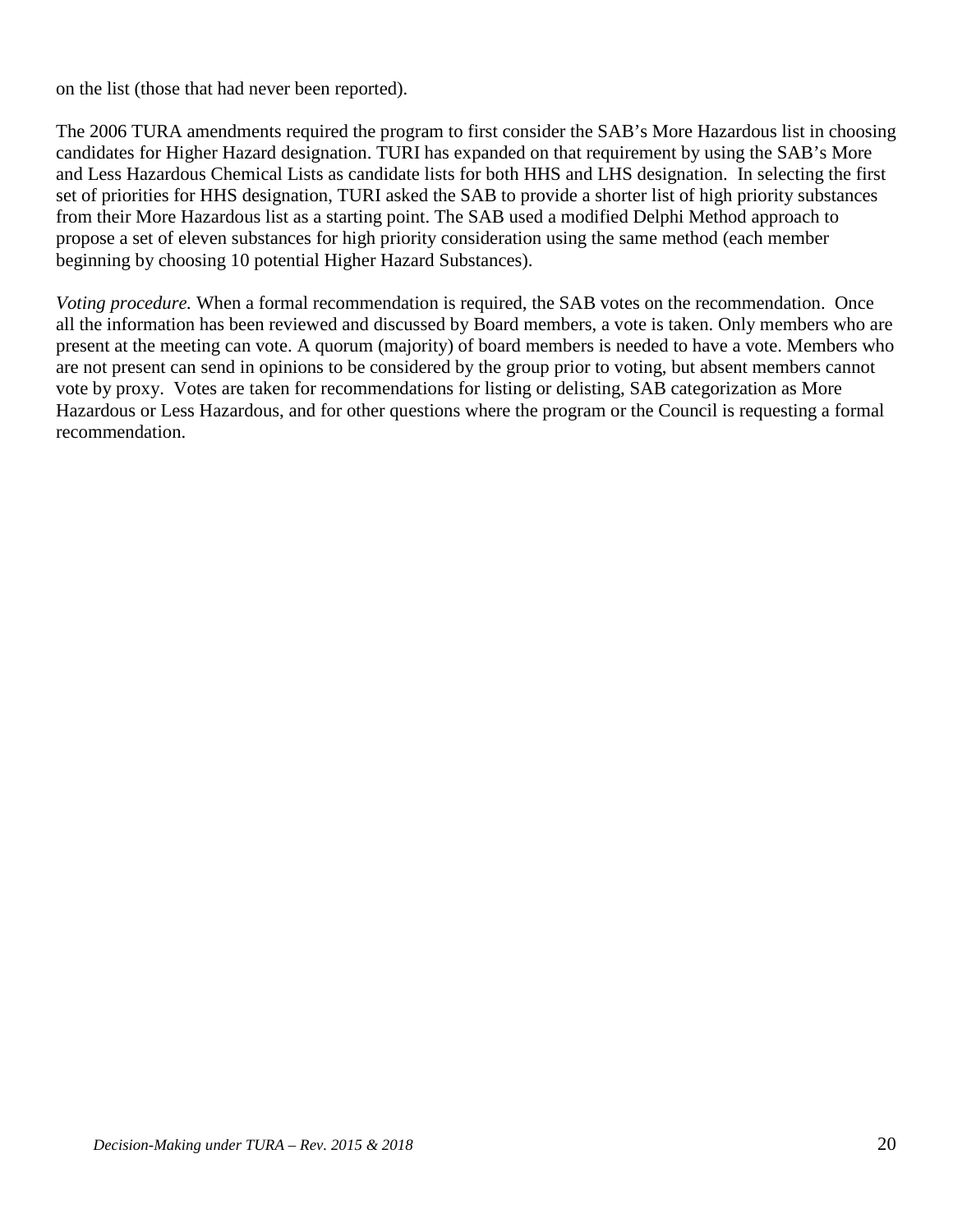on the list (those that had never been reported).

The 2006 TURA amendments required the program to first consider the SAB's More Hazardous list in choosing candidates for Higher Hazard designation. TURI has expanded on that requirement by using the SAB's More and Less Hazardous Chemical Lists as candidate lists for both HHS and LHS designation. In selecting the first set of priorities for HHS designation, TURI asked the SAB to provide a shorter list of high priority substances from their More Hazardous list as a starting point. The SAB used a modified Delphi Method approach to propose a set of eleven substances for high priority consideration using the same method (each member beginning by choosing 10 potential Higher Hazard Substances).

*Voting procedure.* When a formal recommendation is required, the SAB votes on the recommendation.Once all the information has been reviewed and discussed by Board members, a vote is taken. Only members who are present at the meeting can vote. A quorum (majority) of board members is needed to have a vote. Members who are not present can send in opinions to be considered by the group prior to voting, but absent members cannot vote by proxy. Votes are taken for recommendations for listing or delisting, SAB categorization as More Hazardous or Less Hazardous, and for other questions where the program or the Council is requesting a formal recommendation.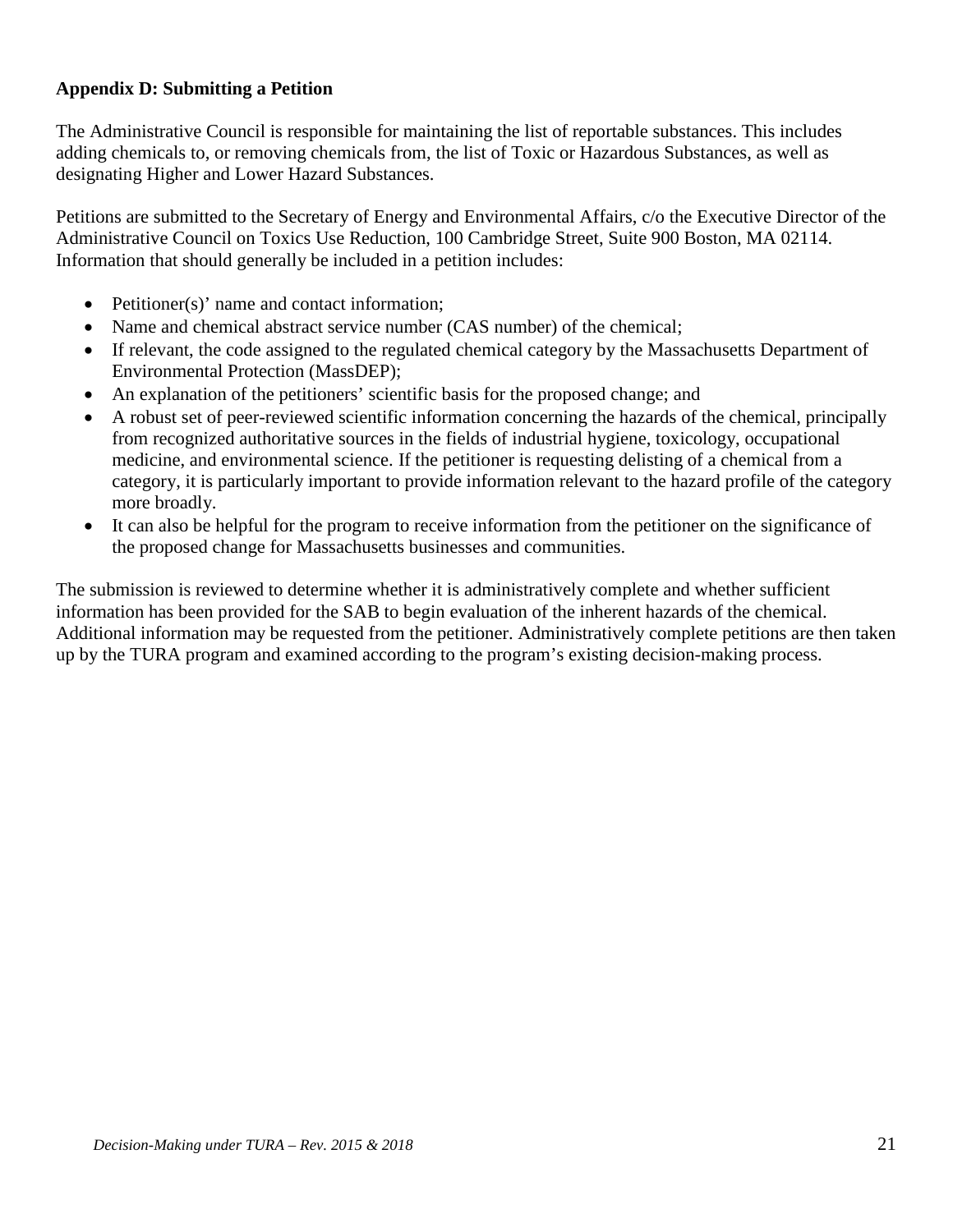## **Appendix D: Submitting a Petition**

The Administrative Council is responsible for maintaining the list of reportable substances. This includes adding chemicals to, or removing chemicals from, the list of Toxic or Hazardous Substances, as well as designating Higher and Lower Hazard Substances.

Petitions are submitted to the Secretary of Energy and Environmental Affairs, c/o the Executive Director of the Administrative Council on Toxics Use Reduction, 100 Cambridge Street, Suite 900 Boston, MA 02114. Information that should generally be included in a petition includes:

- Petitioner(s)' name and contact information;
- Name and chemical abstract service number (CAS number) of the chemical;
- If relevant, the code assigned to the regulated chemical category by the Massachusetts Department of Environmental Protection (MassDEP);
- An explanation of the petitioners' scientific basis for the proposed change; and
- A robust set of peer-reviewed scientific information concerning the hazards of the chemical, principally from recognized authoritative sources in the fields of industrial hygiene, toxicology, occupational medicine, and environmental science. If the petitioner is requesting delisting of a chemical from a category, it is particularly important to provide information relevant to the hazard profile of the category more broadly.
- It can also be helpful for the program to receive information from the petitioner on the significance of the proposed change for Massachusetts businesses and communities.

The submission is reviewed to determine whether it is administratively complete and whether sufficient information has been provided for the SAB to begin evaluation of the inherent hazards of the chemical. Additional information may be requested from the petitioner. Administratively complete petitions are then taken up by the TURA program and examined according to the program's existing decision-making process.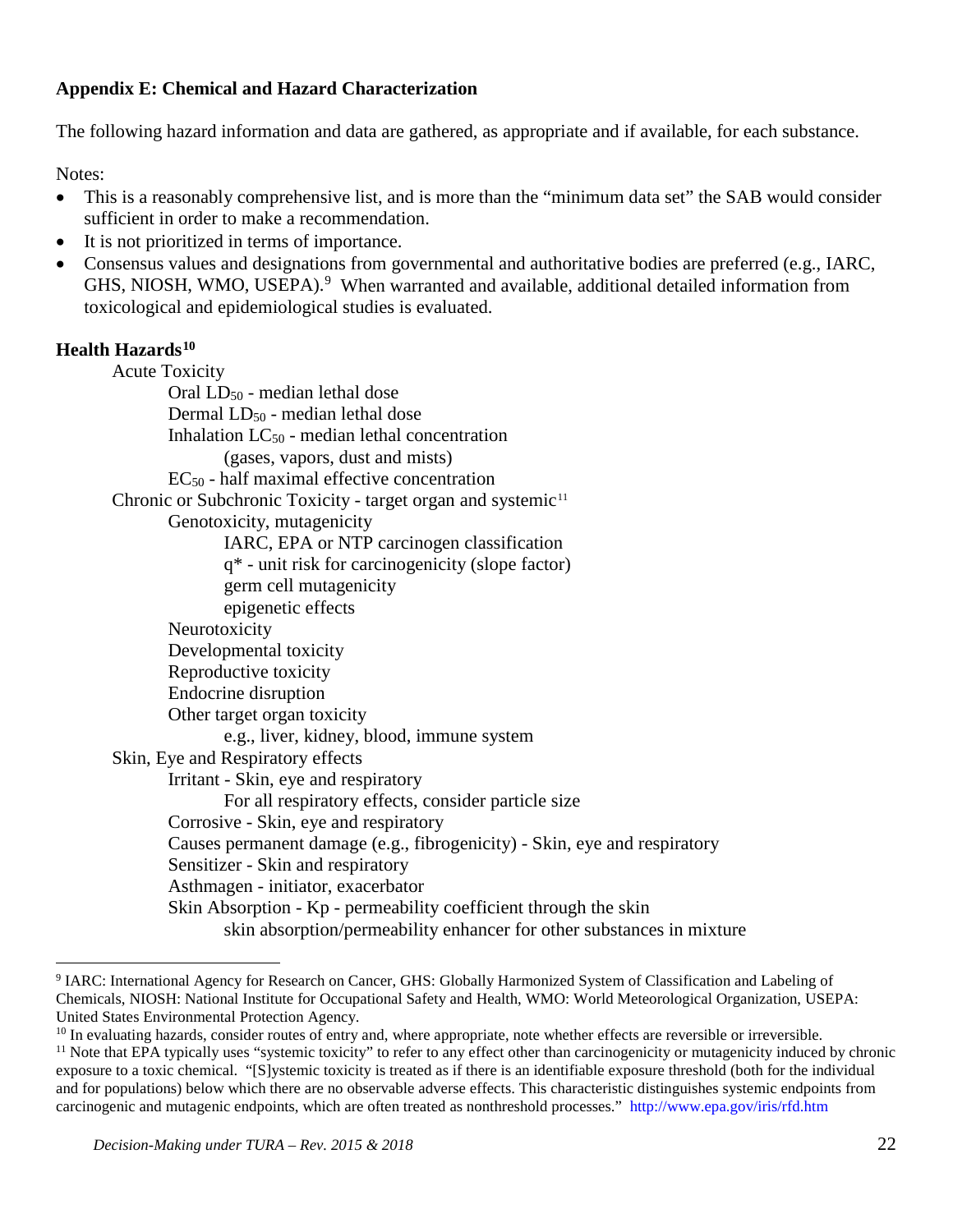## **Appendix E: Chemical and Hazard Characterization**

The following hazard information and data are gathered, as appropriate and if available, for each substance.

Notes:

- This is a reasonably comprehensive list, and is more than the "minimum data set" the SAB would consider sufficient in order to make a recommendation.
- It is not prioritized in terms of importance.
- Consensus values and designations from governmental and authoritative bodies are preferred (e.g., IARC, GHS, NIOSH, WMO, USEPA).<sup>[9](#page-21-0)</sup> When warranted and available, additional detailed information from toxicological and epidemiological studies is evaluated.

## **Health Hazards[10](#page-21-1)**

Acute Toxicity Oral LD50 - median lethal dose Dermal LD<sub>50</sub> - median lethal dose Inhalation  $LC_{50}$  - median lethal concentration (gases, vapors, dust and mists)  $EC_{50}$  - half maximal effective concentration Chronic or Subchronic Toxicity - target organ and systemic<sup>[11](#page-21-2)</sup> Genotoxicity, mutagenicity IARC, EPA or NTP carcinogen classification q\* - unit risk for carcinogenicity (slope factor) germ cell mutagenicity epigenetic effects Neurotoxicity Developmental toxicity Reproductive toxicity Endocrine disruption Other target organ toxicity e.g., liver, kidney, blood, immune system Skin, Eye and Respiratory effects Irritant - Skin, eye and respiratory For all respiratory effects, consider particle size Corrosive - Skin, eye and respiratory Causes permanent damage (e.g., fibrogenicity) - Skin, eye and respiratory Sensitizer - Skin and respiratory Asthmagen - initiator, exacerbator Skin Absorption - Kp - permeability coefficient through the skin skin absorption/permeability enhancer for other substances in mixture

<span id="page-21-0"></span> <sup>9</sup> IARC: International Agency for Research on Cancer, GHS: Globally Harmonized System of Classification and Labeling of Chemicals, NIOSH: National Institute for Occupational Safety and Health, WMO: World Meteorological Organization, USEPA: United States Environmental Protection Agency.<br><sup>10</sup> In evaluating hazards, consider routes of entry and, where appropriate, note whether effects are reversible or irreversible.

<span id="page-21-1"></span>

<span id="page-21-2"></span><sup>&</sup>lt;sup>11</sup> Note that EPA typically uses "systemic toxicity" to refer to any effect other than carcinogenicity or mutagenicity induced by chronic exposure to a toxic chemical. "[S]ystemic toxicity is treated as if there is an identifiable exposure threshold (both for the individual and for populations) below which there are no observable adverse effects. This characteristic distinguishes systemic endpoints from carcinogenic and mutagenic endpoints, which are often treated as nonthreshold processes." <http://www.epa.gov/iris/rfd.htm>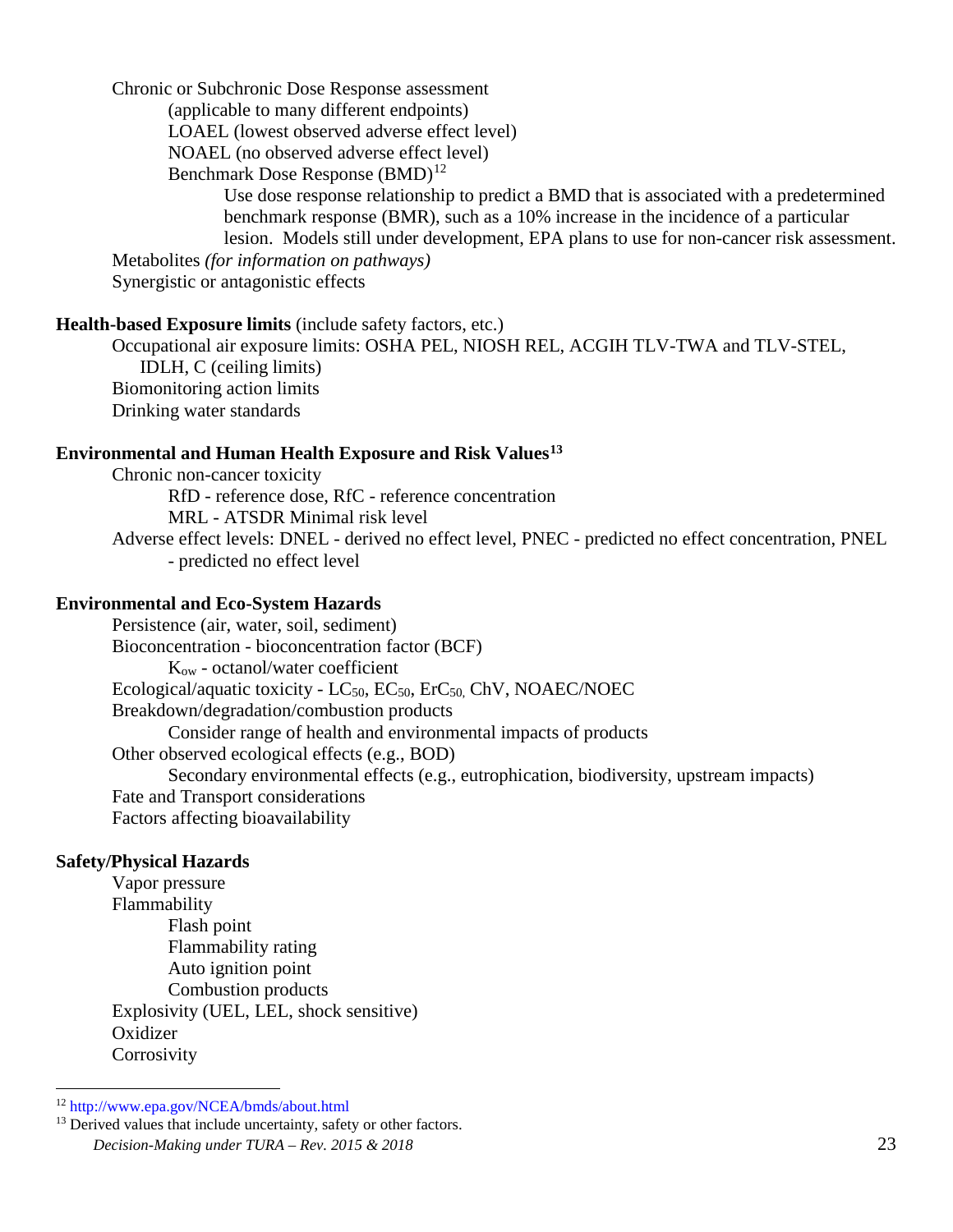Chronic or Subchronic Dose Response assessment

(applicable to many different endpoints)

LOAEL (lowest observed adverse effect level)

NOAEL (no observed adverse effect level)

Benchmark Dose Response (BMD)<sup>[12](#page-22-0)</sup>

Use dose response relationship to predict a BMD that is associated with a predetermined benchmark response (BMR), such as a 10% increase in the incidence of a particular lesion. Models still under development, EPA plans to use for non-cancer risk assessment.

Metabolites *(for information on pathways)*

Synergistic or antagonistic effects

#### **Health-based Exposure limits** (include safety factors, etc.)

Occupational air exposure limits: OSHA PEL, NIOSH REL, ACGIH TLV-TWA and TLV-STEL, IDLH, C (ceiling limits) Biomonitoring action limits Drinking water standards

#### **Environmental and Human Health Exposure and Risk Values[13](#page-22-1)**

Chronic non-cancer toxicity RfD - reference dose, RfC - reference concentration MRL - ATSDR Minimal risk level Adverse effect levels: DNEL - derived no effect level, PNEC - predicted no effect concentration, PNEL - predicted no effect level

#### **Environmental and Eco-System Hazards**

Persistence (air, water, soil, sediment) Bioconcentration - bioconcentration factor (BCF) Kow - octanol/water coefficient Ecological/aquatic toxicity - LC<sub>50</sub>, EC<sub>50</sub>, ErC<sub>50</sub>, ChV, NOAEC/NOEC Breakdown/degradation/combustion products Consider range of health and environmental impacts of products Other observed ecological effects (e.g., BOD) Secondary environmental effects (e.g., eutrophication, biodiversity, upstream impacts) Fate and Transport considerations Factors affecting bioavailability

#### **Safety/Physical Hazards**

Vapor pressure Flammability Flash point Flammability rating Auto ignition point Combustion products Explosivity (UEL, LEL, shock sensitive) Oxidizer **Corrosivity** 

<span id="page-22-0"></span> <sup>12</sup> <http://www.epa.gov/NCEA/bmds/about.html>

<span id="page-22-1"></span>*Decision-Making under TURA – Rev. 2015 & 2018* 23 <sup>13</sup> Derived values that include uncertainty, safety or other factors.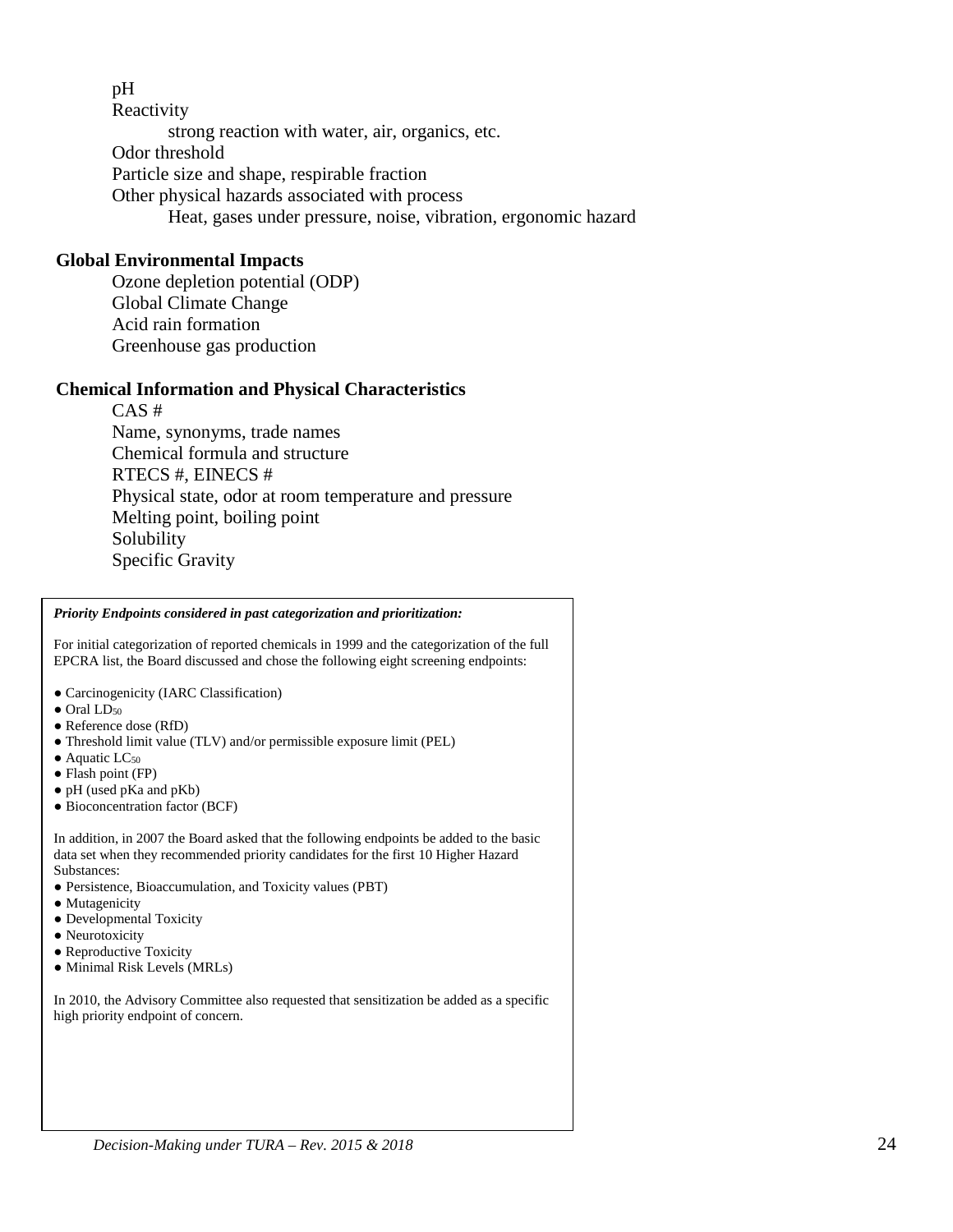#### pH

**Reactivity** strong reaction with water, air, organics, etc. Odor threshold Particle size and shape, respirable fraction Other physical hazards associated with process Heat, gases under pressure, noise, vibration, ergonomic hazard

#### **Global Environmental Impacts**

Ozone depletion potential (ODP) Global Climate Change Acid rain formation Greenhouse gas production

#### **Chemical Information and Physical Characteristics**

CAS # Name, synonyms, trade names Chemical formula and structure RTECS #, EINECS # Physical state, odor at room temperature and pressure Melting point, boiling point Solubility Specific Gravity

## *Decision-Making under TURA – Rev. 2015 & 2018* 24 *Priority Endpoints considered in past categorization and prioritization:* For initial categorization of reported chemicals in 1999 and the categorization of the full EPCRA list, the Board discussed and chose the following eight screening endpoints: ● Carcinogenicity (IARC Classification)  $\bullet$  Oral LD<sub>50</sub> ● Reference dose (RfD) ● Threshold limit value (TLV) and/or permissible exposure limit (PEL)  $\bullet$  Aquatic LC<sub>50</sub> ● Flash point (FP) ● pH (used pKa and pKb) ● Bioconcentration factor (BCF) In addition, in 2007 the Board asked that the following endpoints be added to the basic data set when they recommended priority candidates for the first 10 Higher Hazard Substances: ● Persistence, Bioaccumulation, and Toxicity values (PBT) • Mutagenicity • Developmental Toxicity • Neurotoxicity • Reproductive Toxicity ● Minimal Risk Levels (MRLs) In 2010, the Advisory Committee also requested that sensitization be added as a specific high priority endpoint of concern.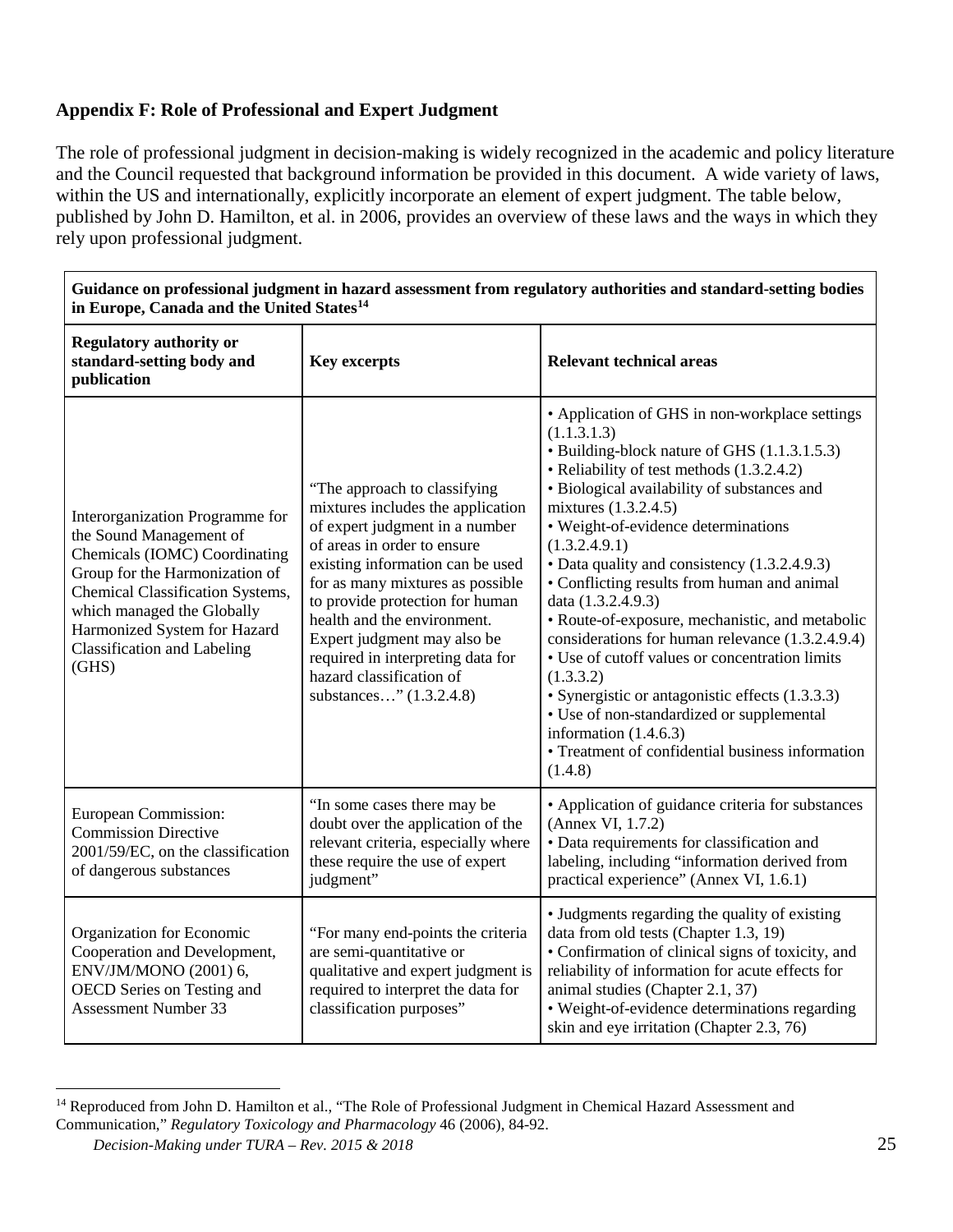## **Appendix F: Role of Professional and Expert Judgment**

The role of professional judgment in decision-making is widely recognized in the academic and policy literature and the Council requested that background information be provided in this document. A wide variety of laws, within the US and internationally, explicitly incorporate an element of expert judgment. The table below, published by John D. Hamilton, et al. in 2006, provides an overview of these laws and the ways in which they rely upon professional judgment.

| Guidance on professional judgment in hazard assessment from regulatory authorities and standard-setting bodies<br>in Europe, Canada and the United States <sup>14</sup>                                                                                                        |                                                                                                                                                                                                                                                                                                                                                                                                         |                                                                                                                                                                                                                                                                                                                                                                                                                                                                                                                                                                                                                                                                                                                                                                                |  |
|--------------------------------------------------------------------------------------------------------------------------------------------------------------------------------------------------------------------------------------------------------------------------------|---------------------------------------------------------------------------------------------------------------------------------------------------------------------------------------------------------------------------------------------------------------------------------------------------------------------------------------------------------------------------------------------------------|--------------------------------------------------------------------------------------------------------------------------------------------------------------------------------------------------------------------------------------------------------------------------------------------------------------------------------------------------------------------------------------------------------------------------------------------------------------------------------------------------------------------------------------------------------------------------------------------------------------------------------------------------------------------------------------------------------------------------------------------------------------------------------|--|
| <b>Regulatory authority or</b><br>standard-setting body and<br>publication                                                                                                                                                                                                     | <b>Key excerpts</b>                                                                                                                                                                                                                                                                                                                                                                                     | <b>Relevant technical areas</b>                                                                                                                                                                                                                                                                                                                                                                                                                                                                                                                                                                                                                                                                                                                                                |  |
| Interorganization Programme for<br>the Sound Management of<br>Chemicals (IOMC) Coordinating<br>Group for the Harmonization of<br>Chemical Classification Systems,<br>which managed the Globally<br>Harmonized System for Hazard<br><b>Classification and Labeling</b><br>(GHS) | "The approach to classifying<br>mixtures includes the application<br>of expert judgment in a number<br>of areas in order to ensure<br>existing information can be used<br>for as many mixtures as possible<br>to provide protection for human<br>health and the environment.<br>Expert judgment may also be<br>required in interpreting data for<br>hazard classification of<br>substances" (1.3.2.4.8) | • Application of GHS in non-workplace settings<br>(1.1.3.1.3)<br>• Building-block nature of GHS (1.1.3.1.5.3)<br>• Reliability of test methods (1.3.2.4.2)<br>· Biological availability of substances and<br>mixtures (1.3.2.4.5)<br>· Weight-of-evidence determinations<br>(1.3.2.4.9.1)<br>• Data quality and consistency (1.3.2.4.9.3)<br>• Conflicting results from human and animal<br>data (1.3.2.4.9.3)<br>· Route-of-exposure, mechanistic, and metabolic<br>considerations for human relevance (1.3.2.4.9.4)<br>• Use of cutoff values or concentration limits<br>(1.3.3.2)<br>· Synergistic or antagonistic effects (1.3.3.3)<br>• Use of non-standardized or supplemental<br>information $(1.4.6.3)$<br>• Treatment of confidential business information<br>(1.4.8) |  |
| European Commission:<br><b>Commission Directive</b><br>2001/59/EC, on the classification<br>of dangerous substances                                                                                                                                                            | "In some cases there may be<br>doubt over the application of the<br>relevant criteria, especially where<br>these require the use of expert<br>judgment"                                                                                                                                                                                                                                                 | • Application of guidance criteria for substances<br>(Annex VI, 1.7.2)<br>· Data requirements for classification and<br>labeling, including "information derived from<br>practical experience" (Annex VI, 1.6.1)                                                                                                                                                                                                                                                                                                                                                                                                                                                                                                                                                               |  |
| Organization for Economic<br>Cooperation and Development,<br>ENV/JM/MONO (2001) 6,<br>OECD Series on Testing and<br><b>Assessment Number 33</b>                                                                                                                                | "For many end-points the criteria<br>are semi-quantitative or<br>qualitative and expert judgment is<br>required to interpret the data for<br>classification purposes"                                                                                                                                                                                                                                   | • Judgments regarding the quality of existing<br>data from old tests (Chapter 1.3, 19)<br>• Confirmation of clinical signs of toxicity, and<br>reliability of information for acute effects for<br>animal studies (Chapter 2.1, 37)<br>· Weight-of-evidence determinations regarding<br>skin and eye irritation (Chapter 2.3, 76)                                                                                                                                                                                                                                                                                                                                                                                                                                              |  |

**Guidance on professional judgment in hazard assessment from regulatory authorities and standard-setting bodies** 

٦

<span id="page-24-0"></span><sup>&</sup>lt;sup>14</sup> Reproduced from John D. Hamilton et al., "The Role of Professional Judgment in Chemical Hazard Assessment and Communication," *Regulatory Toxicology and Pharmacology* 46 (2006), 84-92.

*Decision-Making under TURA – Rev. 2015 & 2018* 25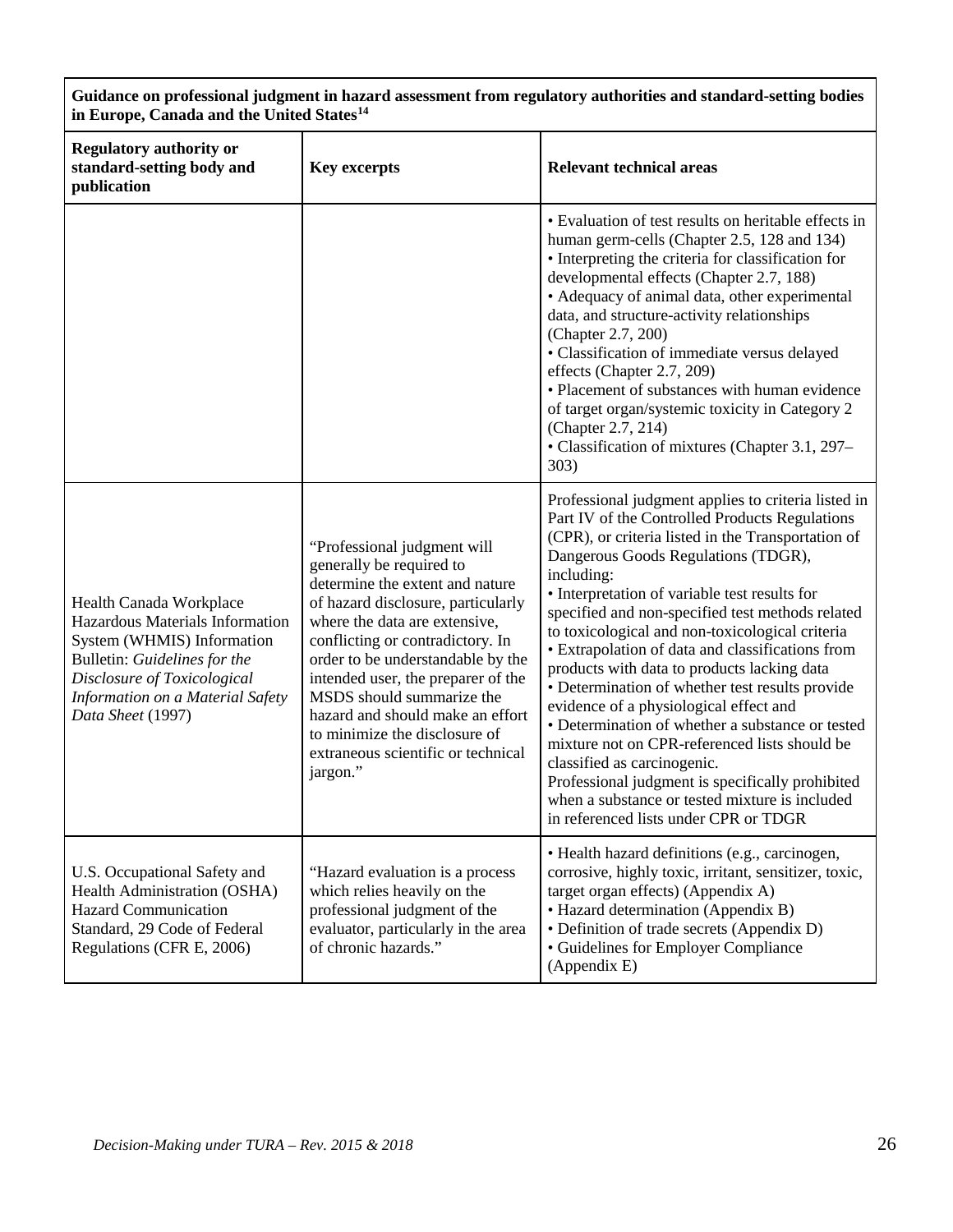| Guidance on professional judgment in hazard assessment from regulatory authorities and standard-setting bodies<br>in Europe, Canada and the United States <sup>14</sup>                                          |                                                                                                                                                                                                                                                                                                                                                                                                                                      |                                                                                                                                                                                                                                                                                                                                                                                                                                                                                                                                                                                                                                                                                                                                                                                                                                                             |  |
|------------------------------------------------------------------------------------------------------------------------------------------------------------------------------------------------------------------|--------------------------------------------------------------------------------------------------------------------------------------------------------------------------------------------------------------------------------------------------------------------------------------------------------------------------------------------------------------------------------------------------------------------------------------|-------------------------------------------------------------------------------------------------------------------------------------------------------------------------------------------------------------------------------------------------------------------------------------------------------------------------------------------------------------------------------------------------------------------------------------------------------------------------------------------------------------------------------------------------------------------------------------------------------------------------------------------------------------------------------------------------------------------------------------------------------------------------------------------------------------------------------------------------------------|--|
| <b>Regulatory authority or</b><br>standard-setting body and<br>publication                                                                                                                                       | <b>Key excerpts</b>                                                                                                                                                                                                                                                                                                                                                                                                                  | <b>Relevant technical areas</b>                                                                                                                                                                                                                                                                                                                                                                                                                                                                                                                                                                                                                                                                                                                                                                                                                             |  |
|                                                                                                                                                                                                                  |                                                                                                                                                                                                                                                                                                                                                                                                                                      | • Evaluation of test results on heritable effects in<br>human germ-cells (Chapter 2.5, 128 and 134)<br>• Interpreting the criteria for classification for<br>developmental effects (Chapter 2.7, 188)<br>• Adequacy of animal data, other experimental<br>data, and structure-activity relationships<br>(Chapter 2.7, 200)<br>· Classification of immediate versus delayed<br>effects (Chapter 2.7, 209)<br>• Placement of substances with human evidence<br>of target organ/systemic toxicity in Category 2<br>(Chapter 2.7, 214)<br>• Classification of mixtures (Chapter 3.1, 297–<br>303)                                                                                                                                                                                                                                                               |  |
| Health Canada Workplace<br>Hazardous Materials Information<br>System (WHMIS) Information<br>Bulletin: Guidelines for the<br>Disclosure of Toxicological<br>Information on a Material Safety<br>Data Sheet (1997) | "Professional judgment will<br>generally be required to<br>determine the extent and nature<br>of hazard disclosure, particularly<br>where the data are extensive,<br>conflicting or contradictory. In<br>order to be understandable by the<br>intended user, the preparer of the<br>MSDS should summarize the<br>hazard and should make an effort<br>to minimize the disclosure of<br>extraneous scientific or technical<br>jargon." | Professional judgment applies to criteria listed in<br>Part IV of the Controlled Products Regulations<br>(CPR), or criteria listed in the Transportation of<br>Dangerous Goods Regulations (TDGR),<br>including:<br>• Interpretation of variable test results for<br>specified and non-specified test methods related<br>to toxicological and non-toxicological criteria<br>• Extrapolation of data and classifications from<br>products with data to products lacking data<br>• Determination of whether test results provide<br>evidence of a physiological effect and<br>• Determination of whether a substance or tested<br>mixture not on CPR-referenced lists should be<br>classified as carcinogenic.<br>Professional judgment is specifically prohibited<br>when a substance or tested mixture is included<br>in referenced lists under CPR or TDGR |  |
| U.S. Occupational Safety and<br>Health Administration (OSHA)<br><b>Hazard Communication</b><br>Standard, 29 Code of Federal<br>Regulations (CFR E, 2006)                                                         | "Hazard evaluation is a process"<br>which relies heavily on the<br>professional judgment of the<br>evaluator, particularly in the area<br>of chronic hazards."                                                                                                                                                                                                                                                                       | · Health hazard definitions (e.g., carcinogen,<br>corrosive, highly toxic, irritant, sensitizer, toxic,<br>target organ effects) (Appendix A)<br>· Hazard determination (Appendix B)<br>• Definition of trade secrets (Appendix D)<br>• Guidelines for Employer Compliance<br>(Appendix E)                                                                                                                                                                                                                                                                                                                                                                                                                                                                                                                                                                  |  |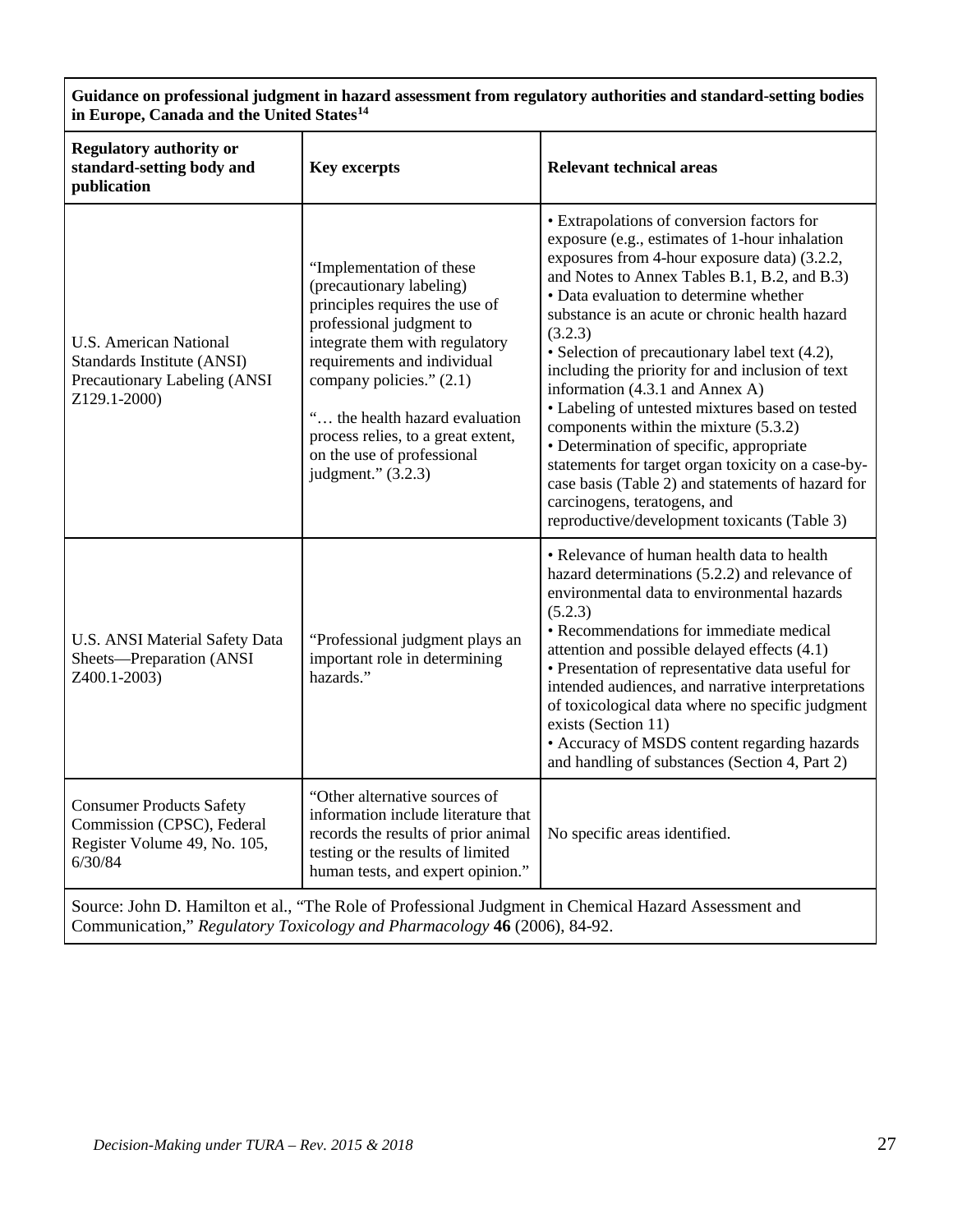| Guidance on professional judgment in hazard assessment from regulatory authorities and standard-setting bodies<br>in Europe, Canada and the United States <sup>14</sup> |                                                                                                                                                                                                                                                                                                                                               |                                                                                                                                                                                                                                                                                                                                                                                                                                                                                                                                                                                                                                                                                                                                                                                 |  |
|-------------------------------------------------------------------------------------------------------------------------------------------------------------------------|-----------------------------------------------------------------------------------------------------------------------------------------------------------------------------------------------------------------------------------------------------------------------------------------------------------------------------------------------|---------------------------------------------------------------------------------------------------------------------------------------------------------------------------------------------------------------------------------------------------------------------------------------------------------------------------------------------------------------------------------------------------------------------------------------------------------------------------------------------------------------------------------------------------------------------------------------------------------------------------------------------------------------------------------------------------------------------------------------------------------------------------------|--|
| <b>Regulatory authority or</b><br>standard-setting body and<br>publication                                                                                              | <b>Key excerpts</b>                                                                                                                                                                                                                                                                                                                           | <b>Relevant technical areas</b>                                                                                                                                                                                                                                                                                                                                                                                                                                                                                                                                                                                                                                                                                                                                                 |  |
| <b>U.S. American National</b><br>Standards Institute (ANSI)<br>Precautionary Labeling (ANSI<br>Z129.1-2000)                                                             | "Implementation of these<br>(precautionary labeling)<br>principles requires the use of<br>professional judgment to<br>integrate them with regulatory<br>requirements and individual<br>company policies." (2.1)<br>" the health hazard evaluation<br>process relies, to a great extent,<br>on the use of professional<br>judgment." $(3.2.3)$ | • Extrapolations of conversion factors for<br>exposure (e.g., estimates of 1-hour inhalation<br>exposures from 4-hour exposure data) (3.2.2,<br>and Notes to Annex Tables B.1, B.2, and B.3)<br>· Data evaluation to determine whether<br>substance is an acute or chronic health hazard<br>(3.2.3)<br>• Selection of precautionary label text (4.2),<br>including the priority for and inclusion of text<br>information (4.3.1 and Annex A)<br>• Labeling of untested mixtures based on tested<br>components within the mixture (5.3.2)<br>• Determination of specific, appropriate<br>statements for target organ toxicity on a case-by-<br>case basis (Table 2) and statements of hazard for<br>carcinogens, teratogens, and<br>reproductive/development toxicants (Table 3) |  |
| U.S. ANSI Material Safety Data<br>Sheets-Preparation (ANSI<br>Z400.1-2003)                                                                                              | "Professional judgment plays an<br>important role in determining<br>hazards."                                                                                                                                                                                                                                                                 | • Relevance of human health data to health<br>hazard determinations (5.2.2) and relevance of<br>environmental data to environmental hazards<br>(5.2.3)<br>• Recommendations for immediate medical<br>attention and possible delayed effects (4.1)<br>• Presentation of representative data useful for<br>intended audiences, and narrative interpretations<br>of toxicological data where no specific judgment<br>exists (Section 11)<br>• Accuracy of MSDS content regarding hazards<br>and handling of substances (Section 4, Part 2)                                                                                                                                                                                                                                         |  |
| <b>Consumer Products Safety</b><br>Commission (CPSC), Federal<br>Register Volume 49, No. 105,<br>6/30/84                                                                | "Other alternative sources of<br>information include literature that<br>records the results of prior animal<br>testing or the results of limited<br>human tests, and expert opinion."                                                                                                                                                         | No specific areas identified.                                                                                                                                                                                                                                                                                                                                                                                                                                                                                                                                                                                                                                                                                                                                                   |  |
|                                                                                                                                                                         |                                                                                                                                                                                                                                                                                                                                               | Source: John D. Hamilton et al., "The Role of Professional Judgment in Chemical Hazard Assessment and                                                                                                                                                                                                                                                                                                                                                                                                                                                                                                                                                                                                                                                                           |  |

Communication," *Regulatory Toxicology and Pharmacology* **46** (2006), 84-92.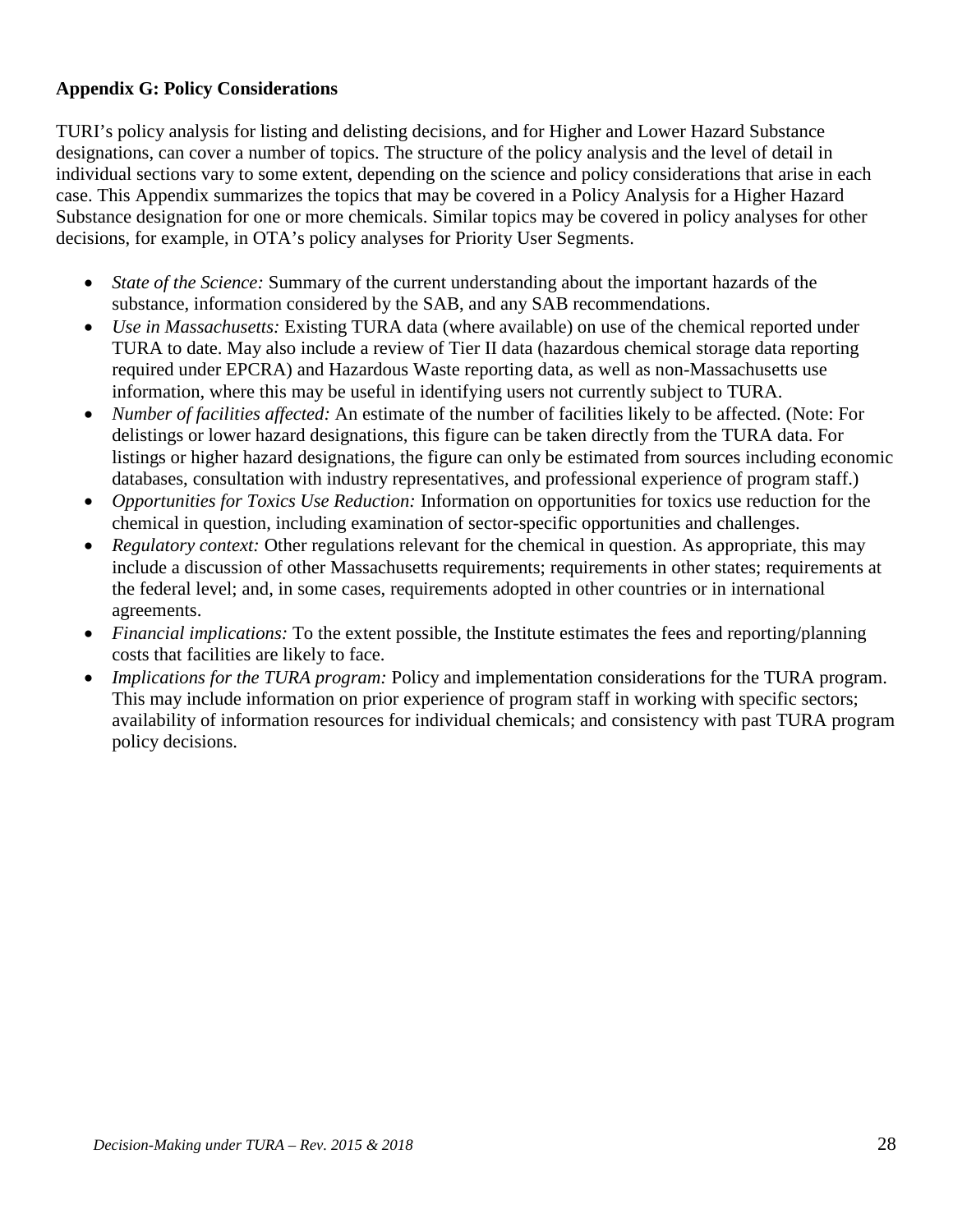## **Appendix G: Policy Considerations**

TURI's policy analysis for listing and delisting decisions, and for Higher and Lower Hazard Substance designations, can cover a number of topics. The structure of the policy analysis and the level of detail in individual sections vary to some extent, depending on the science and policy considerations that arise in each case. This Appendix summarizes the topics that may be covered in a Policy Analysis for a Higher Hazard Substance designation for one or more chemicals. Similar topics may be covered in policy analyses for other decisions, for example, in OTA's policy analyses for Priority User Segments.

- *State of the Science:* Summary of the current understanding about the important hazards of the substance, information considered by the SAB, and any SAB recommendations.
- *Use in Massachusetts:* Existing TURA data (where available) on use of the chemical reported under TURA to date. May also include a review of Tier II data (hazardous chemical storage data reporting required under EPCRA) and Hazardous Waste reporting data, as well as non-Massachusetts use information, where this may be useful in identifying users not currently subject to TURA.
- *Number of facilities affected:* An estimate of the number of facilities likely to be affected. (Note: For delistings or lower hazard designations, this figure can be taken directly from the TURA data. For listings or higher hazard designations, the figure can only be estimated from sources including economic databases, consultation with industry representatives, and professional experience of program staff.)
- *Opportunities for Toxics Use Reduction:* Information on opportunities for toxics use reduction for the chemical in question, including examination of sector-specific opportunities and challenges.
- *Regulatory context:* Other regulations relevant for the chemical in question. As appropriate, this may include a discussion of other Massachusetts requirements; requirements in other states; requirements at the federal level; and, in some cases, requirements adopted in other countries or in international agreements.
- *Financial implications:* To the extent possible, the Institute estimates the fees and reporting/planning costs that facilities are likely to face.
- *Implications for the TURA program:* Policy and implementation considerations for the TURA program. This may include information on prior experience of program staff in working with specific sectors; availability of information resources for individual chemicals; and consistency with past TURA program policy decisions.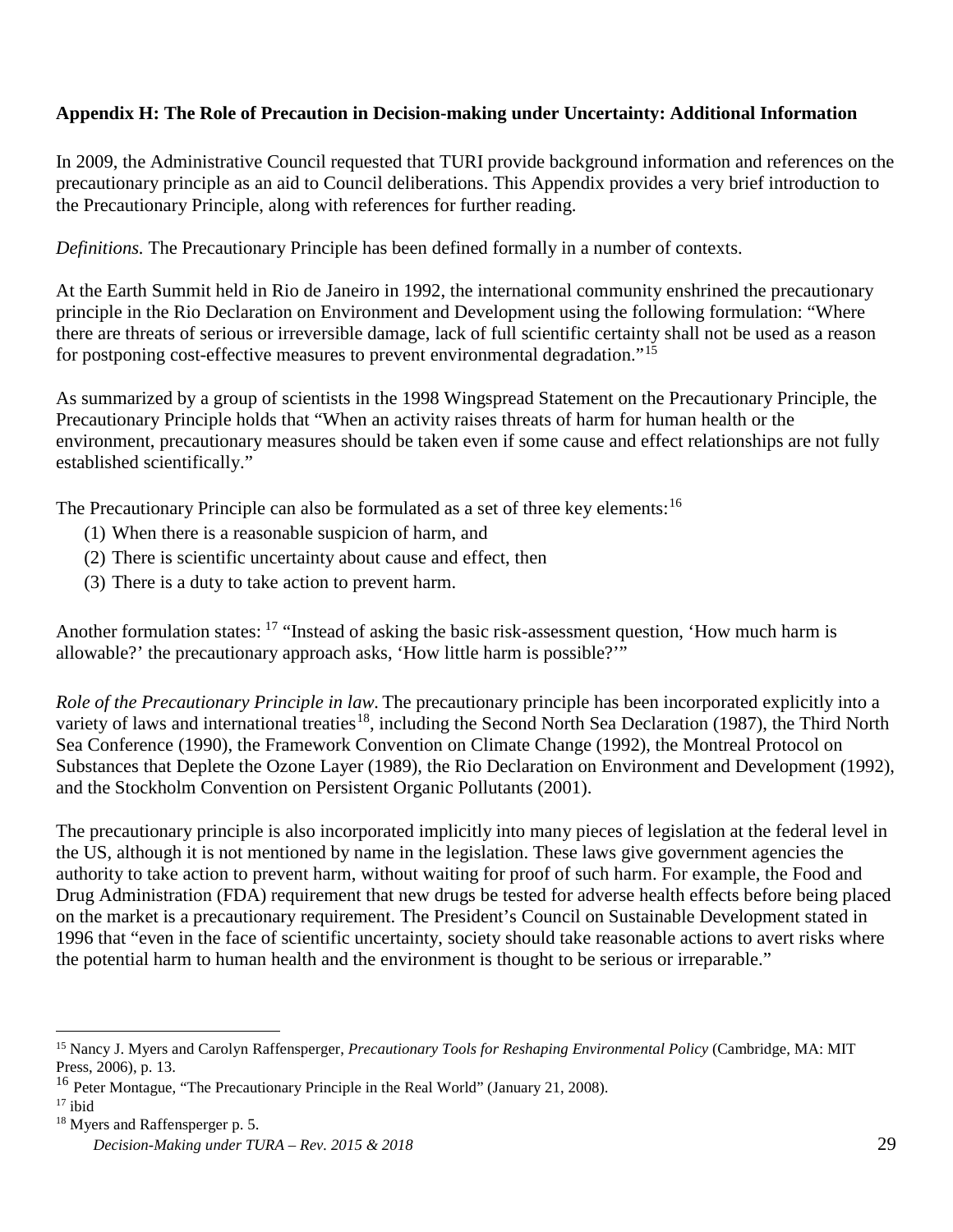## **Appendix H: The Role of Precaution in Decision-making under Uncertainty: Additional Information**

In 2009, the Administrative Council requested that TURI provide background information and references on the precautionary principle as an aid to Council deliberations. This Appendix provides a very brief introduction to the Precautionary Principle, along with references for further reading.

*Definitions.* The Precautionary Principle has been defined formally in a number of contexts.

At the Earth Summit held in Rio de Janeiro in 1992, the international community enshrined the precautionary principle in the Rio Declaration on Environment and Development using the following formulation: "Where there are threats of serious or irreversible damage, lack of full scientific certainty shall not be used as a reason for postponing cost-effective measures to prevent environmental degradation."[15](#page-28-0)

As summarized by a group of scientists in the 1998 Wingspread Statement on the Precautionary Principle, the Precautionary Principle holds that "When an activity raises threats of harm for human health or the environment, precautionary measures should be taken even if some cause and effect relationships are not fully established scientifically."

The Precautionary Principle can also be formulated as a set of three key elements:<sup>[16](#page-28-1)</sup>

- (1) When there is a reasonable suspicion of harm, and
- (2) There is scientific uncertainty about cause and effect, then
- (3) There is a duty to take action to prevent harm.

Another formulation states: <sup>[17](#page-28-2)</sup> "Instead of asking the basic risk-assessment question, 'How much harm is allowable?' the precautionary approach asks, 'How little harm is possible?'"

*Role of the Precautionary Principle in law.* The precautionary principle has been incorporated explicitly into a variety of laws and international treaties<sup>18</sup>, including the Second North Sea Declaration (1987), the Third North Sea Conference (1990), the Framework Convention on Climate Change (1992), the Montreal Protocol on Substances that Deplete the Ozone Layer (1989), the Rio Declaration on Environment and Development (1992), and the Stockholm Convention on Persistent Organic Pollutants (2001).

The precautionary principle is also incorporated implicitly into many pieces of legislation at the federal level in the US, although it is not mentioned by name in the legislation. These laws give government agencies the authority to take action to prevent harm, without waiting for proof of such harm. For example, the Food and Drug Administration (FDA) requirement that new drugs be tested for adverse health effects before being placed on the market is a precautionary requirement. The President's Council on Sustainable Development stated in 1996 that "even in the face of scientific uncertainty, society should take reasonable actions to avert risks where the potential harm to human health and the environment is thought to be serious or irreparable."

<span id="page-28-0"></span> <sup>15</sup> Nancy J. Myers and Carolyn Raffensperger, *Precautionary Tools for Reshaping Environmental Policy* (Cambridge, MA: MIT Press, 2006), p. 13.

<span id="page-28-1"></span><sup>&</sup>lt;sup>16</sup> Peter Montague, "The Precautionary Principle in the Real World" (January 21, 2008).

<span id="page-28-2"></span> $17$  ibid

<span id="page-28-3"></span><sup>18</sup> Myers and Raffensperger p. 5.

*Decision-Making under TURA – Rev. 2015 & 2018* 29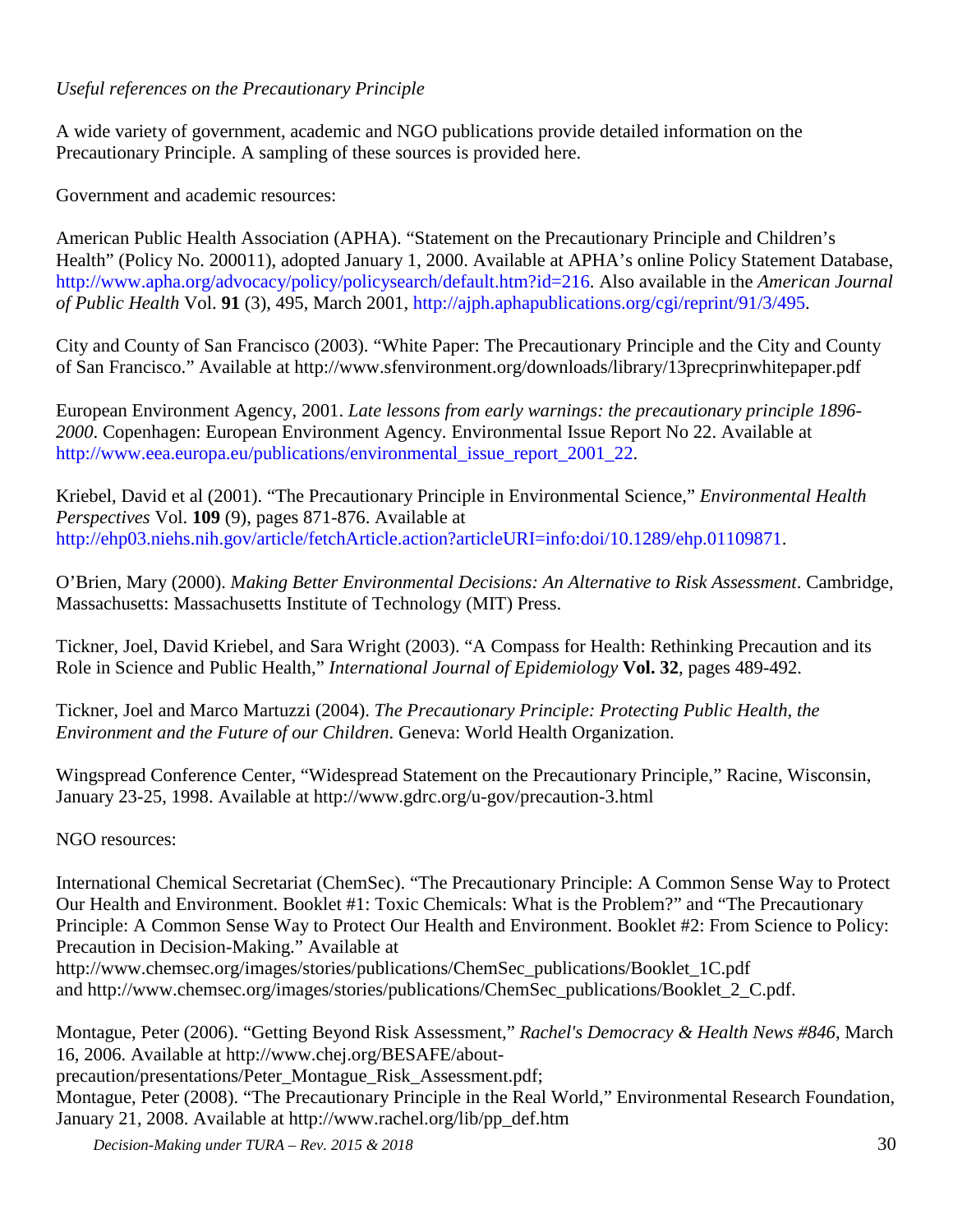## *Useful references on the Precautionary Principle*

A wide variety of government, academic and NGO publications provide detailed information on the Precautionary Principle. A sampling of these sources is provided here.

Government and academic resources:

American Public Health Association (APHA). "Statement on the Precautionary Principle and Children's Health" (Policy No. 200011), adopted January 1, 2000. Available at APHA's online Policy Statement Database, [http://www.apha.org/advocacy/policy/policysearch/default.htm?id=216.](http://www.apha.org/advocacy/policy/policysearch/default.htm?id=216) Also available in the *American Journal of Public Health* Vol. **91** (3), 495, March 2001, [http://ajph.aphapublications.org/cgi/reprint/91/3/495.](http://ajph.aphapublications.org/cgi/reprint/91/3/495)

City and County of San Francisco (2003). "White Paper: The Precautionary Principle and the City and County of San Francisco." Available at<http://www.sfenvironment.org/downloads/library/13precprinwhitepaper.pdf>

European Environment Agency, 2001. *Late lessons from early warnings: the precautionary principle 1896- 2000*. Copenhagen: European Environment Agency. Environmental Issue Report No 22. Available at [http://www.eea.europa.eu/publications/environmental\\_issue\\_report\\_2001\\_22.](http://www.eea.europa.eu/publications/environmental_issue_report_2001_22)

Kriebel, David et al (2001). "The Precautionary Principle in Environmental Science," *Environmental Health Perspectives* Vol. **109** (9), pages 871-876. Available at [http://ehp03.niehs.nih.gov/article/fetchArticle.action?articleURI=info:doi/10.1289/ehp.01109871.](http://ehp03.niehs.nih.gov/article/fetchArticle.action?articleURI=info:doi/10.1289/ehp.01109871)

O'Brien, Mary (2000). *Making Better Environmental Decisions: An Alternative to Risk Assessment*. Cambridge, Massachusetts: Massachusetts Institute of Technology (MIT) Press.

Tickner, Joel, David Kriebel, and Sara Wright (2003). "A Compass for Health: Rethinking Precaution and its Role in Science and Public Health," *International Journal of Epidemiology* **Vol. 32**, pages 489-492.

Tickner, Joel and Marco Martuzzi (2004). *The Precautionary Principle: Protecting Public Health, the Environment and the Future of our Children*. Geneva: World Health Organization.

Wingspread Conference Center, "Widespread Statement on the Precautionary Principle," Racine, Wisconsin, January 23-25, 1998. Available at<http://www.gdrc.org/u-gov/precaution-3.html>

NGO resources:

International Chemical Secretariat (ChemSec). "The Precautionary Principle: A Common Sense Way to Protect Our Health and Environment. Booklet #1: Toxic Chemicals: What is the Problem?" and "The Precautionary Principle: A Common Sense Way to Protect Our Health and Environment. Booklet #2: From Science to Policy: Precaution in Decision-Making." Available at

[http://www.chemsec.org/images/stories/publications/ChemSec\\_publications/Booklet\\_1C.pdf](http://www.chemsec.org/images/stories/publications/ChemSec_publications/Booklet_1C.pdf) and [http://www.chemsec.org/images/stories/publications/ChemSec\\_publications/Booklet\\_2\\_C.pdf.](http://www.chemsec.org/images/stories/publications/ChemSec_publications/Booklet_2_C.pdf)

Montague, Peter (2006). "Getting Beyond Risk Assessment," *Rachel's Democracy & Health News #846*, March 16, 2006. Available at [http://www.chej.org/BESAFE/about](http://www.chej.org/BESAFE/about-precaution/presentations/Peter_Montague_Risk_Assessment.pdf)[precaution/presentations/Peter\\_Montague\\_Risk\\_Assessment.pdf;](http://www.chej.org/BESAFE/about-precaution/presentations/Peter_Montague_Risk_Assessment.pdf) Montague, Peter (2008). "The Precautionary Principle in the Real World," Environmental Research Foundation,

*Decision-Making under TURA – Rev. 2015 & 2018* 30

January 21, 2008. Available at [http://www.rachel.org/lib/pp\\_def.htm](http://www.rachel.org/lib/pp_def.htm)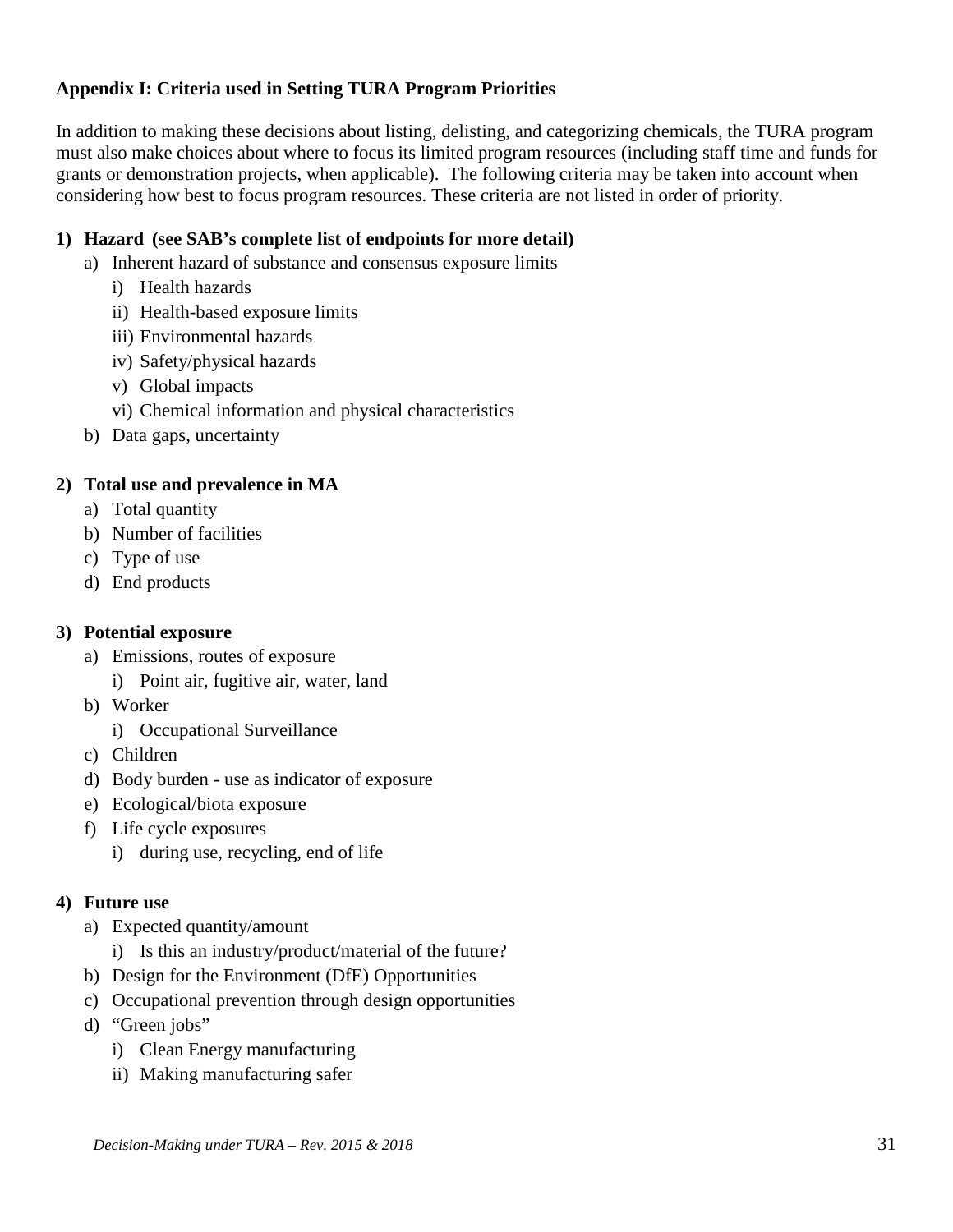## **Appendix I: Criteria used in Setting TURA Program Priorities**

In addition to making these decisions about listing, delisting, and categorizing chemicals, the TURA program must also make choices about where to focus its limited program resources (including staff time and funds for grants or demonstration projects, when applicable). The following criteria may be taken into account when considering how best to focus program resources. These criteria are not listed in order of priority.

## **1) Hazard (see SAB's complete list of endpoints for more detail)**

- a) Inherent hazard of substance and consensus exposure limits
	- i) Health hazards
	- ii) Health-based exposure limits
	- iii) Environmental hazards
	- iv) Safety/physical hazards
	- v) Global impacts
	- vi) Chemical information and physical characteristics
- b) Data gaps, uncertainty

## **2) Total use and prevalence in MA**

- a) Total quantity
- b) Number of facilities
- c) Type of use
- d) End products

## **3) Potential exposure**

- a) Emissions, routes of exposure
	- i) Point air, fugitive air, water, land
- b) Worker
	- i) Occupational Surveillance
- c) Children
- d) Body burden use as indicator of exposure
- e) Ecological/biota exposure
- f) Life cycle exposures
	- i) during use, recycling, end of life

## **4) Future use**

- a) Expected quantity/amount
	- i) Is this an industry/product/material of the future?
- b) Design for the Environment (DfE) Opportunities
- c) Occupational prevention through design opportunities
- d) "Green jobs"
	- i) Clean Energy manufacturing
	- ii) Making manufacturing safer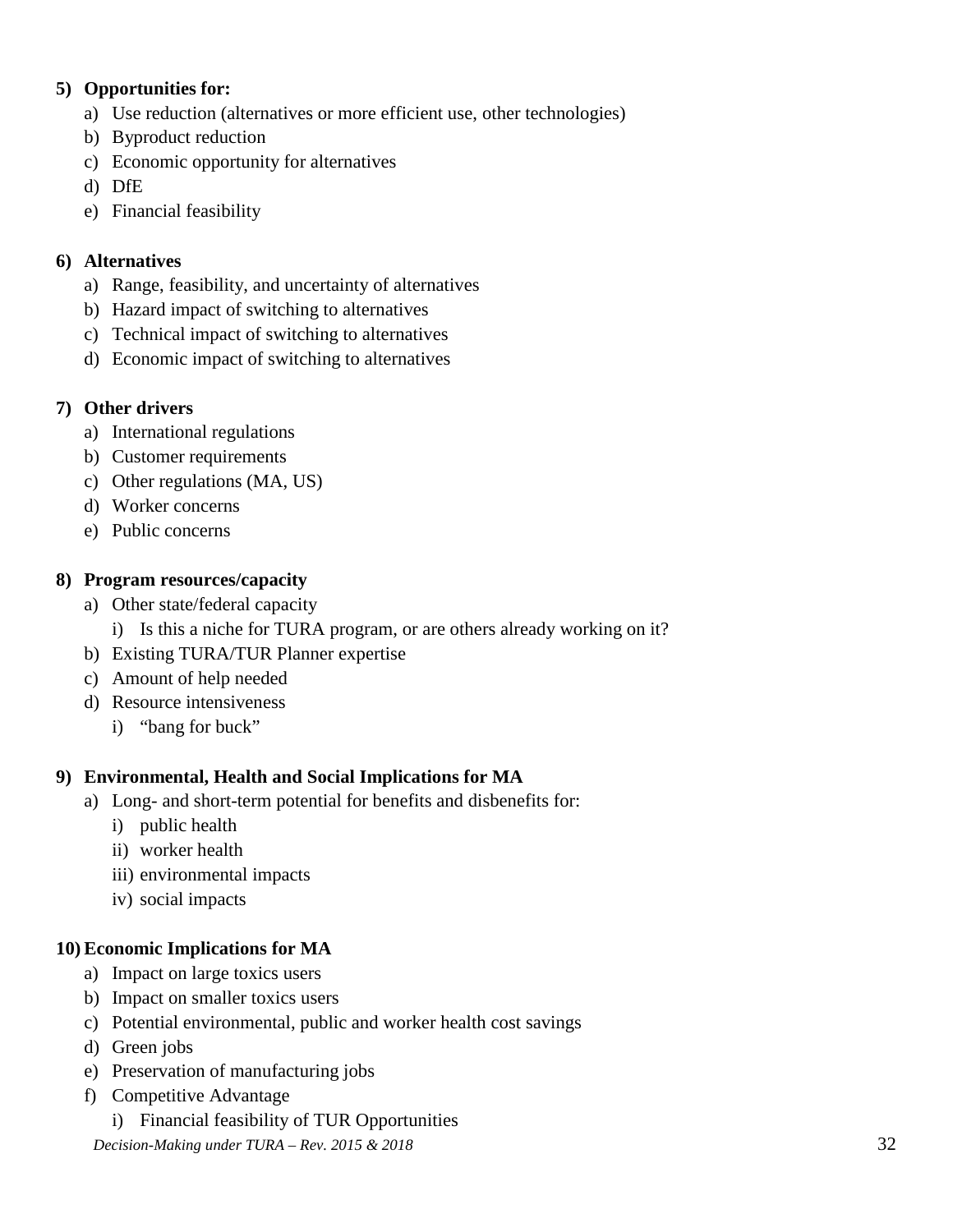## **5) Opportunities for:**

- a) Use reduction (alternatives or more efficient use, other technologies)
- b) Byproduct reduction
- c) Economic opportunity for alternatives
- d) DfE
- e) Financial feasibility

## **6) Alternatives**

- a) Range, feasibility, and uncertainty of alternatives
- b) Hazard impact of switching to alternatives
- c) Technical impact of switching to alternatives
- d) Economic impact of switching to alternatives

## **7) Other drivers**

- a) International regulations
- b) Customer requirements
- c) Other regulations (MA, US)
- d) Worker concerns
- e) Public concerns

## **8) Program resources/capacity**

- a) Other state/federal capacity
	- i) Is this a niche for TURA program, or are others already working on it?
- b) Existing TURA/TUR Planner expertise
- c) Amount of help needed
- d) Resource intensiveness
	- i) "bang for buck"

## **9) Environmental, Health and Social Implications for MA**

- a) Long- and short-term potential for benefits and disbenefits for:
	- i) public health
	- ii) worker health
	- iii) environmental impacts
	- iv) social impacts

## **10) Economic Implications for MA**

- a) Impact on large toxics users
- b) Impact on smaller toxics users
- c) Potential environmental, public and worker health cost savings
- d) Green jobs
- e) Preservation of manufacturing jobs
- f) Competitive Advantage
	- i) Financial feasibility of TUR Opportunities

*Decision-Making under TURA – Rev. 2015 & 2018* 32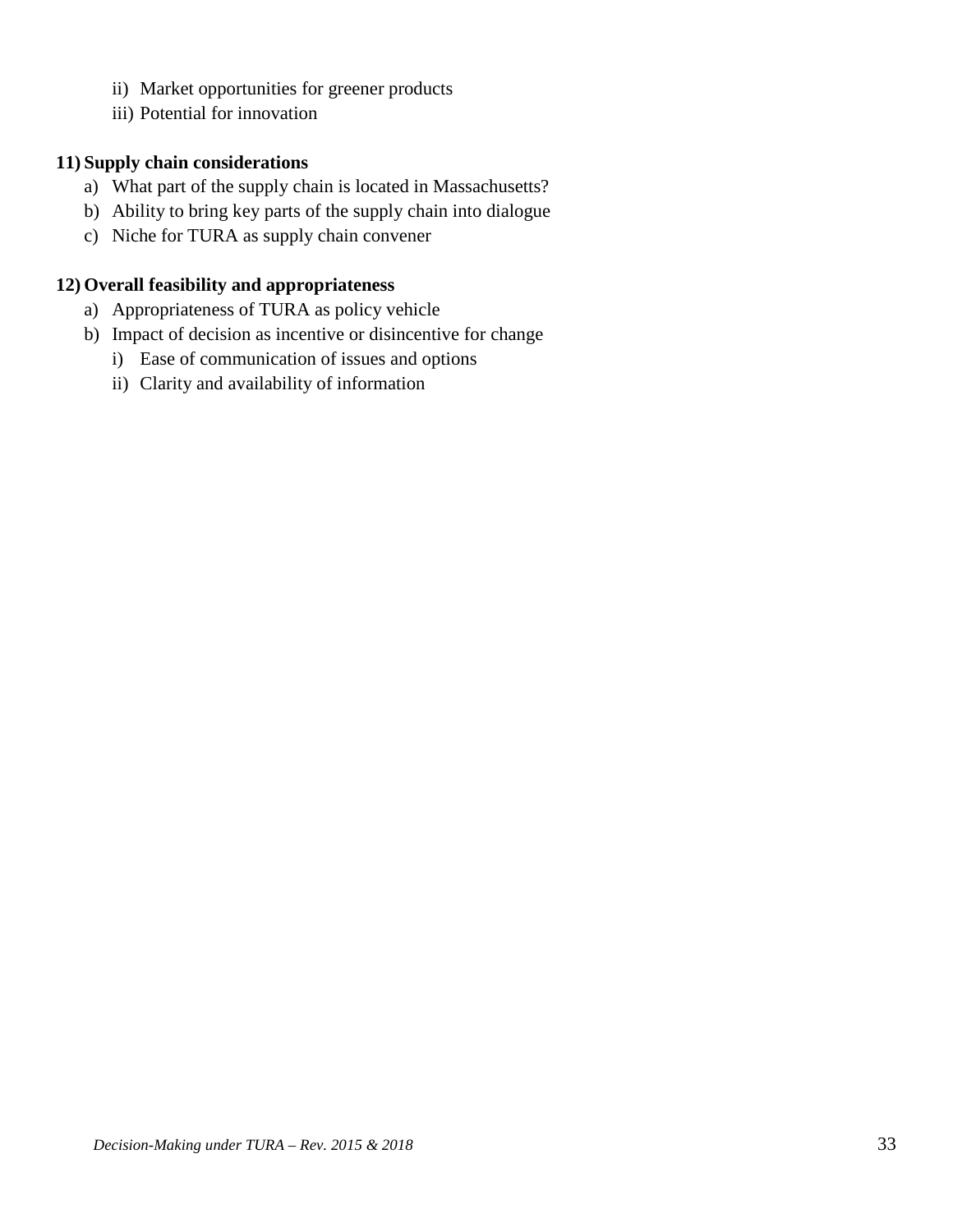- ii) Market opportunities for greener products
- iii) Potential for innovation

## **11) Supply chain considerations**

- a) What part of the supply chain is located in Massachusetts?
- b) Ability to bring key parts of the supply chain into dialogue
- c) Niche for TURA as supply chain convener

## **12) Overall feasibility and appropriateness**

- a) Appropriateness of TURA as policy vehicle
- b) Impact of decision as incentive or disincentive for change
	- i) Ease of communication of issues and options
	- ii) Clarity and availability of information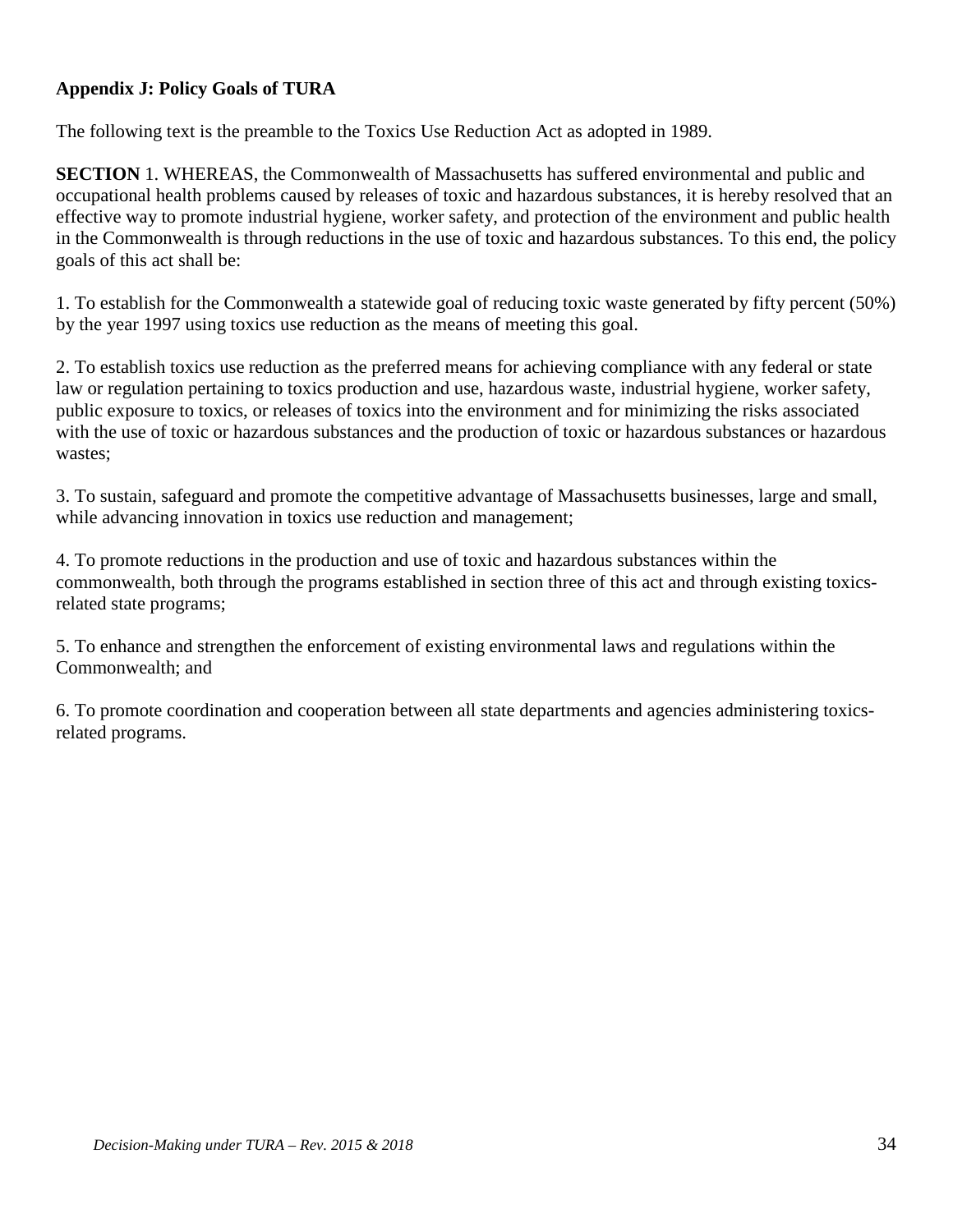## **Appendix J: Policy Goals of TURA**

The following text is the preamble to the Toxics Use Reduction Act as adopted in 1989.

**SECTION** 1. WHEREAS, the Commonwealth of Massachusetts has suffered environmental and public and occupational health problems caused by releases of toxic and hazardous substances, it is hereby resolved that an effective way to promote industrial hygiene, worker safety, and protection of the environment and public health in the Commonwealth is through reductions in the use of toxic and hazardous substances. To this end, the policy goals of this act shall be:

1. To establish for the Commonwealth a statewide goal of reducing toxic waste generated by fifty percent (50%) by the year 1997 using toxics use reduction as the means of meeting this goal.

2. To establish toxics use reduction as the preferred means for achieving compliance with any federal or state law or regulation pertaining to toxics production and use, hazardous waste, industrial hygiene, worker safety, public exposure to toxics, or releases of toxics into the environment and for minimizing the risks associated with the use of toxic or hazardous substances and the production of toxic or hazardous substances or hazardous wastes;

3. To sustain, safeguard and promote the competitive advantage of Massachusetts businesses, large and small, while advancing innovation in toxics use reduction and management;

4. To promote reductions in the production and use of toxic and hazardous substances within the commonwealth, both through the programs established in section three of this act and through existing toxicsrelated state programs;

5. To enhance and strengthen the enforcement of existing environmental laws and regulations within the Commonwealth; and

6. To promote coordination and cooperation between all state departments and agencies administering toxicsrelated programs.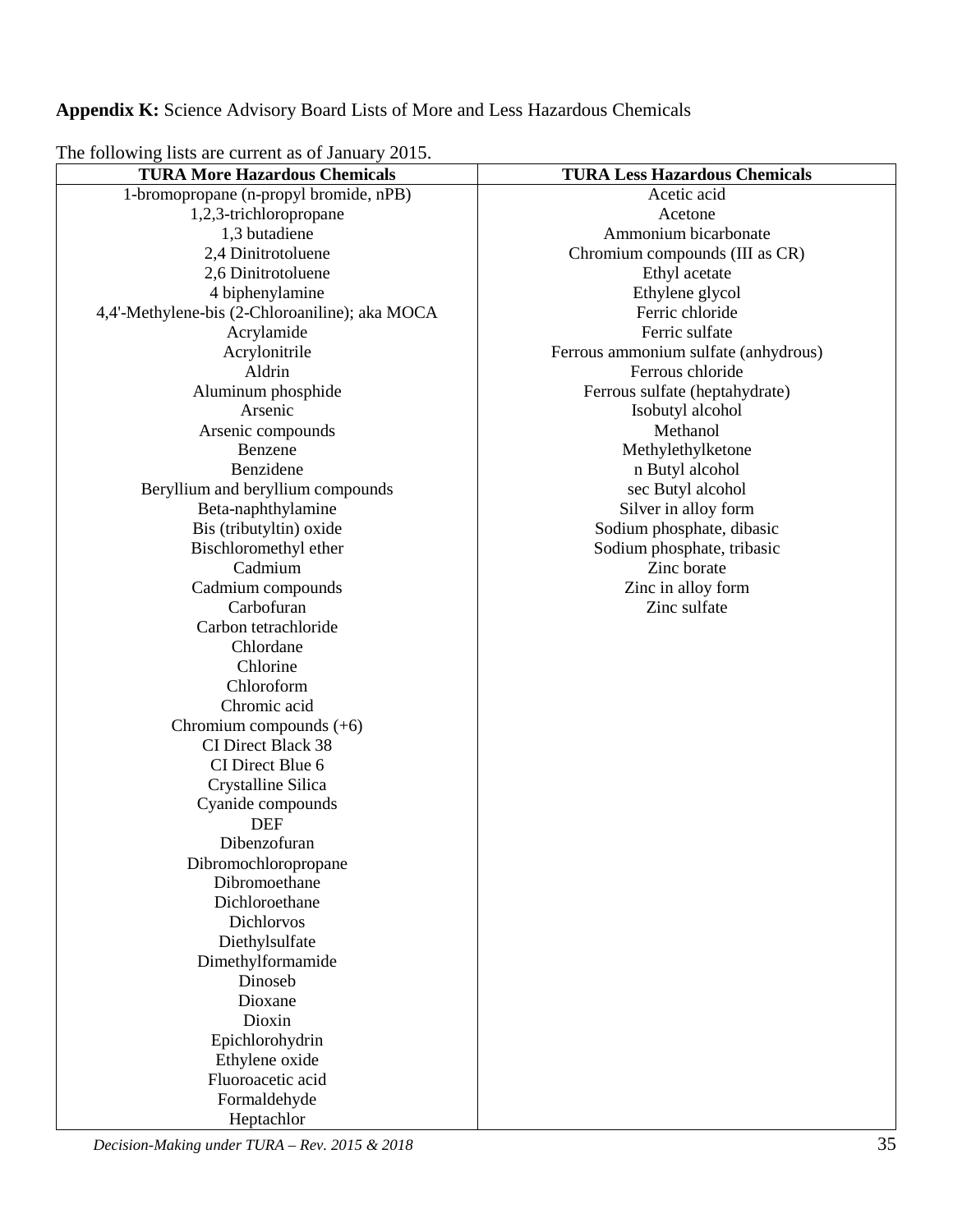**Appendix K:** Science Advisory Board Lists of More and Less Hazardous Chemicals

The following lists are current as of January 2015.

| <b>TURA More Hazardous Chemicals</b>           | <b>TURA Less Hazardous Chemicals</b> |
|------------------------------------------------|--------------------------------------|
| 1-bromopropane (n-propyl bromide, nPB)         | Acetic acid                          |
| 1,2,3-trichloropropane                         | Acetone                              |
| 1,3 butadiene                                  | Ammonium bicarbonate                 |
| 2,4 Dinitrotoluene                             | Chromium compounds (III as CR)       |
| 2,6 Dinitrotoluene                             | Ethyl acetate                        |
| 4 biphenylamine                                | Ethylene glycol                      |
| 4,4'-Methylene-bis (2-Chloroaniline); aka MOCA | Ferric chloride                      |
| Acrylamide                                     | Ferric sulfate                       |
| Acrylonitrile                                  | Ferrous ammonium sulfate (anhydrous) |
| Aldrin                                         | Ferrous chloride                     |
| Aluminum phosphide                             | Ferrous sulfate (heptahydrate)       |
| Arsenic                                        | Isobutyl alcohol                     |
| Arsenic compounds                              | Methanol                             |
| Benzene                                        | Methylethylketone                    |
| Benzidene                                      | n Butyl alcohol                      |
| Beryllium and beryllium compounds              | sec Butyl alcohol                    |
| Beta-naphthylamine                             | Silver in alloy form                 |
| Bis (tributyltin) oxide                        | Sodium phosphate, dibasic            |
| Bischloromethyl ether                          | Sodium phosphate, tribasic           |
| Cadmium                                        | Zinc borate                          |
| Cadmium compounds                              | Zinc in alloy form                   |
| Carbofuran                                     | Zinc sulfate                         |
| Carbon tetrachloride                           |                                      |
| Chlordane                                      |                                      |
| Chlorine                                       |                                      |
| Chloroform                                     |                                      |
| Chromic acid                                   |                                      |
| Chromium compounds $(+6)$                      |                                      |
| CI Direct Black 38                             |                                      |
| CI Direct Blue 6                               |                                      |
| Crystalline Silica                             |                                      |
| Cyanide compounds                              |                                      |
| <b>DEF</b>                                     |                                      |
| Dibenzofuran                                   |                                      |
| Dibromochloropropane                           |                                      |
| Dibromoethane                                  |                                      |
| Dichloroethane                                 |                                      |
| Dichlorvos                                     |                                      |
| Diethylsulfate                                 |                                      |
| Dimethylformamide                              |                                      |
| Dinoseb                                        |                                      |
| Dioxane                                        |                                      |
| Dioxin                                         |                                      |
| Epichlorohydrin                                |                                      |
| Ethylene oxide                                 |                                      |
| Fluoroacetic acid                              |                                      |
| Formaldehyde                                   |                                      |
| Heptachlor                                     |                                      |

*Decision-Making under TURA – Rev. 2015 & 2018* 35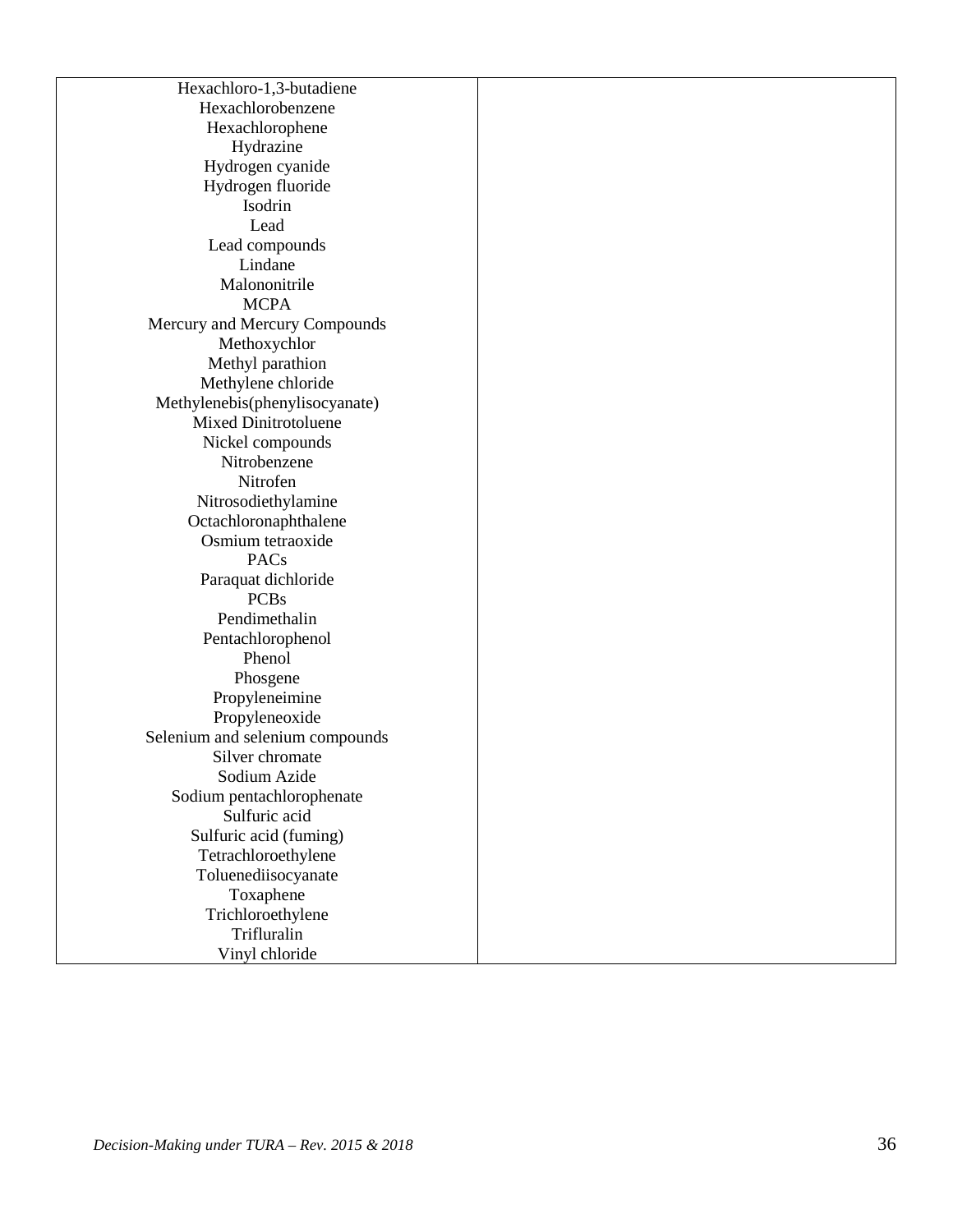Hexachloro - 1 , 3 -butadiene Hexachlorobenzene Hexachlorophene Hydrazine Hydrogen cyanide Hydrogen fluoride Isodrin Lead Lead compounds Lindane Malononitrile **MCPA** Mercury and Mercury Compounds Methoxychlor Methyl parathion Methylene chloride Methylenebis(phenylisocyanate) Mixed Dinitrotoluene Nickel compounds Nitrobenzene Nitrofen Nitrosodiethylamine Octachlorona p h thalene Osmium tetraoxide PACs Paraquat dichloride PCBs Pendimethalin Pentachlorophenol Phenol Phosgene Propyleneimine Propyleneoxide Selenium and selenium compounds Silver chromate Sodium Azide Sodium pentachlorophenate Sulfuric acid Sulfuric acid (fuming) Tetrachloroethylene Toluenediisocyanate Toxaphene Trichloroethylene Trifluralin Vinyl chloride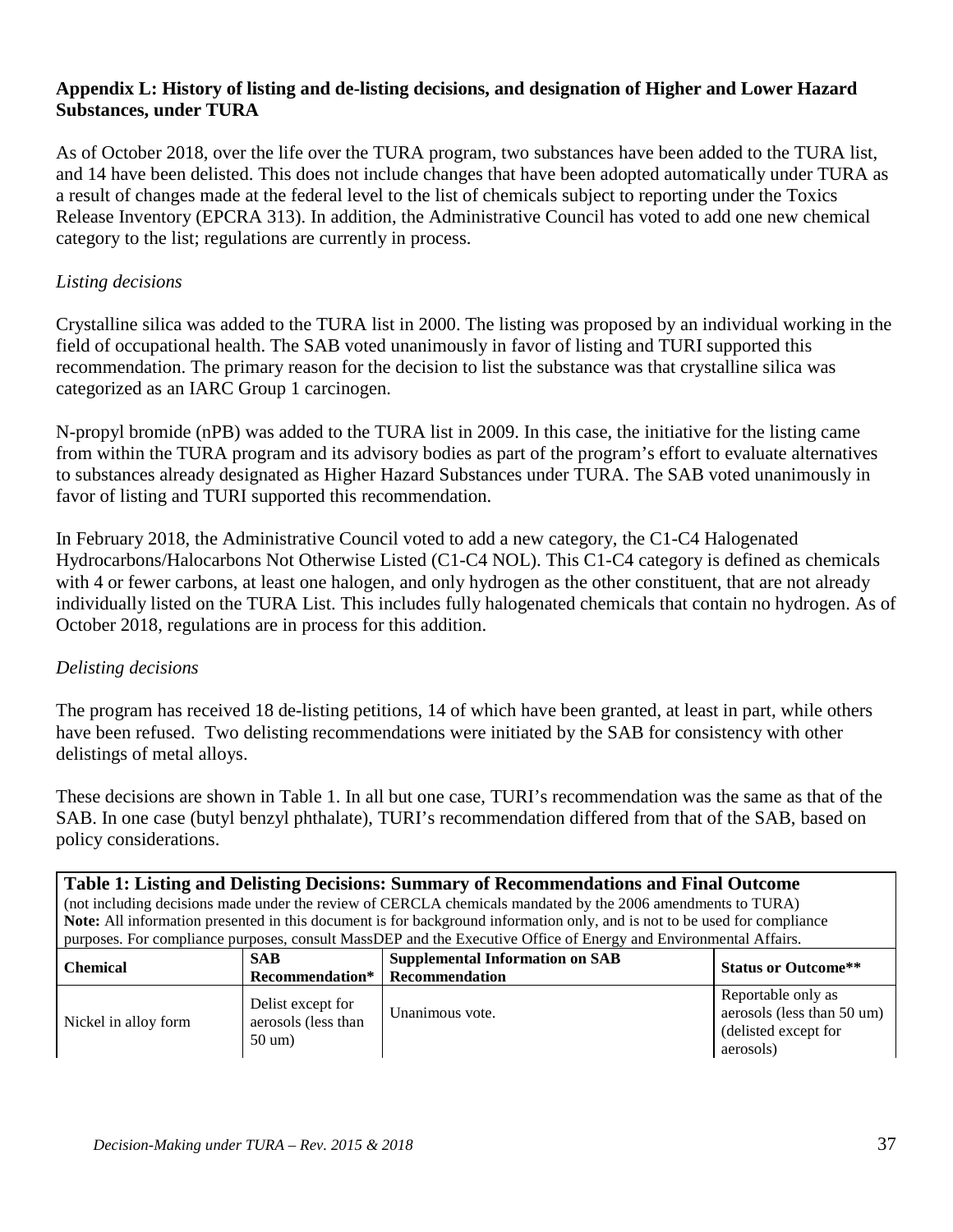## **Appendix L: History of listing and de-listing decisions, and designation of Higher and Lower Hazard Substances, under TURA**

As of October 2018, over the life over the TURA program, two substances have been added to the TURA list, and 14 have been delisted. This does not include changes that have been adopted automatically under TURA as a result of changes made at the federal level to the list of chemicals subject to reporting under the Toxics Release Inventory (EPCRA 313). In addition, the Administrative Council has voted to add one new chemical category to the list; regulations are currently in process.

## *Listing decisions*

Crystalline silica was added to the TURA list in 2000. The listing was proposed by an individual working in the field of occupational health. The SAB voted unanimously in favor of listing and TURI supported this recommendation. The primary reason for the decision to list the substance was that crystalline silica was categorized as an IARC Group 1 carcinogen.

N-propyl bromide (nPB) was added to the TURA list in 2009. In this case, the initiative for the listing came from within the TURA program and its advisory bodies as part of the program's effort to evaluate alternatives to substances already designated as Higher Hazard Substances under TURA. The SAB voted unanimously in favor of listing and TURI supported this recommendation.

In February 2018, the Administrative Council voted to add a new category, the C1-C4 Halogenated Hydrocarbons/Halocarbons Not Otherwise Listed (C1-C4 NOL). This C1-C4 category is defined as chemicals with 4 or fewer carbons, at least one halogen, and only hydrogen as the other constituent, that are not already individually listed on the TURA List. This includes fully halogenated chemicals that contain no hydrogen. As of October 2018, regulations are in process for this addition.

## *Delisting decisions*

The program has received 18 de-listing petitions, 14 of which have been granted, at least in part, while others have been refused. Two delisting recommendations were initiated by the SAB for consistency with other delistings of metal alloys.

These decisions are shown in Table 1. In all but one case, TURI's recommendation was the same as that of the SAB. In one case (butyl benzyl phthalate), TURI's recommendation differed from that of the SAB, based on policy considerations.

| Table 1: Listing and Delisting Decisions: Summary of Recommendations and Final Outcome<br>(not including decisions made under the review of CERCLA chemicals mandated by the 2006 amendments to TURA)<br>Note: All information presented in this document is for background information only, and is not to be used for compliance<br>purposes. For compliance purposes, consult MassDEP and the Executive Office of Energy and Environmental Affairs. |                                                               |                                                                 |                                                                                       |
|--------------------------------------------------------------------------------------------------------------------------------------------------------------------------------------------------------------------------------------------------------------------------------------------------------------------------------------------------------------------------------------------------------------------------------------------------------|---------------------------------------------------------------|-----------------------------------------------------------------|---------------------------------------------------------------------------------------|
| <b>Chemical</b>                                                                                                                                                                                                                                                                                                                                                                                                                                        | <b>SAB</b><br>Recommendation*                                 | <b>Supplemental Information on SAB</b><br><b>Recommendation</b> | <b>Status or Outcome**</b>                                                            |
| Nickel in alloy form                                                                                                                                                                                                                                                                                                                                                                                                                                   | Delist except for<br>aerosols (less than<br>$50 \text{ um}$ ) | Unanimous vote.                                                 | Reportable only as<br>aerosols (less than 50 um)<br>(delisted except for<br>aerosols) |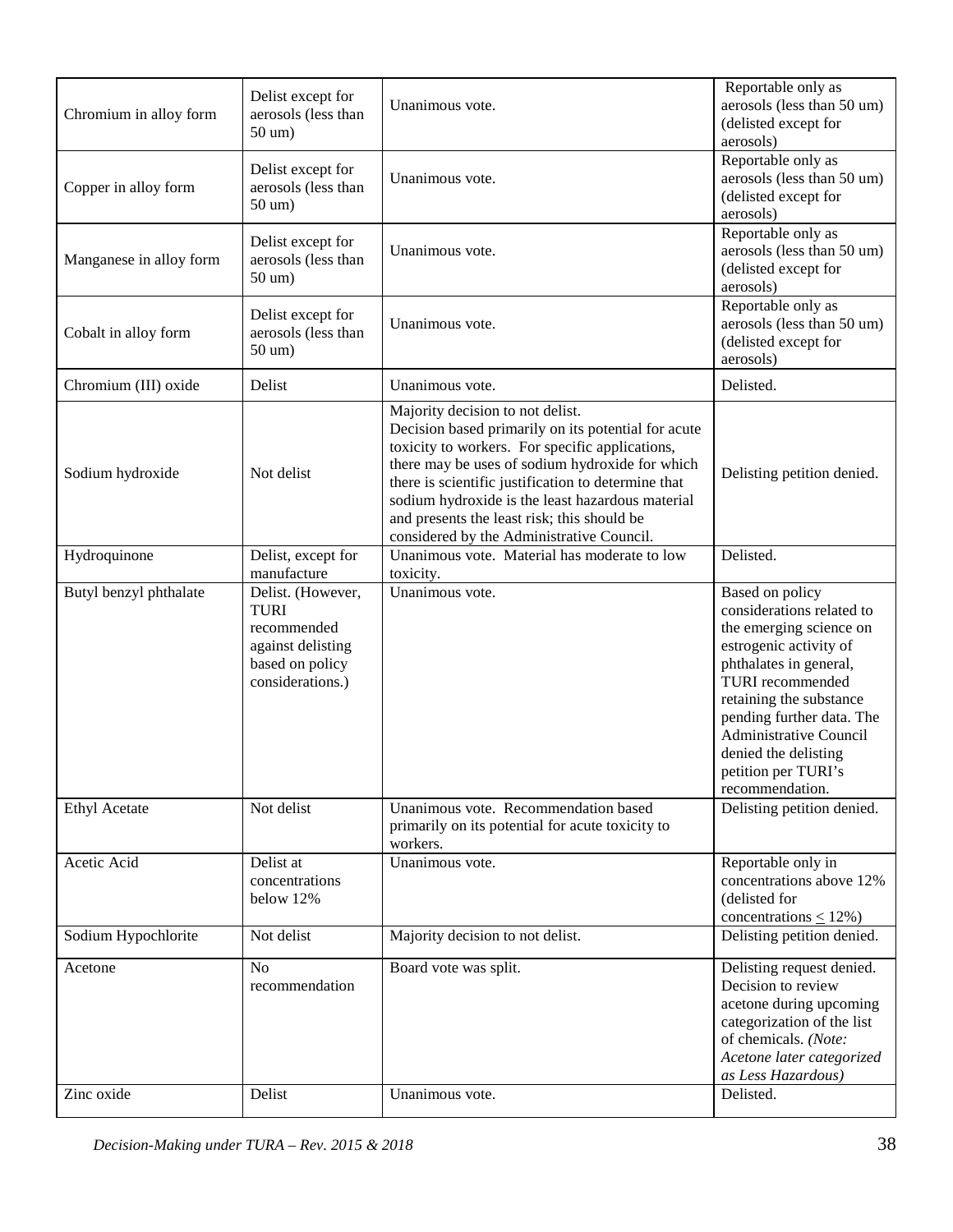| Chromium in alloy form  | Delist except for<br>aerosols (less than<br>50 um)                                                          | Unanimous vote.                                                                                                                                                                                                                                                                                                                                                                                      | Reportable only as<br>aerosols (less than 50 um)<br>(delisted except for<br>aerosols)                                                                                                                                                                                                                      |
|-------------------------|-------------------------------------------------------------------------------------------------------------|------------------------------------------------------------------------------------------------------------------------------------------------------------------------------------------------------------------------------------------------------------------------------------------------------------------------------------------------------------------------------------------------------|------------------------------------------------------------------------------------------------------------------------------------------------------------------------------------------------------------------------------------------------------------------------------------------------------------|
| Copper in alloy form    | Delist except for<br>aerosols (less than<br>50 um)                                                          | Unanimous vote.                                                                                                                                                                                                                                                                                                                                                                                      | Reportable only as<br>aerosols (less than 50 um)<br>(delisted except for<br>aerosols)                                                                                                                                                                                                                      |
| Manganese in alloy form | Delist except for<br>aerosols (less than<br>50 um)                                                          | Unanimous vote.                                                                                                                                                                                                                                                                                                                                                                                      | Reportable only as<br>aerosols (less than 50 um)<br>(delisted except for<br>aerosols)                                                                                                                                                                                                                      |
| Cobalt in alloy form    | Delist except for<br>aerosols (less than<br>50 um)                                                          | Unanimous vote.                                                                                                                                                                                                                                                                                                                                                                                      | Reportable only as<br>aerosols (less than 50 um)<br>(delisted except for<br>aerosols)                                                                                                                                                                                                                      |
| Chromium (III) oxide    | Delist                                                                                                      | Unanimous vote.                                                                                                                                                                                                                                                                                                                                                                                      | Delisted.                                                                                                                                                                                                                                                                                                  |
| Sodium hydroxide        | Not delist                                                                                                  | Majority decision to not delist.<br>Decision based primarily on its potential for acute<br>toxicity to workers. For specific applications,<br>there may be uses of sodium hydroxide for which<br>there is scientific justification to determine that<br>sodium hydroxide is the least hazardous material<br>and presents the least risk; this should be<br>considered by the Administrative Council. | Delisting petition denied.                                                                                                                                                                                                                                                                                 |
| Hydroquinone            | Delist, except for<br>manufacture                                                                           | Unanimous vote. Material has moderate to low<br>toxicity.                                                                                                                                                                                                                                                                                                                                            | Delisted.                                                                                                                                                                                                                                                                                                  |
| Butyl benzyl phthalate  | Delist. (However,<br><b>TURI</b><br>recommended<br>against delisting<br>based on policy<br>considerations.) | Unanimous vote.                                                                                                                                                                                                                                                                                                                                                                                      | Based on policy<br>considerations related to<br>the emerging science on<br>estrogenic activity of<br>phthalates in general,<br><b>TURI</b> recommended<br>retaining the substance<br>pending further data. The<br>Administrative Council<br>denied the delisting<br>petition per TURI's<br>recommendation. |
| <b>Ethyl Acetate</b>    | Not delist                                                                                                  | Unanimous vote. Recommendation based<br>primarily on its potential for acute toxicity to<br>workers.                                                                                                                                                                                                                                                                                                 | Delisting petition denied.                                                                                                                                                                                                                                                                                 |
| Acetic Acid             | Delist at<br>concentrations<br>below 12%                                                                    | Unanimous vote.                                                                                                                                                                                                                                                                                                                                                                                      | Reportable only in<br>concentrations above 12%<br>(delisted for<br>concentrations $\leq$ 12%)                                                                                                                                                                                                              |
| Sodium Hypochlorite     | Not delist                                                                                                  | Majority decision to not delist.                                                                                                                                                                                                                                                                                                                                                                     | Delisting petition denied.                                                                                                                                                                                                                                                                                 |
| Acetone                 | N <sub>o</sub><br>recommendation                                                                            | Board vote was split.                                                                                                                                                                                                                                                                                                                                                                                | Delisting request denied.<br>Decision to review<br>acetone during upcoming<br>categorization of the list<br>of chemicals. (Note:<br>Acetone later categorized<br>as Less Hazardous)                                                                                                                        |
| Zinc oxide              | Delist                                                                                                      | Unanimous vote.                                                                                                                                                                                                                                                                                                                                                                                      | Delisted.                                                                                                                                                                                                                                                                                                  |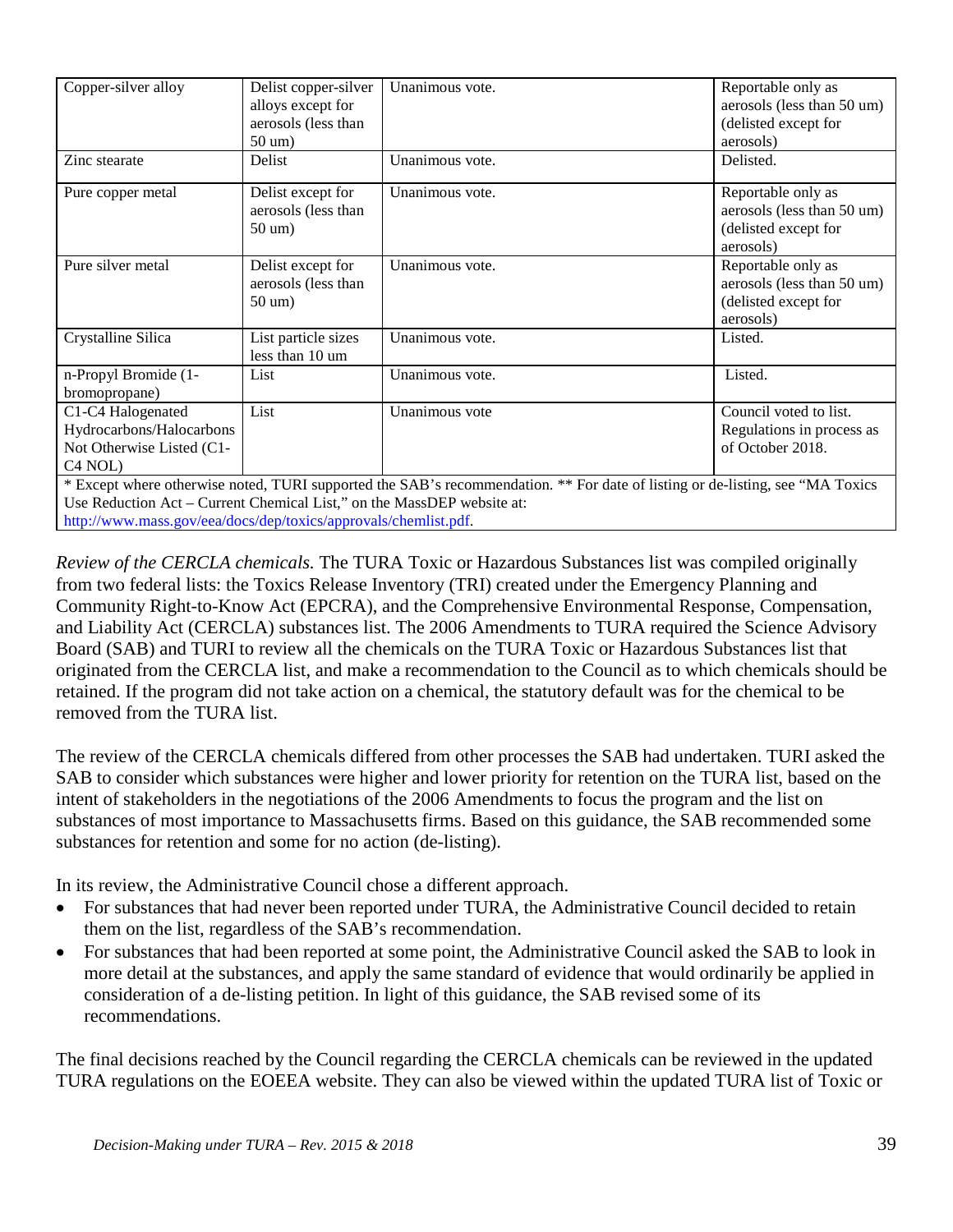| Copper-silver alloy                                                                                                            | Delist copper-silver | Unanimous vote. | Reportable only as         |
|--------------------------------------------------------------------------------------------------------------------------------|----------------------|-----------------|----------------------------|
|                                                                                                                                | alloys except for    |                 | aerosols (less than 50 um) |
|                                                                                                                                | aerosols (less than  |                 | (delisted except for       |
|                                                                                                                                | 50 um)               |                 | aerosols)                  |
| Zinc stearate                                                                                                                  | Delist               | Unanimous vote. | Delisted.                  |
| Pure copper metal                                                                                                              | Delist except for    | Unanimous vote. | Reportable only as         |
|                                                                                                                                | aerosols (less than  |                 | aerosols (less than 50 um) |
|                                                                                                                                | 50 um)               |                 | (delisted except for       |
|                                                                                                                                |                      |                 | aerosols)                  |
| Pure silver metal                                                                                                              | Delist except for    | Unanimous vote. | Reportable only as         |
|                                                                                                                                | aerosols (less than  |                 | aerosols (less than 50 um) |
|                                                                                                                                | 50 um)               |                 | (delisted except for       |
|                                                                                                                                |                      |                 | aerosols)                  |
| Crystalline Silica                                                                                                             | List particle sizes  | Unanimous vote. | Listed.                    |
|                                                                                                                                | less than 10 um      |                 |                            |
| n-Propyl Bromide (1-                                                                                                           | List                 | Unanimous vote. | Listed.                    |
| bromopropane)                                                                                                                  |                      |                 |                            |
| C1-C4 Halogenated                                                                                                              | List                 | Unanimous vote  | Council voted to list.     |
| Hydrocarbons/Halocarbons                                                                                                       |                      |                 | Regulations in process as  |
| Not Otherwise Listed (C1-                                                                                                      |                      |                 | of October 2018.           |
| C <sub>4</sub> NOL)                                                                                                            |                      |                 |                            |
| * Except where otherwise noted, TURI supported the SAB's recommendation. ** For date of listing or de-listing, see "MA Toxics" |                      |                 |                            |

Use Reduction Act – Current Chemical List," on the MassDEP website at: [http://www.mass.gov/eea/docs/dep/toxics/approvals/chemlist.pdf.](http://www.mass.gov/eea/docs/dep/toxics/approvals/chemlist.pdf)

*Review of the CERCLA chemicals.* The TURA Toxic or Hazardous Substances list was compiled originally from two federal lists: the Toxics Release Inventory (TRI) created under the Emergency Planning and Community Right-to-Know Act (EPCRA), and the Comprehensive Environmental Response, Compensation, and Liability Act (CERCLA) substances list. The 2006 Amendments to TURA required the Science Advisory Board (SAB) and TURI to review all the chemicals on the TURA Toxic or Hazardous Substances list that originated from the CERCLA list, and make a recommendation to the Council as to which chemicals should be retained. If the program did not take action on a chemical, the statutory default was for the chemical to be removed from the TURA list.

The review of the CERCLA chemicals differed from other processes the SAB had undertaken. TURI asked the SAB to consider which substances were higher and lower priority for retention on the TURA list, based on the intent of stakeholders in the negotiations of the 2006 Amendments to focus the program and the list on substances of most importance to Massachusetts firms. Based on this guidance, the SAB recommended some substances for retention and some for no action (de-listing).

In its review, the Administrative Council chose a different approach.

- For substances that had never been reported under TURA, the Administrative Council decided to retain them on the list, regardless of the SAB's recommendation.
- For substances that had been reported at some point, the Administrative Council asked the SAB to look in more detail at the substances, and apply the same standard of evidence that would ordinarily be applied in consideration of a de-listing petition. In light of this guidance, the SAB revised some of its recommendations.

The final decisions reached by the Council regarding the CERCLA chemicals can be reviewed in the updated TURA regulations on the EOEEA website. They can also be viewed within the updated TURA list of Toxic or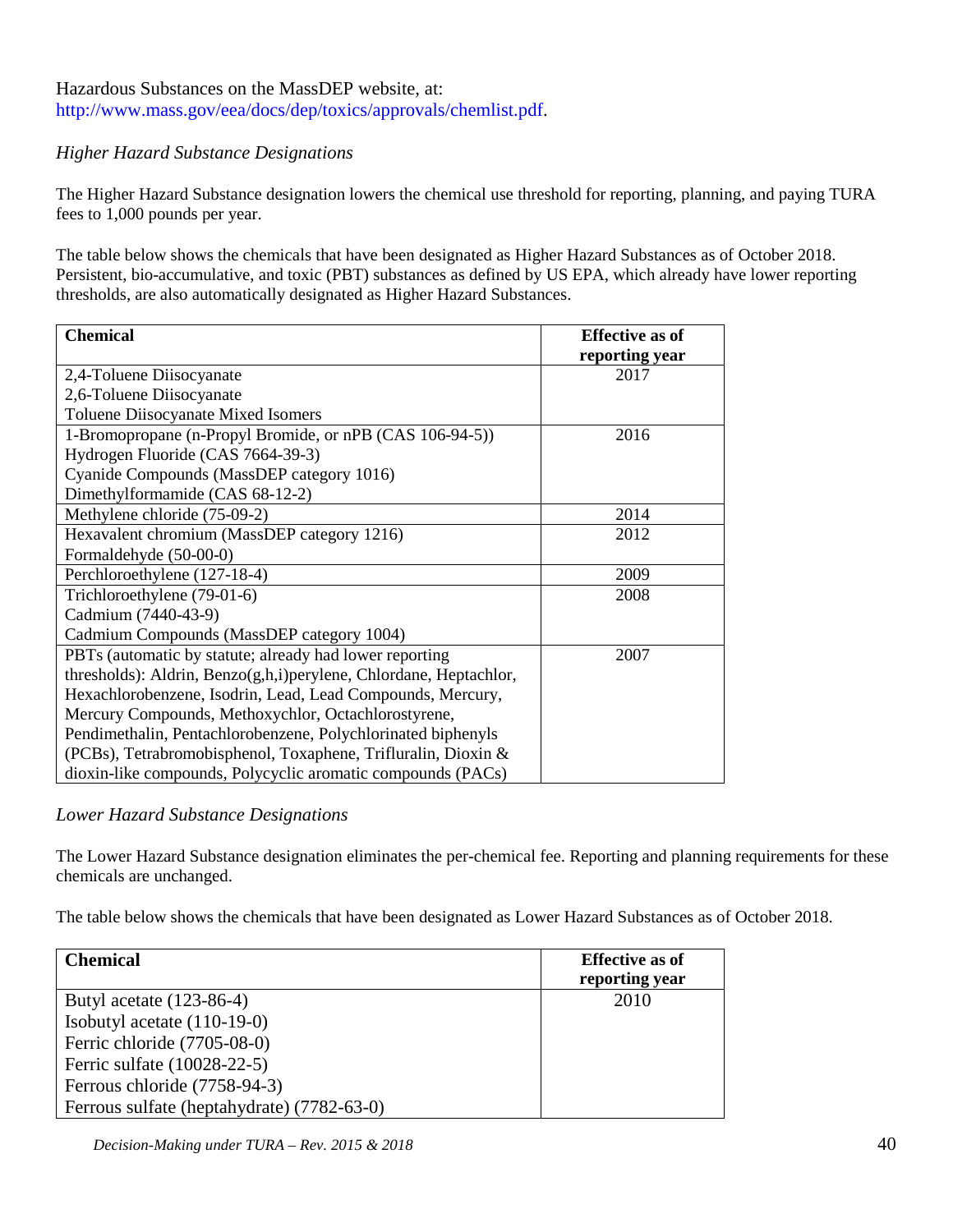## Hazardous Substances on the MassDEP website, at: [http://www.mass.gov/eea/docs/dep/toxics/approvals/chemlist.pdf.](http://www.mass.gov/eea/docs/dep/toxics/approvals/chemlist.pdf)

## *Higher Hazard Substance Designations*

The Higher Hazard Substance designation lowers the chemical use threshold for reporting, planning, and paying TURA fees to 1,000 pounds per year.

The table below shows the chemicals that have been designated as Higher Hazard Substances as of October 2018. [Persistent, bio-accumulative, and toxic \(PBT\)](http://www.turi.org/Our_Work/Toxic_Chemicals/Details_on_Selected_Chemicals/PBT_Persistent_Bioaccumulative_and_Toxic) substances as defined by US EPA, which already have lower reporting thresholds, are also automatically designated as Higher Hazard Substances.

| <b>Chemical</b>                                                   | <b>Effective as of</b> |
|-------------------------------------------------------------------|------------------------|
|                                                                   | reporting year         |
| 2,4-Toluene Diisocyanate                                          | 2017                   |
| 2,6-Toluene Diisocyanate                                          |                        |
| Toluene Diisocyanate Mixed Isomers                                |                        |
| 1-Bromopropane (n-Propyl Bromide, or nPB (CAS 106-94-5))          | 2016                   |
| Hydrogen Fluoride (CAS 7664-39-3)                                 |                        |
| Cyanide Compounds (MassDEP category 1016)                         |                        |
| Dimethylformamide (CAS 68-12-2)                                   |                        |
| Methylene chloride (75-09-2)                                      | 2014                   |
| Hexavalent chromium (MassDEP category 1216)                       | 2012                   |
| Formaldehyde (50-00-0)                                            |                        |
| Perchloroethylene (127-18-4)                                      | 2009                   |
| Trichloroethylene (79-01-6)                                       | 2008                   |
| Cadmium (7440-43-9)                                               |                        |
| Cadmium Compounds (MassDEP category 1004)                         |                        |
| PBTs (automatic by statute; already had lower reporting           | 2007                   |
| thresholds): Aldrin, Benzo(g,h,i)perylene, Chlordane, Heptachlor, |                        |
| Hexachlorobenzene, Isodrin, Lead, Lead Compounds, Mercury,        |                        |
| Mercury Compounds, Methoxychlor, Octachlorostyrene,               |                        |
| Pendimethalin, Pentachlorobenzene, Polychlorinated biphenyls      |                        |
| (PCBs), Tetrabromobisphenol, Toxaphene, Trifluralin, Dioxin &     |                        |
| dioxin-like compounds, Polycyclic aromatic compounds (PACs)       |                        |

#### *Lower Hazard Substance Designations*

The Lower Hazard Substance designation eliminates the per-chemical fee. Reporting and planning requirements for these chemicals are unchanged.

The table below shows the chemicals that have been designated as Lower Hazard Substances as of October 2018.

| <b>Chemical</b>                            | <b>Effective as of</b><br>reporting year |
|--------------------------------------------|------------------------------------------|
| Butyl acetate $(123-86-4)$                 | 2010                                     |
| Isobutyl acetate $(110-19-0)$              |                                          |
| Ferric chloride (7705-08-0)                |                                          |
| Ferric sulfate (10028-22-5)                |                                          |
| Ferrous chloride (7758-94-3)               |                                          |
| Ferrous sulfate (heptahydrate) (7782-63-0) |                                          |